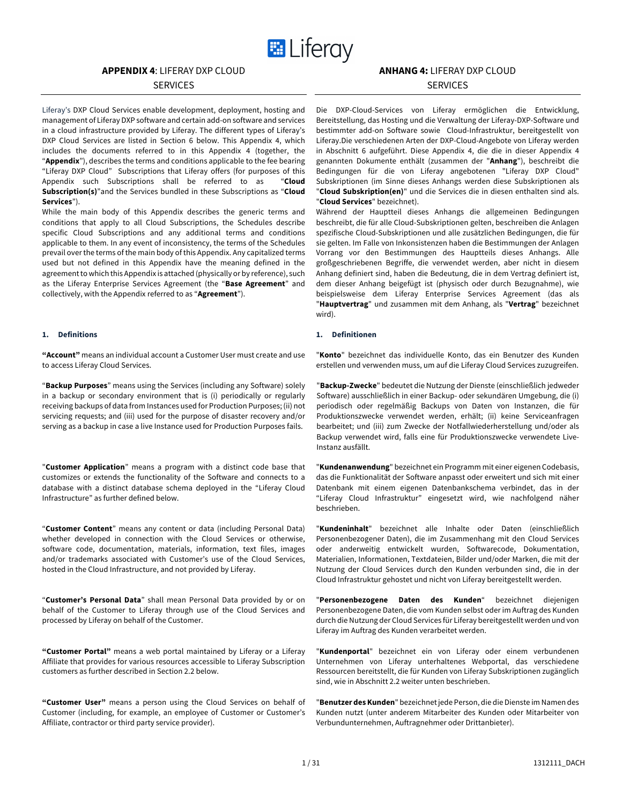

# **APPENDIX 4**: LIFERAY DXP CLOUD

# **SERVICES**

Liferay's DXP Cloud Services enable development, deployment, hosting and management of Liferay DXP software and certain add-on software and services in a cloud infrastructure provided by Liferay. The different types of Liferay's DXP Cloud Services are listed in Section 6 below. This Appendix 4, which includes the documents referred to in this Appendix 4 (together, the "**Appendix**"), describes the terms and conditions applicable to the fee bearing "Liferay DXP Cloud" Subscriptions that Liferay offers (for purposes of this Appendix such Subscriptions shall be referred to as "**Cloud Subscription(s)**"and the Services bundled in these Subscriptions as "**Cloud Services**").

While the main body of this Appendix describes the generic terms and conditions that apply to all Cloud Subscriptions, the Schedules describe specific Cloud Subscriptions and any additional terms and conditions applicable to them. In any event of inconsistency, the terms of the Schedules prevail over the terms of the main body of this Appendix. Any capitalized terms used but not defined in this Appendix have the meaning defined in the agreement to which this Appendix is attached (physically or by reference), such as the Liferay Enterprise Services Agreement (the "**Base Agreement**" and collectively, with the Appendix referred to as "**Agreement**").

**"Account"** means an individual account a Customer User must create and use to access Liferay Cloud Services.

"**Backup Purposes**" means using the Services (including any Software) solely in a backup or secondary environment that is (i) periodically or regularly receiving backups of data from Instances used for Production Purposes; (ii) not servicing requests; and (iii) used for the purpose of disaster recovery and/or serving as a backup in case a live Instance used for Production Purposes fails.

"**Customer Application**" means a program with a distinct code base that customizes or extends the functionality of the Software and connects to a database with a distinct database schema deployed in the "Liferay Cloud Infrastructure" as further defined below.

"**Customer Content**" means any content or data (including Personal Data) whether developed in connection with the Cloud Services or otherwise, software code, documentation, materials, information, text files, images and/or trademarks associated with Customer's use of the Cloud Services, hosted in the Cloud Infrastructure, and not provided by Liferay.

"**Customer's Personal Data**" shall mean Personal Data provided by or on behalf of the Customer to Liferay through use of the Cloud Services and processed by Liferay on behalf of the Customer.

**"Customer Portal"** means a web portal maintained by Liferay or a Liferay Affiliate that provides for various resources accessible to Liferay Subscription customers as further described in Section 2.2 below.

**"Customer User"** means a person using the Cloud Services on behalf of Customer (including, for example, an employee of Customer or Customer's Affiliate, contractor or third party service provider).

# **ANHANG 4:** LIFERAY DXP CLOUD

# **SERVICES**

Die DXP-Cloud-Services von Liferay ermöglichen die Entwicklung, Bereitstellung, das Hosting und die Verwaltung der Liferay-DXP-Software und bestimmter add-on Software sowie Cloud-Infrastruktur, bereitgestellt von Liferay.Die verschiedenen Arten der DXP-Cloud-Angebote von Liferay werden in Abschnitt 6 aufgeführt. Diese Appendix 4, die die in dieser Appendix 4 genannten Dokumente enthält (zusammen der "**Anhang**"), beschreibt die Bedingungen für die von Liferay angebotenen "Liferay DXP Cloud" Subskriptionen (im Sinne dieses Anhangs werden diese Subskriptionen als "**Cloud Subskription(en)**" und die Services die in diesen enthalten sind als. "**Cloud Services**" bezeichnet).

Während der Hauptteil dieses Anhangs die allgemeinen Bedingungen beschreibt, die für alle Cloud-Subskriptionen gelten, beschreiben die Anlagen spezifische Cloud-Subskriptionen und alle zusätzlichen Bedingungen, die für sie gelten. Im Falle von Inkonsistenzen haben die Bestimmungen der Anlagen Vorrang vor den Bestimmungen des Hauptteils dieses Anhangs. Alle großgeschriebenen Begriffe, die verwendet werden, aber nicht in diesem Anhang definiert sind, haben die Bedeutung, die in dem Vertrag definiert ist, dem dieser Anhang beigefügt ist (physisch oder durch Bezugnahme), wie beispielsweise dem Liferay Enterprise Services Agreement (das als "**Hauptvertrag**" und zusammen mit dem Anhang, als "**Vertrag**" bezeichnet wird).

# **1. Definitions 1. Definitionen**

"**Konto**" bezeichnet das individuelle Konto, das ein Benutzer des Kunden erstellen und verwenden muss, um auf die Liferay Cloud Services zuzugreifen.

"**Backup-Zwecke**" bedeutet die Nutzung der Dienste (einschließlich jedweder Software) ausschließlich in einer Backup- oder sekundären Umgebung, die (i) periodisch oder regelmäßig Backups von Daten von Instanzen, die für Produktionszwecke verwendet werden, erhält; (ii) keine Serviceanfragen bearbeitet; und (iii) zum Zwecke der Notfallwiederherstellung und/oder als Backup verwendet wird, falls eine für Produktionszwecke verwendete Live-Instanz ausfällt.

"**Kundenanwendung**" bezeichnet ein Programm mit einer eigenen Codebasis, das die Funktionalität der Software anpasst oder erweitert und sich mit einer Datenbank mit einem eigenen Datenbankschema verbindet, das in der "Liferay Cloud Infrastruktur" eingesetzt wird, wie nachfolgend näher beschrieben.

"**Kundeninhalt**" bezeichnet alle Inhalte oder Daten (einschließlich Personenbezogener Daten), die im Zusammenhang mit den Cloud Services oder anderweitig entwickelt wurden, Softwarecode, Dokumentation, Materialien, Informationen, Textdateien, Bilder und/oder Marken, die mit der Nutzung der Cloud Services durch den Kunden verbunden sind, die in der Cloud Infrastruktur gehostet und nicht von Liferay bereitgestellt werden.

"**Personenbezogene Daten des Kunden**" bezeichnet diejenigen Personenbezogene Daten, die vom Kunden selbst oder im Auftrag des Kunden durch die Nutzung der Cloud Services für Liferay bereitgestellt werden und von Liferay im Auftrag des Kunden verarbeitet werden.

"**Kundenportal**" bezeichnet ein von Liferay oder einem verbundenen Unternehmen von Liferay unterhaltenes Webportal, das verschiedene Ressourcen bereitstellt, die für Kunden von Liferay Subskriptionen zugänglich sind, wie in Abschnitt 2.2 weiter unten beschrieben.

"**Benutzer des Kunden**" bezeichnet jede Person, die die Dienste im Namen des Kunden nutzt (unter anderem Mitarbeiter des Kunden oder Mitarbeiter von Verbundunternehmen, Auftragnehmer oder Drittanbieter).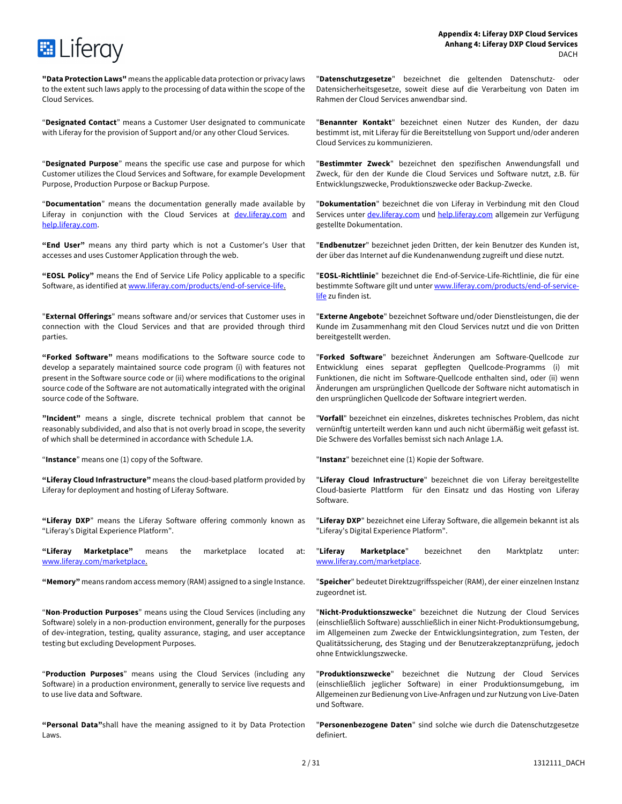

**"Data Protection Laws"** means the applicable data protection or privacy laws to the extent such laws apply to the processing of data within the scope of the Cloud Services.

"**Designated Contact**" means a Customer User designated to communicate with Liferay for the provision of Support and/or any other Cloud Services.

"**Designated Purpose**" means the specific use case and purpose for which Customer utilizes the Cloud Services and Software, for example Development Purpose, Production Purpose or Backup Purpose.

"**Documentation**" means the documentation generally made available by Liferay in conjunction with the Cloud Services at dev. liferay.com and help.liferay.com.

**"End User"** means any third party which is not a Customer's User that accesses and uses Customer Application through the web.

**"EOSL Policy"** means the End of Service Life Policy applicable to a specific Software, as identified at www.liferay.com/products/end-of-service-life.

"**External Offerings**" means software and/or services that Customer uses in connection with the Cloud Services and that are provided through third parties.

**"Forked Software"** means modifications to the Software source code to develop a separately maintained source code program (i) with features not present in the Software source code or (ii) where modifications to the original source code of the Software are not automatically integrated with the original source code of the Software.

**"Incident"** means a single, discrete technical problem that cannot be reasonably subdivided, and also that is not overly broad in scope, the severity of which shall be determined in accordance with Schedule 1.A.

**"Liferay Cloud Infrastructure"** means the cloud-based platform provided by Liferay for deployment and hosting of Liferay Software.

**"Liferay DXP**" means the Liferay Software offering commonly known as "Liferay's Digital Experience Platform".

**"Liferay Marketplace"** means the marketplace located at: www.liferay.com/marketplace.

"**Non**-**Production Purposes**" means using the Cloud Services (including any Software) solely in a non-production environment, generally for the purposes of dev-integration, testing, quality assurance, staging, and user acceptance testing but excluding Development Purposes.

"**Production Purposes**" means using the Cloud Services (including any Software) in a production environment, generally to service live requests and to use live data and Software.

**"Personal Data"**shall have the meaning assigned to it by Data Protection Laws.

"**Datenschutzgesetze**" bezeichnet die geltenden Datenschutz- oder Datensicherheitsgesetze, soweit diese auf die Verarbeitung von Daten im Rahmen der Cloud Services anwendbar sind.

"**Benannter Kontakt**" bezeichnet einen Nutzer des Kunden, der dazu bestimmt ist, mit Liferay für die Bereitstellung von Support und/oder anderen Cloud Services zu kommunizieren.

"**Bestimmter Zweck**" bezeichnet den spezifischen Anwendungsfall und Zweck, für den der Kunde die Cloud Services und Software nutzt, z.B. für Entwicklungszwecke, Produktionszwecke oder Backup-Zwecke.

"**Dokumentation**" bezeichnet die von Liferay in Verbindung mit den Cloud Services unter dev.liferay.com und help.liferay.com allgemein zur Verfügung gestellte Dokumentation.

"**Endbenutzer**" bezeichnet jeden Dritten, der kein Benutzer des Kunden ist, der über das Internet auf die Kundenanwendung zugreift und diese nutzt.

"**EOSL-Richtlinie**" bezeichnet die End-of-Service-Life-Richtlinie, die für eine bestimmte Software gilt und unter www.liferay.com/products/end-of-servicelife zu finden ist.

"**Externe Angebote**" bezeichnet Software und/oder Dienstleistungen, die der Kunde im Zusammenhang mit den Cloud Services nutzt und die von Dritten bereitgestellt werden.

"**Forked Software**" bezeichnet Änderungen am Software-Quellcode zur Entwicklung eines separat gepflegten Quellcode-Programms (i) mit Funktionen, die nicht im Software-Quellcode enthalten sind, oder (ii) wenn Änderungen am ursprünglichen Quellcode der Software nicht automatisch in den ursprünglichen Quellcode der Software integriert werden.

"**Vorfall**" bezeichnet ein einzelnes, diskretes technisches Problem, das nicht vernünftig unterteilt werden kann und auch nicht übermäßig weit gefasst ist. Die Schwere des Vorfalles bemisst sich nach Anlage 1.A.

"**Instance**" means one (1) copy of the Software. "**Instanz**" bezeichnet eine (1) Kopie der Software.

"**Liferay Cloud Infrastructure**" bezeichnet die von Liferay bereitgestellte Cloud-basierte Plattform für den Einsatz und das Hosting von Liferay Software.

"**Liferay DXP**" bezeichnet eine Liferay Software, die allgemein bekannt ist als "Liferay's Digital Experience Platform".

"**Liferay Marketplace**" bezeichnet den Marktplatz unter: www.liferay.com/marketplace.

**"Memory"** means random access memory (RAM) assigned to a single Instance. "**Speicher**" bedeutet Direktzugriffsspeicher (RAM), der einer einzelnen Instanz zugeordnet ist.

> "**Nicht-Produktionszwecke**" bezeichnet die Nutzung der Cloud Services (einschließlich Software) ausschließlich in einer Nicht-Produktionsumgebung, im Allgemeinen zum Zwecke der Entwicklungsintegration, zum Testen, der Qualitätssicherung, des Staging und der Benutzerakzeptanzprüfung, jedoch ohne Entwicklungszwecke.

> "**Produktionszwecke**" bezeichnet die Nutzung der Cloud Services (einschließlich jeglicher Software) in einer Produktionsumgebung, im Allgemeinen zur Bedienung von Live-Anfragen und zur Nutzung von Live-Daten und Software.

> "**Personenbezogene Daten**" sind solche wie durch die Datenschutzgesetze definiert.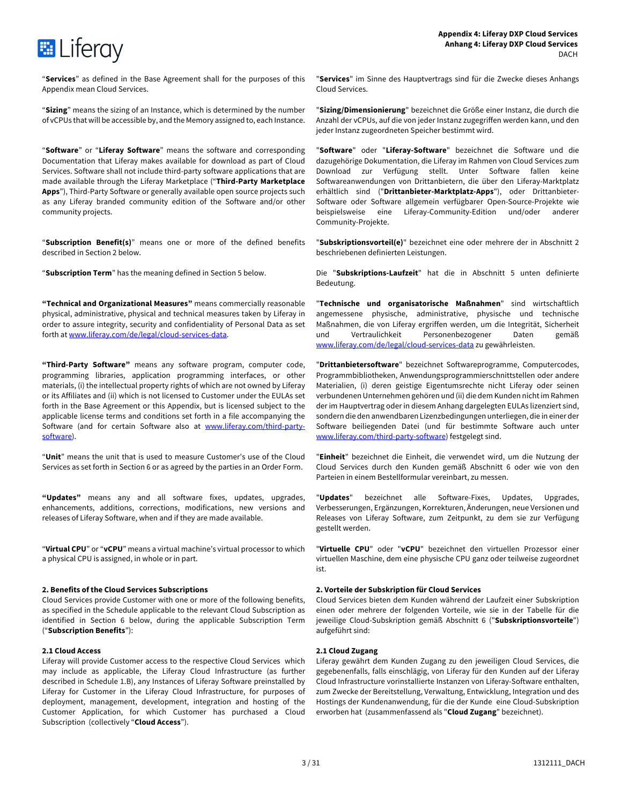

"**Services**" as defined in the Base Agreement shall for the purposes of this Appendix mean Cloud Services.

**E** Liferay

"**Sizing**" means the sizing of an Instance, which is determined by the number of vCPUs that will be accessible by, and the Memory assigned to, each Instance.

"**Software**" or "**Liferay Software**" means the software and corresponding Documentation that Liferay makes available for download as part of Cloud Services. Software shall not include third-party software applications that are made available through the Liferay Marketplace ("**Third-Party Marketplace Apps**"), Third-Party Software or generally available open source projects such as any Liferay branded community edition of the Software and/or other community projects.

"**Subscription Benefit(s)**" means one or more of the defined benefits described in Section 2 below.

**"Technical and Organizational Measures"** means commercially reasonable physical, administrative, physical and technical measures taken by Liferay in order to assure integrity, security and confidentiality of Personal Data as set forth at www.liferay.com/de/legal/cloud-services-data.

**"Third-Party Software"** means any software program, computer code, programming libraries, application programming interfaces, or other materials, (i) the intellectual property rights of which are not owned by Liferay or its Affiliates and (ii) which is not licensed to Customer under the EULAs set forth in the Base Agreement or this Appendix, but is licensed subject to the applicable license terms and conditions set forth in a file accompanying the Software (and for certain Software also at www.liferay.com/third-partysoftware).

"**Unit**" means the unit that is used to measure Customer's use of the Cloud Services as set forth in Section 6 or as agreed by the parties in an Order Form.

**"Updates"** means any and all software fixes, updates, upgrades, enhancements, additions, corrections, modifications, new versions and releases of Liferay Software, when and if they are made available.

"**Virtual CPU**" or "**vCPU**" means a virtual machine's virtual processor to which a physical CPU is assigned, in whole or in part.

# **2. Benefits of the Cloud Services Subscriptions 2. Vorteile der Subskription für Cloud Services**

Cloud Services provide Customer with one or more of the following benefits, as specified in the Schedule applicable to the relevant Cloud Subscription as identified in Section 6 below, during the applicable Subscription Term ("**Subscription Benefits**"):

# **2.1 Cloud Access**

Liferay will provide Customer access to the respective Cloud Services which may include as applicable, the Liferay Cloud Infrastructure (as further described in Schedule 1.B), any Instances of Liferay Software preinstalled by Liferay for Customer in the Liferay Cloud Infrastructure, for purposes of deployment, management, development, integration and hosting of the Customer Application, for which Customer has purchased a Cloud Subscription (collectively "**Cloud Access**").

"**Services**" im Sinne des Hauptvertrags sind für die Zwecke dieses Anhangs Cloud Services.

"**Sizing/Dimensionierung**" bezeichnet die Größe einer Instanz, die durch die Anzahl der vCPUs, auf die von jeder Instanz zugegriffen werden kann, und den jeder Instanz zugeordneten Speicher bestimmt wird.

"**Software**" oder "**Liferay-Software**" bezeichnet die Software und die dazugehörige Dokumentation, die Liferay im Rahmen von Cloud Services zum Download zur Verfügung stellt. Unter Software fallen keine Softwareanwendungen von Drittanbietern, die über den Liferay-Marktplatz erhältlich sind ("**Drittanbieter-Marktplatz-Apps**"), oder Drittanbieter-Software oder Software allgemein verfügbarer Open-Source-Projekte wie beispielsweise eine Liferay-Community-Edition und/oder anderer Community-Projekte.

"**Subskriptionsvorteil(e)**" bezeichnet eine oder mehrere der in Abschnitt 2 beschriebenen definierten Leistungen.

"**Subscription Term**" has the meaning defined in Section 5 below. Die "**Subskriptions-Laufzeit**" hat die in Abschnitt 5 unten definierte Bedeutung.

> "**Technische und organisatorische Maßnahmen**" sind wirtschaftlich angemessene physische, administrative, physische und technische Maßnahmen, die von Liferay ergriffen werden, um die Integrität, Sicherheit und Vertraulichkeit Personenbezogener Daten gemäß www.liferay.com/de/legal/cloud-services-data zu gewährleisten.

> "**Drittanbietersoftware**" bezeichnet Softwareprogramme, Computercodes, Programmbibliotheken, Anwendungsprogrammierschnittstellen oder andere Materialien, (i) deren geistige Eigentumsrechte nicht Liferay oder seinen verbundenen Unternehmen gehören und (ii) die dem Kunden nicht im Rahmen der im Hauptvertrag oder in diesem Anhang dargelegten EULAs lizenziert sind, sondern die den anwendbaren Lizenzbedingungen unterliegen, die in einer der Software beiliegenden Datei (und für bestimmte Software auch unter www.liferay.com/third-party-software) festgelegt sind.

> "**Einheit**" bezeichnet die Einheit, die verwendet wird, um die Nutzung der Cloud Services durch den Kunden gemäß Abschnitt 6 oder wie von den Parteien in einem Bestellformular vereinbart, zu messen.

> "**Updates**" bezeichnet alle Software-Fixes, Updates, Upgrades, Verbesserungen, Ergänzungen, Korrekturen, Änderungen, neue Versionen und Releases von Liferay Software, zum Zeitpunkt, zu dem sie zur Verfügung gestellt werden.

> "**Virtuelle CPU**" oder "**vCPU**" bezeichnet den virtuellen Prozessor einer virtuellen Maschine, dem eine physische CPU ganz oder teilweise zugeordnet ist.

Cloud Services bieten dem Kunden während der Laufzeit einer Subskription einen oder mehrere der folgenden Vorteile, wie sie in der Tabelle für die jeweilige Cloud-Subskription gemäß Abschnitt 6 ("**Subskriptionsvorteile**") aufgeführt sind:

# **2.1 Cloud Zugang**

Liferay gewährt dem Kunden Zugang zu den jeweiligen Cloud Services, die gegebenenfalls, falls einschlägig, von Liferay für den Kunden auf der Liferay Cloud Infrastructure vorinstallierte Instanzen von Liferay-Software enthalten, zum Zwecke der Bereitstellung, Verwaltung, Entwicklung, Integration und des Hostings der Kundenanwendung, für die der Kunde eine Cloud-Subskription erworben hat (zusammenfassend als "**Cloud Zugang**" bezeichnet).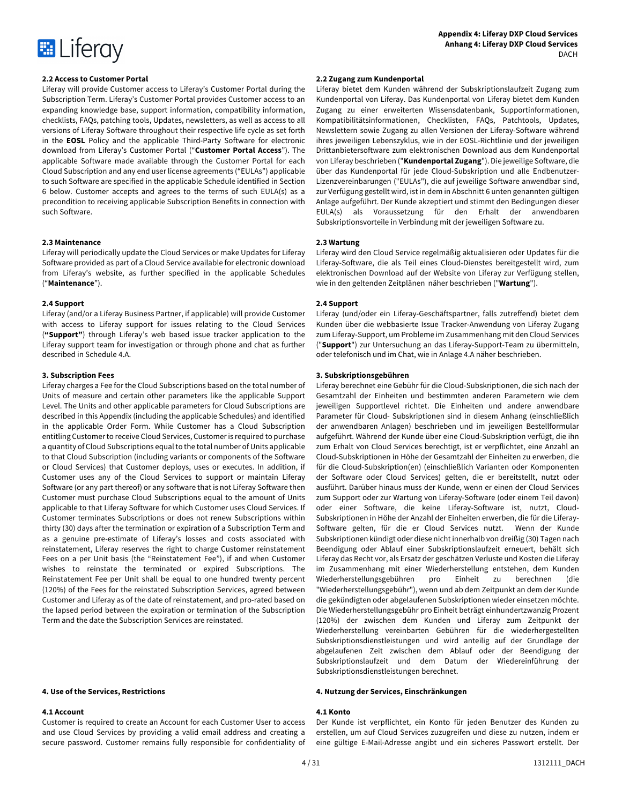

Liferay will provide Customer access to Liferay's Customer Portal during the Subscription Term. Liferay's Customer Portal provides Customer access to an expanding knowledge base, support information, compatibility information, checklists, FAQs, patching tools, Updates, newsletters, as well as access to all versions of Liferay Software throughout their respective life cycle as set forth in the **EOSL** Policy and the applicable Third-Party Software for electronic download from Liferay's Customer Portal ("**Customer Portal Access**"). The applicable Software made available through the Customer Portal for each Cloud Subscription and any end user license agreements ("EULAs") applicable to such Software are specified in the applicable Schedule identified in Section 6 below. Customer accepts and agrees to the terms of such EULA(s) as a precondition to receiving applicable Subscription Benefits in connection with such Software.

# **2.3 Maintenance 2.3 Wartung**

Liferay will periodically update the Cloud Services or make Updates for Liferay Software provided as part of a Cloud Service available for electronic download from Liferay's website, as further specified in the applicable Schedules ("**Maintenance**").

### **2.4 Support**

Liferay (and/or a Liferay Business Partner, if applicable) will provide Customer with access to Liferay support for issues relating to the Cloud Services (**"Support"**) through Liferay's web based issue tracker application to the Liferay support team for investigation or through phone and chat as further described in Schedule 4.A.

Liferay charges a Fee for the Cloud Subscriptions based on the total number of Units of measure and certain other parameters like the applicable Support Level. The Units and other applicable parameters for Cloud Subscriptions are described in this Appendix (including the applicable Schedules) and identified in the applicable Order Form. While Customer has a Cloud Subscription entitling Customer to receive Cloud Services, Customer is required to purchase a quantity of Cloud Subscriptions equal to the total number of Units applicable to that Cloud Subscription (including variants or components of the Software or Cloud Services) that Customer deploys, uses or executes. In addition, if Customer uses any of the Cloud Services to support or maintain Liferay Software (or any part thereof) or any software that is not Liferay Software then Customer must purchase Cloud Subscriptions equal to the amount of Units applicable to that Liferay Software for which Customer uses Cloud Services. If Customer terminates Subscriptions or does not renew Subscriptions within thirty (30) days after the termination or expiration of a Subscription Term and as a genuine pre-estimate of Liferay's losses and costs associated with reinstatement, Liferay reserves the right to charge Customer reinstatement Fees on a per Unit basis (the "Reinstatement Fee"), if and when Customer wishes to reinstate the terminated or expired Subscriptions. The Reinstatement Fee per Unit shall be equal to one hundred twenty percent (120%) of the Fees for the reinstated Subscription Services, agreed between Customer and Liferay as of the date of reinstatement, and pro-rated based on the lapsed period between the expiration or termination of the Subscription Term and the date the Subscription Services are reinstated.

### **4.1 Account 4.1 Konto**

Customer is required to create an Account for each Customer User to access and use Cloud Services by providing a valid email address and creating a secure password. Customer remains fully responsible for confidentiality of

# **2.2 Access to Customer Portal 2.2 Zugang zum Kundenportal**

Liferay bietet dem Kunden während der Subskriptionslaufzeit Zugang zum Kundenportal von Liferay. Das Kundenportal von Liferay bietet dem Kunden Zugang zu einer erweiterten Wissensdatenbank, Supportinformationen, Kompatibilitätsinformationen, Checklisten, FAQs, Patchtools, Updates, Newslettern sowie Zugang zu allen Versionen der Liferay-Software während ihres jeweiligen Lebenszyklus, wie in der EOSL-Richtlinie und der jeweiligen Drittanbietersoftware zum elektronischen Download aus dem Kundenportal von Liferay beschrieben ("**Kundenportal Zugang**"). Die jeweilige Software, die über das Kundenportal für jede Cloud-Subskription und alle Endbenutzer-Lizenzvereinbarungen ("EULAs"), die auf jeweilige Software anwendbar sind, zur Verfügung gestellt wird, ist in dem in Abschnitt 6 unten genannten gültigen Anlage aufgeführt. Der Kunde akzeptiert und stimmt den Bedingungen dieser EULA(s) als Voraussetzung für den Erhalt der anwendbaren Subskriptionsvorteile in Verbindung mit der jeweiligen Software zu.

Liferay wird den Cloud Service regelmäßig aktualisieren oder Updates für die Liferay-Software, die als Teil eines Cloud-Dienstes bereitgestellt wird, zum elektronischen Download auf der Website von Liferay zur Verfügung stellen, wie in den geltenden Zeitplänen näher beschrieben ("**Wartung**").

### **2.4 Support**

Liferay (und/oder ein Liferay-Geschäftspartner, falls zutreffend) bietet dem Kunden über die webbasierte Issue Tracker-Anwendung von Liferay Zugang zum Liferay-Support, um Probleme im Zusammenhang mit den Cloud Services ("**Support**") zur Untersuchung an das Liferay-Support-Team zu übermitteln, oder telefonisch und im Chat, wie in Anlage 4.A näher beschrieben.

# **3. Subscription Fees 3. Subskriptionsgebühren**

Liferay berechnet eine Gebühr für die Cloud-Subskriptionen, die sich nach der Gesamtzahl der Einheiten und bestimmten anderen Parametern wie dem jeweiligen Supportlevel richtet. Die Einheiten und andere anwendbare Parameter für Cloud- Subskriptionen sind in diesem Anhang (einschließlich der anwendbaren Anlagen) beschrieben und im jeweiligen Bestellformular aufgeführt. Während der Kunde über eine Cloud-Subskription verfügt, die ihn zum Erhalt von Cloud Services berechtigt, ist er verpflichtet, eine Anzahl an Cloud-Subskriptionen in Höhe der Gesamtzahl der Einheiten zu erwerben, die für die Cloud-Subskription(en) (einschließlich Varianten oder Komponenten der Software oder Cloud Services) gelten, die er bereitstellt, nutzt oder ausführt. Darüber hinaus muss der Kunde, wenn er einen der Cloud Services zum Support oder zur Wartung von Liferay-Software (oder einem Teil davon) oder einer Software, die keine Liferay-Software ist, nutzt, Cloud-Subskriptionen in Höhe der Anzahl der Einheiten erwerben, die für die Liferay-Software gelten, für die er Cloud Services nutzt. Wenn der Kunde Subskriptionen kündigt oder diese nicht innerhalb von dreißig (30) Tagen nach Beendigung oder Ablauf einer Subskriptionslaufzeit erneuert, behält sich Liferay das Recht vor, als Ersatz der geschätzen Verluste und Kosten die Liferay im Zusammenhang mit einer Wiederherstellung entstehen, dem Kunden Wiederherstellungsgebühren pro Einheit zu berechnen (die "Wiederherstellungsgebühr"), wenn und ab dem Zeitpunkt an dem der Kunde die gekündigten oder abgelaufenen Subskriptionen wieder einsetzen möchte. Die Wiederherstellungsgebühr pro Einheit beträgt einhundertzwanzig Prozent (120%) der zwischen dem Kunden und Liferay zum Zeitpunkt der Wiederherstellung vereinbarten Gebühren für die wiederhergestellten Subskriptionsdienstleistungen und wird anteilig auf der Grundlage der abgelaufenen Zeit zwischen dem Ablauf oder der Beendigung der Subskriptionslaufzeit und dem Datum der Wiedereinführung der Subskriptionsdienstleistungen berechnet.

# **4. Use of the Services, Restrictions 4. Nutzung der Services, Einschränkungen**

Der Kunde ist verpflichtet, ein Konto für jeden Benutzer des Kunden zu erstellen, um auf Cloud Services zuzugreifen und diese zu nutzen, indem er eine gültige E-Mail-Adresse angibt und ein sicheres Passwort erstellt. Der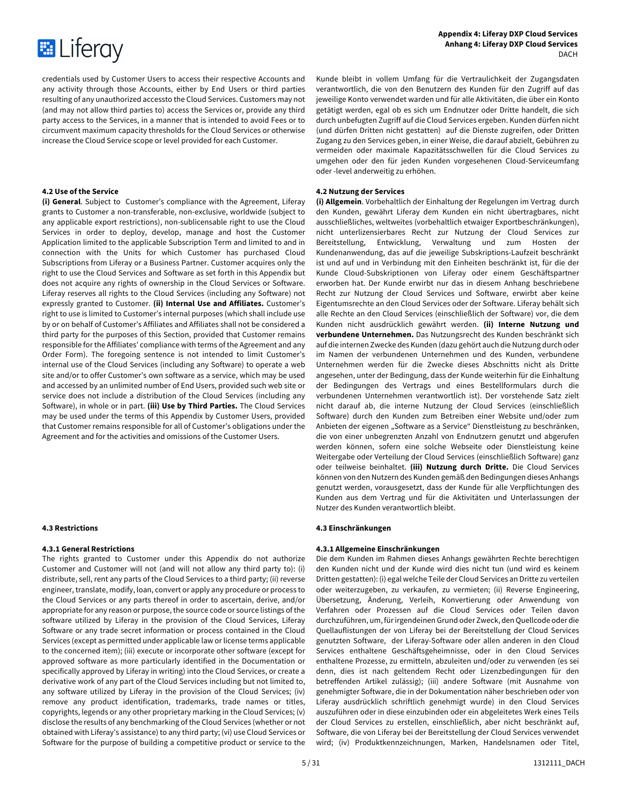

credentials used by Customer Users to access their respective Accounts and any activity through those Accounts, either by End Users or third parties resulting of any unauthorized accessto the Cloud Services. Customers may not (and may not allow third parties to) access the Services or, provide any third party access to the Services, in a manner that is intended to avoid Fees or to circumvent maximum capacity thresholds for the Cloud Services or otherwise increase the Cloud Service scope or level provided for each Customer.

**(i) General**. Subject to Customer's compliance with the Agreement, Liferay grants to Customer a non-transferable, non-exclusive, worldwide (subject to any applicable export restrictions), non-sublicensable right to use the Cloud Services in order to deploy, develop, manage and host the Customer Application limited to the applicable Subscription Term and limited to and in connection with the Units for which Customer has purchased Cloud Subscriptions from Liferay or a Business Partner. Customer acquires only the right to use the Cloud Services and Software as set forth in this Appendix but does not acquire any rights of ownership in the Cloud Services or Software. Liferay reserves all rights to the Cloud Services (including any Software) not expressly granted to Customer. **(ii) Internal Use and Affiliates.** Customer's right to use is limited to Customer's internal purposes (which shall include use by or on behalf of Customer's Affiliates and Affiliates shall not be considered a third party for the purposes of this Section, provided that Customer remains responsible for the Affiliates' compliance with terms of the Agreement and any Order Form). The foregoing sentence is not intended to limit Customer's internal use of the Cloud Services (including any Software) to operate a web site and/or to offer Customer's own software as a service, which may be used and accessed by an unlimited number of End Users, provided such web site or service does not include a distribution of the Cloud Services (including any Software), in whole or in part. **(iii) Use by Third Parties.** The Cloud Services may be used under the terms of this Appendix by Customer Users, provided that Customer remains responsible for all of Customer's obligations under the Agreement and for the activities and omissions of the Customer Users.

# **4.3.1 General Restrictions**

The rights granted to Customer under this Appendix do not authorize Customer and Customer will not (and will not allow any third party to): (i) distribute, sell, rent any parts of the Cloud Services to a third party; (ii) reverse engineer, translate, modify, loan, convert or apply any procedure or process to the Cloud Services or any parts thereof in order to ascertain, derive, and/or appropriate for any reason or purpose, the source code or source listings of the software utilized by Liferay in the provision of the Cloud Services, Liferay Software or any trade secret information or process contained in the Cloud Services (except as permitted under applicable law or license terms applicable to the concerned item); (iii) execute or incorporate other software (except for approved software as more particularly identified in the Documentation or specifically approved by Liferay in writing) into the Cloud Services, or create a derivative work of any part of the Cloud Services including but not limited to, any software utilized by Liferay in the provision of the Cloud Services; (iv) remove any product identification, trademarks, trade names or titles, copyrights, legends or any other proprietary marking in the Cloud Services; (v) disclose the results of any benchmarking of the Cloud Services (whether or not obtained with Liferay's assistance) to any third party; (vi) use Cloud Services or Software for the purpose of building a competitive product or service to the

Kunde bleibt in vollem Umfang für die Vertraulichkeit der Zugangsdaten verantwortlich, die von den Benutzern des Kunden für den Zugriff auf das jeweilige Konto verwendet warden und für alle Aktivitäten, die über ein Konto getätigt werden, egal ob es sich um Endnutzer oder Dritte handelt, die sich durch unbefugten Zugriff auf die Cloud Services ergeben. Kunden dürfen nicht (und dürfen Dritten nicht gestatten) auf die Dienste zugreifen, oder Dritten Zugang zu den Services geben, in einer Weise, die darauf abzielt, Gebühren zu vermeiden oder maximale Kapazitätsschwellen für die Cloud Services zu umgehen oder den für jeden Kunden vorgesehenen Cloud-Serviceumfang oder -level anderweitig zu erhöhen.

# **4.2 Use of the Service 4.2 Nutzung der Services**

**(i) Allgemein**. Vorbehaltlich der Einhaltung der Regelungen im Vertrag durch den Kunden, gewährt Liferay dem Kunden ein nicht übertragbares, nicht ausschließliches, weltweites (vorbehaltlich etwaiger Exportbeschränkungen), nicht unterlizensierbares Recht zur Nutzung der Cloud Services zur Bereitstellung, Entwicklung, Verwaltung und zum Hosten der Kundenanwendung, das auf die jeweilige Subskriptions-Laufzeit beschränkt ist und auf und in Verbindung mit den Einheiten beschränkt ist, für die der Kunde Cloud-Subskriptionen von Liferay oder einem Geschäftspartner erworben hat. Der Kunde erwirbt nur das in diesem Anhang beschriebene Recht zur Nutzung der Cloud Services und Software, erwirbt aber keine Eigentumsrechte an den Cloud Services oder der Software. Liferay behält sich alle Rechte an den Cloud Services (einschließlich der Software) vor, die dem Kunden nicht ausdrücklich gewährt werden. **(ii) Interne Nutzung und verbundene Unternehmen.** Das Nutzungsrecht des Kunden beschränkt sich auf die internen Zwecke des Kunden (dazu gehört auch die Nutzung durch oder im Namen der verbundenen Unternehmen und des Kunden, verbundene Unternehmen werden für die Zwecke dieses Abschnitts nicht als Dritte angesehen, unter der Bedingung, dass der Kunde weiterhin für die Einhaltung der Bedingungen des Vertrags und eines Bestellformulars durch die verbundenen Unternehmen verantwortlich ist). Der vorstehende Satz zielt nicht darauf ab, die interne Nutzung der Cloud Services (einschließlich Software) durch den Kunden zum Betreiben einer Website und/oder zum Anbieten der eigenen "Software as a Service" Dienstleistung zu beschränken, die von einer unbegrenzten Anzahl von Endnutzern genutzt und abgerufen werden können, sofern eine solche Webseite oder Dienstleistung keine Weitergabe oder Verteilung der Cloud Services (einschließlich Software) ganz oder teilweise beinhaltet. **(iii) Nutzung durch Dritte.** Die Cloud Services können von den Nutzern des Kunden gemäß den Bedingungen dieses Anhangs genutzt werden, vorausgesetzt, dass der Kunde für alle Verpflichtungen des Kunden aus dem Vertrag und für die Aktivitäten und Unterlassungen der Nutzer des Kunden verantwortlich bleibt.

# **4.3 Restrictions 4.3 Einschränkungen**

# **4.3.1 Allgemeine Einschränkungen**

Die dem Kunden im Rahmen dieses Anhangs gewährten Rechte berechtigen den Kunden nicht und der Kunde wird dies nicht tun (und wird es keinem Dritten gestatten): (i) egal welche Teile der Cloud Services an Dritte zu verteilen oder weiterzugeben, zu verkaufen, zu vermieten; (ii) Reverse Engineering, Übersetzung, Änderung, Verleih, Konvertierung oder Anwendung von Verfahren oder Prozessen auf die Cloud Services oder Teilen davon durchzuführen, um, für irgendeinen Grund oder Zweck, den Quellcode oder die Quellauflistungen der von Liferay bei der Bereitstellung der Cloud Services genutzten Software, der Liferay-Software oder allen anderen in den Cloud Services enthaltene Geschäftsgeheimnisse, oder in den Cloud Services enthaltene Prozesse, zu ermitteln, abzuleiten und/oder zu verwenden (es sei denn, dies ist nach geltendem Recht oder Lizenzbedingungen für den betreffenden Artikel zulässig); (iii) andere Software (mit Ausnahme von genehmigter Software, die in der Dokumentation näher beschrieben oder von Liferay ausdrücklich schriftlich genehmigt wurde) in den Cloud Services auszuführen oder in diese einzubinden oder ein abgeleitetes Werk eines Teils der Cloud Services zu erstellen, einschließlich, aber nicht beschränkt auf, Software, die von Liferay bei der Bereitstellung der Cloud Services verwendet wird; (iv) Produktkennzeichnungen, Marken, Handelsnamen oder Titel,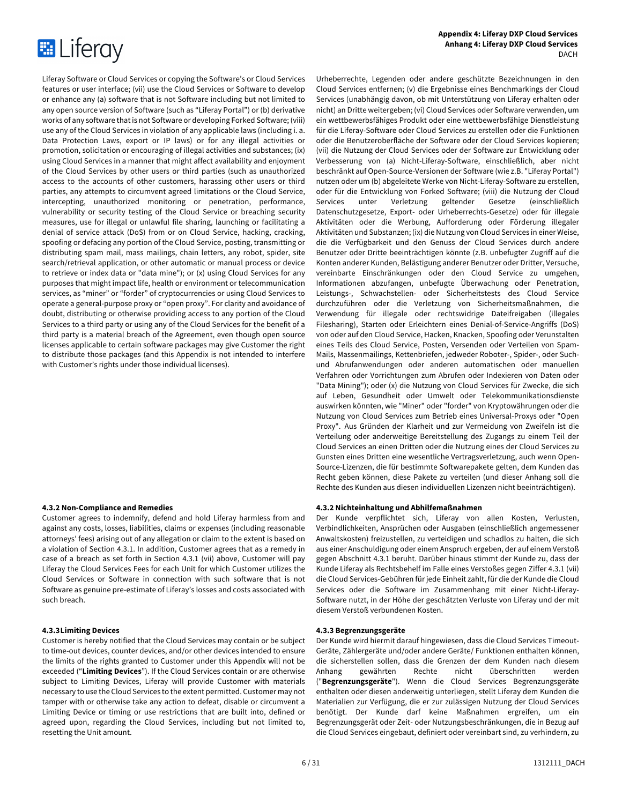

Liferay Software or Cloud Services or copying the Software's or Cloud Services features or user interface; (vii) use the Cloud Services or Software to develop or enhance any (a) software that is not Software including but not limited to any open source version of Software (such as "Liferay Portal") or (b) derivative works of any software that is not Software or developing Forked Software; (viii) use any of the Cloud Services in violation of any applicable laws (including i. a. Data Protection Laws, export or IP laws) or for any illegal activities or promotion, solicitation or encouraging of illegal activities and substances; (ix) using Cloud Services in a manner that might affect availability and enjoyment of the Cloud Services by other users or third parties (such as unauthorized access to the accounts of other customers, harassing other users or third parties, any attempts to circumvent agreed limitations or the Cloud Service, intercepting, unauthorized monitoring or penetration, performance, vulnerability or security testing of the Cloud Service or breaching security measures, use for illegal or unlawful file sharing, launching or facilitating a denial of service attack (DoS) from or on Cloud Service, hacking, cracking, spoofing or defacing any portion of the Cloud Service, posting, transmitting or distributing spam mail, mass mailings, chain letters, any robot, spider, site search/retrieval application, or other automatic or manual process or device to retrieve or index data or "data mine"); or (x) using Cloud Services for any purposes that might impact life, health or environment or telecommunication services, as "miner" or "forder" of cryptocurrencies or using Cloud Services to operate a general-purpose proxy or "open proxy". For clarity and avoidance of doubt, distributing or otherwise providing access to any portion of the Cloud Services to a third party or using any of the Cloud Services for the benefit of a third party is a material breach of the Agreement, even though open source licenses applicable to certain software packages may give Customer the right to distribute those packages (and this Appendix is not intended to interfere with Customer's rights under those individual licenses).

# **4.3.2 Non-Compliance and Remedies**

Customer agrees to indemnify, defend and hold Liferay harmless from and against any costs, losses, liabilities, claims or expenses (including reasonable attorneys' fees) arising out of any allegation or claim to the extent is based on a violation of Section 4.3.1. In addition, Customer agrees that as a remedy in case of a breach as set forth in Section 4.3.1 (vii) above, Customer will pay Liferay the Cloud Services Fees for each Unit for which Customer utilizes the Cloud Services or Software in connection with such software that is not Software as genuine pre-estimate of Liferay's losses and costs associated with such breach.

Customer is hereby notified that the Cloud Services may contain or be subject to time-out devices, counter devices, and/or other devices intended to ensure the limits of the rights granted to Customer under this Appendix will not be exceeded ("**Limiting Devices**"). If the Cloud Services contain or are otherwise subject to Limiting Devices, Liferay will provide Customer with materials necessary to use the Cloud Services to the extent permitted. Customer may not tamper with or otherwise take any action to defeat, disable or circumvent a Limiting Device or timing or use restrictions that are built into, defined or agreed upon, regarding the Cloud Services, including but not limited to, resetting the Unit amount.

Urheberrechte, Legenden oder andere geschützte Bezeichnungen in den Cloud Services entfernen; (v) die Ergebnisse eines Benchmarkings der Cloud Services (unabhängig davon, ob mit Unterstützung von Liferay erhalten oder nicht) an Dritte weitergeben; (vi) Cloud Services oder Software verwenden, um ein wettbewerbsfähiges Produkt oder eine wettbewerbsfähige Dienstleistung für die Liferay-Software oder Cloud Services zu erstellen oder die Funktionen oder die Benutzeroberfläche der Software oder der Cloud Services kopieren; (vii) die Nutzung der Cloud Services oder der Software zur Entwicklung oder Verbesserung von (a) Nicht-Liferay-Software, einschließlich, aber nicht beschränkt auf Open-Source-Versionen der Software (wie z.B. "Liferay Portal") nutzen oder um (b) abgeleitete Werke von Nicht-Liferay-Software zu erstellen, oder für die Entwicklung von Forked Software; (viii) die Nutzung der Cloud Services unter Verletzung geltender Gesetze (einschließlich Datenschutzgesetze, Export- oder Urheberrechts-Gesetze) oder für illegale Aktivitäten oder die Werbung, Aufforderung oder Förderung illegaler Aktivitäten und Substanzen; (ix) die Nutzung von Cloud Services in einer Weise, die die Verfügbarkeit und den Genuss der Cloud Services durch andere Benutzer oder Dritte beeinträchtigen könnte (z.B. unbefugter Zugriff auf die Konten anderer Kunden, Belästigung anderer Benutzer oder Dritter, Versuche, vereinbarte Einschränkungen oder den Cloud Service zu umgehen, Informationen abzufangen, unbefugte Überwachung oder Penetration, Leistungs-, Schwachstellen- oder Sicherheitstests des Cloud Service durchzuführen oder die Verletzung von Sicherheitsmaßnahmen, die Verwendung für illegale oder rechtswidrige Dateifreigaben (illegales Filesharing), Starten oder Erleichtern eines Denial-of-Service-Angriffs (DoS) von oder auf den Cloud Service, Hacken, Knacken, Spoofing oder Verunstalten eines Teils des Cloud Service, Posten, Versenden oder Verteilen von Spam-Mails, Massenmailings, Kettenbriefen, jedweder Roboter-, Spider-, oder Suchund Abrufanwendungen oder anderen automatischen oder manuellen Verfahren oder Vorrichtungen zum Abrufen oder Indexieren von Daten oder "Data Mining"); oder (x) die Nutzung von Cloud Services für Zwecke, die sich auf Leben, Gesundheit oder Umwelt oder Telekommunikationsdienste auswirken könnten, wie "Miner" oder "forder" von Kryptowährungen oder die Nutzung von Cloud Services zum Betrieb eines Universal-Proxys oder "Open Proxy". Aus Gründen der Klarheit und zur Vermeidung von Zweifeln ist die Verteilung oder anderweitige Bereitstellung des Zugangs zu einem Teil der Cloud Services an einen Dritten oder die Nutzung eines der Cloud Services zu Gunsten eines Dritten eine wesentliche Vertragsverletzung, auch wenn Open-Source-Lizenzen, die für bestimmte Softwarepakete gelten, dem Kunden das Recht geben können, diese Pakete zu verteilen (und dieser Anhang soll die Rechte des Kunden aus diesen individuellen Lizenzen nicht beeinträchtigen).

### **4.3.2 Nichteinhaltung und Abhilfemaßnahmen**

Der Kunde verpflichtet sich, Liferay von allen Kosten, Verlusten, Verbindlichkeiten, Ansprüchen oder Ausgaben (einschließlich angemessener Anwaltskosten) freizustellen, zu verteidigen und schadlos zu halten, die sich aus einer Anschuldigung oder einem Anspruch ergeben, der auf einem Verstoß gegen Abschnitt 4.3.1 beruht. Darüber hinaus stimmt der Kunde zu, dass der Kunde Liferay als Rechtsbehelf im Falle eines Verstoßes gegen Ziffer 4.3.1 (vii) die Cloud Services-Gebühren für jede Einheit zahlt, für die der Kunde die Cloud Services oder die Software im Zusammenhang mit einer Nicht-Liferay-Software nutzt, in der Höhe der geschätzten Verluste von Liferay und der mit diesem Verstoß verbundenen Kosten.

# **4.3.3Limiting Devices 4.3.3 Begrenzungsgeräte**

Der Kunde wird hiermit darauf hingewiesen, dass die Cloud Services Timeout-Geräte, Zählergeräte und/oder andere Geräte/ Funktionen enthalten können, die sicherstellen sollen, dass die Grenzen der dem Kunden nach diesem Anhang gewährten Rechte nicht überschritten werden ("**Begrenzungsgeräte**"). Wenn die Cloud Services Begrenzungsgeräte enthalten oder diesen anderweitig unterliegen, stellt Liferay dem Kunden die Materialien zur Verfügung, die er zur zulässigen Nutzung der Cloud Services benötigt. Der Kunde darf keine Maßnahmen ergreifen, um ein Begrenzungsgerät oder Zeit- oder Nutzungsbeschränkungen, die in Bezug auf die Cloud Services eingebaut, definiert oder vereinbart sind, zu verhindern, zu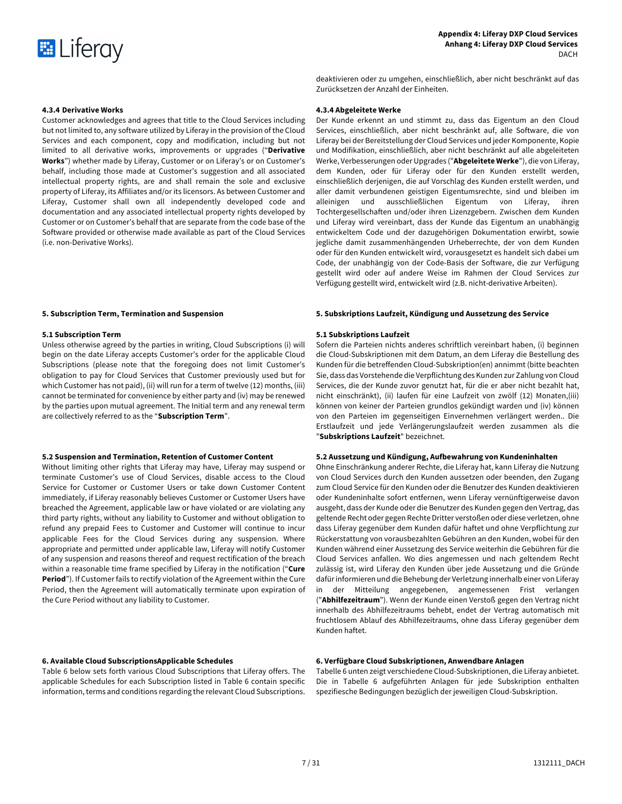

**4.3.4 Derivative Works 4.3.4 Abgeleitete Werke**

Customer acknowledges and agrees that title to the Cloud Services including but not limited to, any software utilized by Liferay in the provision of the Cloud Services and each component, copy and modification, including but not limited to all derivative works, improvements or upgrades ("**Derivative Works**") whether made by Liferay, Customer or on Liferay's or on Customer's behalf, including those made at Customer's suggestion and all associated intellectual property rights, are and shall remain the sole and exclusive property of Liferay, its Affiliates and/or its licensors. As between Customer and Liferay, Customer shall own all independently developed code and documentation and any associated intellectual property rights developed by Customer or on Customer's behalf that are separate from the code base of the Software provided or otherwise made available as part of the Cloud Services (i.e. non-Derivative Works).

Unless otherwise agreed by the parties in writing, Cloud Subscriptions (i) will begin on the date Liferay accepts Customer's order for the applicable Cloud Subscriptions (please note that the foregoing does not limit Customer's obligation to pay for Cloud Services that Customer previously used but for which Customer has not paid), (ii) will run for a term of twelve (12) months, (iii) cannot be terminated for convenience by either party and (iv) may be renewed by the parties upon mutual agreement. The Initial term and any renewal term are collectively referred to as the "**Subscription Term**".

# **5.2 Suspension and Termination, Retention of Customer Content 5.2 Aussetzung und Kündigung, Aufbewahrung von Kundeninhalten**

Without limiting other rights that Liferay may have, Liferay may suspend or terminate Customer's use of Cloud Services, disable access to the Cloud Service for Customer or Customer Users or take down Customer Content immediately, if Liferay reasonably believes Customer or Customer Users have breached the Agreement, applicable law or have violated or are violating any third party rights, without any liability to Customer and without obligation to refund any prepaid Fees to Customer and Customer will continue to incur applicable Fees for the Cloud Services during any suspension. Where appropriate and permitted under applicable law, Liferay will notify Customer of any suspension and reasons thereof and request rectification of the breach within a reasonable time frame specified by Liferay in the notification ("**Cure Period**"). If Customer fails to rectify violation of the Agreement within the Cure Period, then the Agreement will automatically terminate upon expiration of the Cure Period without any liability to Customer.

Table 6 below sets forth various Cloud Subscriptions that Liferay offers. The applicable Schedules for each Subscription listed in Table 6 contain specific information, terms and conditions regarding the relevant Cloud Subscriptions.

deaktivieren oder zu umgehen, einschließlich, aber nicht beschränkt auf das Zurücksetzen der Anzahl der Einheiten.

Der Kunde erkennt an und stimmt zu, dass das Eigentum an den Cloud Services, einschließlich, aber nicht beschränkt auf, alle Software, die von Liferay bei der Bereitstellung der Cloud Services und jeder Komponente, Kopie und Modifikation, einschließlich, aber nicht beschränkt auf alle abgeleiteten Werke, Verbesserungen oder Upgrades ("**Abgeleitete Werke**"), die von Liferay, dem Kunden, oder für Liferay oder für den Kunden erstellt werden, einschließlich derjenigen, die auf Vorschlag des Kunden erstellt werden, und aller damit verbundenen geistigen Eigentumsrechte, sind und bleiben im alleinigen und ausschließlichen Eigentum von Liferay, ihren Tochtergesellschaften und/oder ihren Lizenzgebern. Zwischen dem Kunden und Liferay wird vereinbart, dass der Kunde das Eigentum an unabhängig entwickeltem Code und der dazugehörigen Dokumentation erwirbt, sowie jegliche damit zusammenhängenden Urheberrechte, der von dem Kunden oder für den Kunden entwickelt wird, vorausgesetzt es handelt sich dabei um Code, der unabhängig von der Code-Basis der Software, die zur Verfügung gestellt wird oder auf andere Weise im Rahmen der Cloud Services zur Verfügung gestellt wird, entwickelt wird (z.B. nicht-derivative Arbeiten).

# **5. Subscription Term, Termination and Suspension 5. Subskriptions Laufzeit, Kündigung und Aussetzung des Service**

# **5.1 Subscription Term 5.1 Subskriptions Laufzeit**

Sofern die Parteien nichts anderes schriftlich vereinbart haben, (i) beginnen die Cloud-Subskriptionen mit dem Datum, an dem Liferay die Bestellung des Kunden für die betreffenden Cloud-Subskription(en) annimmt (bitte beachten Sie, dass das Vorstehende die Verpflichtung des Kunden zur Zahlung von Cloud Services, die der Kunde zuvor genutzt hat, für die er aber nicht bezahlt hat, nicht einschränkt), (ii) laufen für eine Laufzeit von zwölf (12) Monaten,(iii) können von keiner der Parteien grundlos gekündigt warden und (iv) können von den Parteien im gegenseitigen Einvernehmen verlängert werden.. Die Erstlaufzeit und jede Verlängerungslaufzeit werden zusammen als die "**Subskriptions Laufzeit**" bezeichnet.

Ohne Einschränkung anderer Rechte, die Liferay hat, kann Liferay die Nutzung von Cloud Services durch den Kunden aussetzen oder beenden, den Zugang zum Cloud Service für den Kunden oder die Benutzer des Kunden deaktivieren oder Kundeninhalte sofort entfernen, wenn Liferay vernünftigerweise davon ausgeht, dass der Kunde oder die Benutzer des Kunden gegen den Vertrag, das geltende Recht oder gegen Rechte Dritter verstoßen oder diese verletzen, ohne dass Liferay gegenüber dem Kunden dafür haftet und ohne Verpflichtung zur Rückerstattung von vorausbezahlten Gebühren an den Kunden, wobei für den Kunden während einer Aussetzung des Service weiterhin die Gebühren für die Cloud Services anfallen. Wo dies angemessen und nach geltendem Recht zulässig ist, wird Liferay den Kunden über jede Aussetzung und die Gründe dafür informieren und die Behebung der Verletzung innerhalb einer von Liferay in der Mitteilung angegebenen, angemessenen Frist verlangen ("**Abhilfezeitraum**"). Wenn der Kunde einen Verstoß gegen den Vertrag nicht innerhalb des Abhilfezeitraums behebt, endet der Vertrag automatisch mit fruchtlosem Ablauf des Abhilfezeitraums, ohne dass Liferay gegenüber dem Kunden haftet.

# **6. Available Cloud SubscriptionsApplicable Schedules 6. Verfügbare Cloud Subskriptionen, Anwendbare Anlagen**

Tabelle 6 unten zeigt verschiedene Cloud-Subskriptionen, die Liferay anbietet. Die in Tabelle 6 aufgeführten Anlagen für jede Subskription enthalten spezifiesche Bedingungen bezüglich der jeweiligen Cloud-Subskription.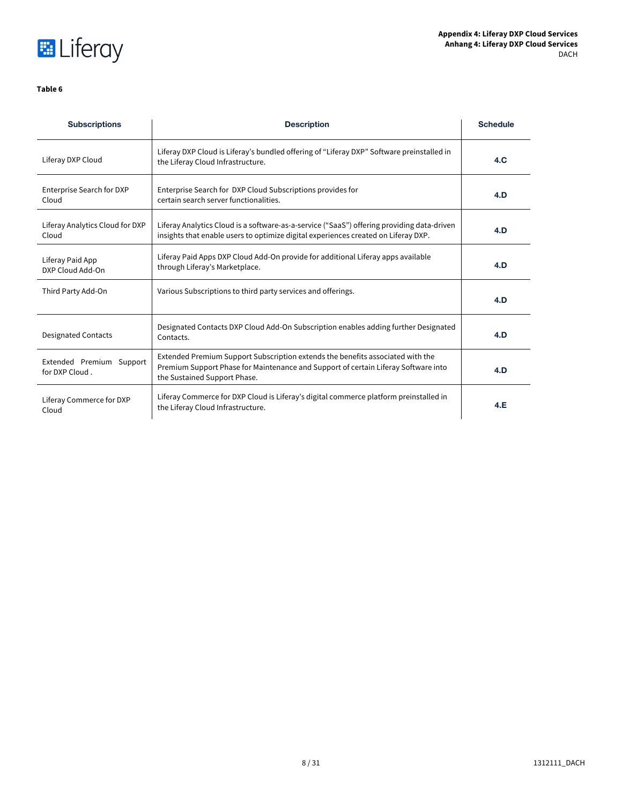

# **Table 6**

| <b>Subscriptions</b>                       | <b>Description</b>                                                                                                                                                                                   | <b>Schedule</b> |
|--------------------------------------------|------------------------------------------------------------------------------------------------------------------------------------------------------------------------------------------------------|-----------------|
| Liferay DXP Cloud                          | Liferay DXP Cloud is Liferay's bundled offering of "Liferay DXP" Software preinstalled in<br>the Liferay Cloud Infrastructure.                                                                       | 4.C             |
| Enterprise Search for DXP<br>Cloud         | Enterprise Search for DXP Cloud Subscriptions provides for<br>certain search server functionalities.                                                                                                 | 4.D             |
| Liferay Analytics Cloud for DXP<br>Cloud   | Liferay Analytics Cloud is a software-as-a-service ("SaaS") offering providing data-driven<br>insights that enable users to optimize digital experiences created on Liferay DXP.                     | 4.D             |
| Liferay Paid App<br>DXP Cloud Add-On       | Liferay Paid Apps DXP Cloud Add-On provide for additional Liferay apps available<br>through Liferay's Marketplace.                                                                                   | 4.D             |
| Third Party Add-On                         | Various Subscriptions to third party services and offerings.                                                                                                                                         | 4.D             |
| <b>Designated Contacts</b>                 | Designated Contacts DXP Cloud Add-On Subscription enables adding further Designated<br>Contacts.                                                                                                     | 4.D             |
| Extended Premium Support<br>for DXP Cloud. | Extended Premium Support Subscription extends the benefits associated with the<br>Premium Support Phase for Maintenance and Support of certain Liferay Software into<br>the Sustained Support Phase. | 4.D             |
| Liferay Commerce for DXP<br>Cloud          | Liferay Commerce for DXP Cloud is Liferay's digital commerce platform preinstalled in<br>the Liferay Cloud Infrastructure.                                                                           | 4.E             |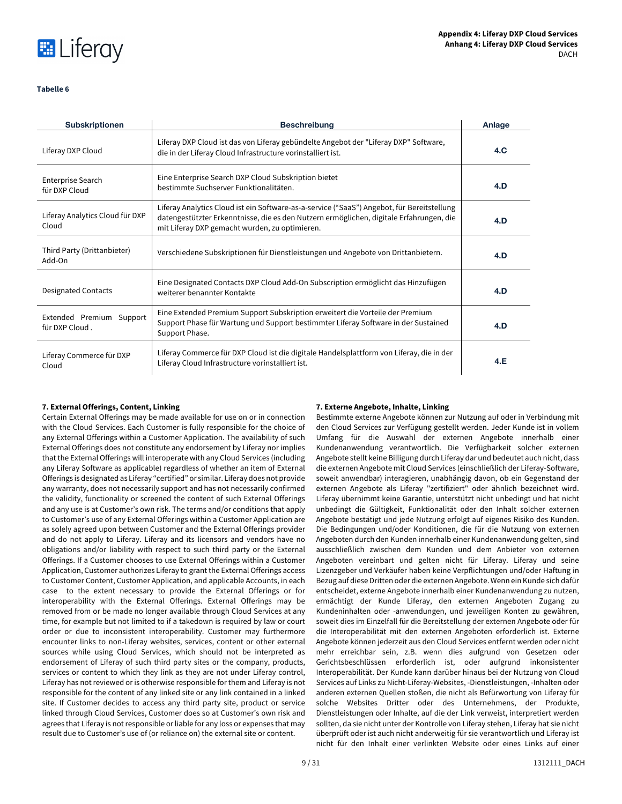

# **Tabelle 6**

| <b>Subskriptionen</b>                      | <b>Beschreibung</b>                                                                                                                                                                                                                     | Anlage |
|--------------------------------------------|-----------------------------------------------------------------------------------------------------------------------------------------------------------------------------------------------------------------------------------------|--------|
| Liferay DXP Cloud                          | Liferay DXP Cloud ist das von Liferay gebündelte Angebot der "Liferay DXP" Software,<br>die in der Liferay Cloud Infrastructure vorinstalliert ist.                                                                                     | 4.C    |
| <b>Enterprise Search</b><br>für DXP Cloud  | Eine Enterprise Search DXP Cloud Subskription bietet<br>bestimmte Suchserver Funktionalitäten.                                                                                                                                          | 4.D    |
| Liferay Analytics Cloud für DXP<br>Cloud   | Liferay Analytics Cloud ist ein Software-as-a-service ("SaaS") Angebot, für Bereitstellung<br>datengestützter Erkenntnisse, die es den Nutzern ermöglichen, digitale Erfahrungen, die<br>mit Liferay DXP gemacht wurden, zu optimieren. | 4.D    |
| Third Party (Drittanbieter)<br>Add-On      | Verschiedene Subskriptionen für Dienstleistungen und Angebote von Drittanbietern.                                                                                                                                                       | 4.D    |
| <b>Designated Contacts</b>                 | Eine Designated Contacts DXP Cloud Add-On Subscription ermöglicht das Hinzufügen<br>weiterer benannter Kontakte                                                                                                                         | 4.D    |
| Extended Premium Support<br>für DXP Cloud. | Eine Extended Premium Support Subskription erweitert die Vorteile der Premium<br>Support Phase für Wartung und Support bestimmter Liferay Software in der Sustained<br>Support Phase.                                                   | 4.D    |
| Liferay Commerce für DXP<br>Cloud          | Liferay Commerce für DXP Cloud ist die digitale Handelsplattform von Liferay, die in der<br>Liferay Cloud Infrastructure vorinstalliert ist.                                                                                            | 4.E    |

# **7. External Offerings, Content, Linking 7. Externe Angebote, Inhalte, Linking**

Certain External Offerings may be made available for use on or in connection with the Cloud Services. Each Customer is fully responsible for the choice of any External Offerings within a Customer Application. The availability of such External Offerings does not constitute any endorsement by Liferay nor implies that the External Offerings will interoperate with any Cloud Services (including any Liferay Software as applicable) regardless of whether an item of External Offerings is designated as Liferay "certified" or similar. Liferay does not provide any warranty, does not necessarily support and has not necessarily confirmed the validity, functionality or screened the content of such External Offerings and any use is at Customer's own risk. The terms and/or conditions that apply to Customer's use of any External Offerings within a Customer Application are as solely agreed upon between Customer and the External Offerings provider and do not apply to Liferay. Liferay and its licensors and vendors have no obligations and/or liability with respect to such third party or the External Offerings. If a Customer chooses to use External Offerings within a Customer Application, Customer authorizes Liferay to grant the External Offerings access to Customer Content, Customer Application, and applicable Accounts, in each case to the extent necessary to provide the External Offerings or for interoperability with the External Offerings. External Offerings may be removed from or be made no longer available through Cloud Services at any time, for example but not limited to if a takedown is required by law or court order or due to inconsistent interoperability. Customer may furthermore encounter links to non-Liferay websites, services, content or other external sources while using Cloud Services, which should not be interpreted as endorsement of Liferay of such third party sites or the company, products, services or content to which they link as they are not under Liferay control, Liferay has not reviewed or is otherwise responsible for them and Liferay is not responsible for the content of any linked site or any link contained in a linked site. If Customer decides to access any third party site, product or service linked through Cloud Services, Customer does so at Customer's own risk and agrees that Liferay is not responsible or liable for any loss or expenses that may result due to Customer's use of (or reliance on) the external site or content.

Bestimmte externe Angebote können zur Nutzung auf oder in Verbindung mit den Cloud Services zur Verfügung gestellt werden. Jeder Kunde ist in vollem Umfang für die Auswahl der externen Angebote innerhalb einer Kundenanwendung verantwortlich. Die Verfügbarkeit solcher externen Angebote stellt keine Billigung durch Liferay dar und bedeutet auch nicht, dass die externen Angebote mit Cloud Services (einschließlich der Liferay-Software, soweit anwendbar) interagieren, unabhängig davon, ob ein Gegenstand der externen Angebote als Liferay "zertifiziert" oder ähnlich bezeichnet wird. Liferay übernimmt keine Garantie, unterstützt nicht unbedingt und hat nicht unbedingt die Gültigkeit, Funktionalität oder den Inhalt solcher externen Angebote bestätigt und jede Nutzung erfolgt auf eigenes Risiko des Kunden. Die Bedingungen und/oder Konditionen, die für die Nutzung von externen Angeboten durch den Kunden innerhalb einer Kundenanwendung gelten, sind ausschließlich zwischen dem Kunden und dem Anbieter von externen Angeboten vereinbart und gelten nicht für Liferay. Liferay und seine Lizenzgeber und Verkäufer haben keine Verpflichtungen und/oder Haftung in Bezug auf diese Dritten oder die externen Angebote. Wenn ein Kunde sich dafür entscheidet, externe Angebote innerhalb einer Kundenanwendung zu nutzen, ermächtigt der Kunde Liferay, den externen Angeboten Zugang zu Kundeninhalten oder -anwendungen, und jeweiligen Konten zu gewähren, soweit dies im Einzelfall für die Bereitstellung der externen Angebote oder für die Interoperabilität mit den externen Angeboten erforderlich ist. Externe Angebote können jederzeit aus den Cloud Services entfernt werden oder nicht mehr erreichbar sein, z.B. wenn dies aufgrund von Gesetzen oder Gerichtsbeschlüssen erforderlich ist, oder aufgrund inkonsistenter Interoperabilität. Der Kunde kann darüber hinaus bei der Nutzung von Cloud Services auf Links zu Nicht-Liferay-Websites, -Dienstleistungen, -Inhalten oder anderen externen Quellen stoßen, die nicht als Befürwortung von Liferay für solche Websites Dritter oder des Unternehmens, der Produkte, Dienstleistungen oder Inhalte, auf die der Link verweist, interpretiert werden sollten, da sie nicht unter der Kontrolle von Liferay stehen, Liferay hat sie nicht überprüft oder ist auch nicht anderweitig für sie verantwortlich und Liferay ist nicht für den Inhalt einer verlinkten Website oder eines Links auf einer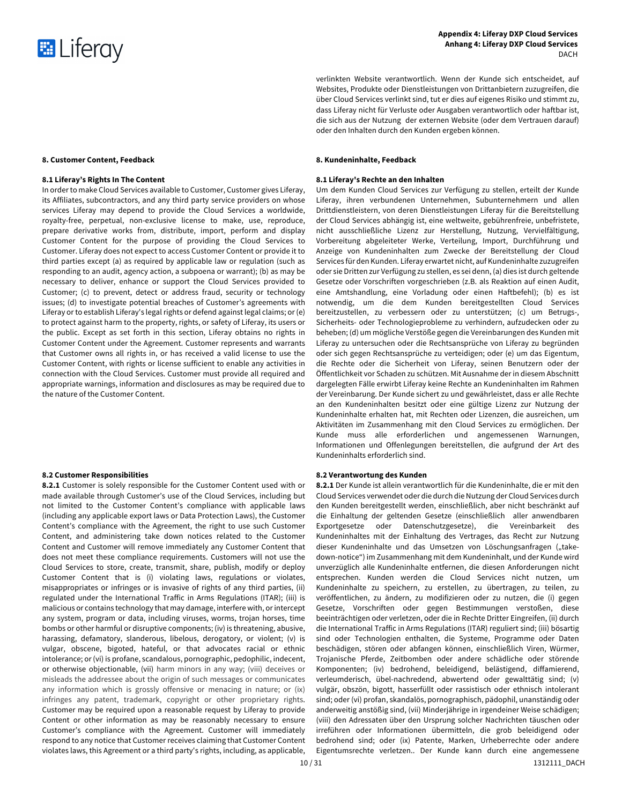

verlinkten Website verantwortlich. Wenn der Kunde sich entscheidet, auf Websites, Produkte oder Dienstleistungen von Drittanbietern zuzugreifen, die über Cloud Services verlinkt sind, tut er dies auf eigenes Risiko und stimmt zu, dass Liferay nicht für Verluste oder Ausgaben verantwortlich oder haftbar ist, die sich aus der Nutzung der externen Website (oder dem Vertrauen darauf) oder den Inhalten durch den Kunden ergeben können.

# **8. Customer Content, Feedback 8. Kundeninhalte, Feedback**

# **8.1 Liferay's Rights In The Content 8.1 Liferay's Rechte an den Inhalten**

Um dem Kunden Cloud Services zur Verfügung zu stellen, erteilt der Kunde Liferay, ihren verbundenen Unternehmen, Subunternehmern und allen Drittdienstleistern, von deren Dienstleistungen Liferay für die Bereitstellung der Cloud Services abhängig ist, eine weltweite, gebührenfreie, unbefristete, nicht ausschließliche Lizenz zur Herstellung, Nutzung, Vervielfältigung, Vorbereitung abgeleiteter Werke, Verteilung, Import, Durchführung und Anzeige von Kundeninhalten zum Zwecke der Bereitstellung der Cloud Services für den Kunden. Liferay erwartet nicht, auf Kundeninhalte zuzugreifen oder sie Dritten zur Verfügung zu stellen, es sei denn, (a) dies ist durch geltende Gesetze oder Vorschriften vorgeschrieben (z.B. als Reaktion auf einen Audit, eine Amtshandlung, eine Vorladung oder einen Haftbefehl); (b) es ist notwendig, um die dem Kunden bereitgestellten Cloud Services bereitzustellen, zu verbessern oder zu unterstützen; (c) um Betrugs-, Sicherheits- oder Technologieprobleme zu verhindern, aufzudecken oder zu beheben; (d) um mögliche Verstöße gegen die Vereinbarungen des Kunden mit Liferay zu untersuchen oder die Rechtsansprüche von Liferay zu begründen oder sich gegen Rechtsansprüche zu verteidigen; oder (e) um das Eigentum, die Rechte oder die Sicherheit von Liferay, seinen Benutzern oder der Öffentlichkeit vor Schaden zu schützen. Mit Ausnahme der in diesem Abschnitt dargelegten Fälle erwirbt Liferay keine Rechte an Kundeninhalten im Rahmen der Vereinbarung. Der Kunde sichert zu und gewährleistet, dass er alle Rechte an den Kundeninhalten besitzt oder eine gültige Lizenz zur Nutzung der Kundeninhalte erhalten hat, mit Rechten oder Lizenzen, die ausreichen, um Aktivitäten im Zusammenhang mit den Cloud Services zu ermöglichen. Der Kunde muss alle erforderlichen und angemessenen Warnungen, Informationen und Offenlegungen bereitstellen, die aufgrund der Art des Kundeninhalts erforderlich sind.

### **8.2 Customer Responsibilities 8.2 Verantwortung des Kunden**

**8.2.1** Der Kunde ist allein verantwortlich für die Kundeninhalte, die er mit den Cloud Services verwendet oder die durch die Nutzung der Cloud Services durch den Kunden bereitgestellt werden, einschließlich, aber nicht beschränkt auf die Einhaltung der geltenden Gesetze (einschließlich aller anwendbaren Exportgesetze oder Datenschutzgesetze), die Vereinbarkeit des Kundeninhaltes mit der Einhaltung des Vertrages, das Recht zur Nutzung dieser Kundeninhalte und das Umsetzen von Löschungsanfragen ("takedown-notice") im Zusammenhang mit dem Kundeninhalt, und der Kunde wird unverzüglich alle Kundeninhalte entfernen, die diesen Anforderungen nicht entsprechen. Kunden werden die Cloud Services nicht nutzen, um Kundeninhalte zu speichern, zu erstellen, zu übertragen, zu teilen, zu veröffentlichen, zu ändern, zu modifizieren oder zu nutzen, die (i) gegen Gesetze, Vorschriften oder gegen Bestimmungen verstoßen, diese beeinträchtigen oder verletzen, oder die in Rechte Dritter Eingreifen, (ii) durch die International Traffic in Arms Regulations (ITAR) reguliert sind; (iii) bösartig sind oder Technologien enthalten, die Systeme, Programme oder Daten beschädigen, stören oder abfangen können, einschließlich Viren, Würmer, Trojanische Pferde, Zeitbomben oder andere schädliche oder störende Komponenten; (iv) bedrohend, beleidigend, belästigend, diffamierend, verleumderisch, übel-nachredend, abwertend oder gewalttätig sind; (v) vulgär, obszön, bigott, hasserfüllt oder rassistisch oder ethnisch intolerant sind; oder (vi) profan, skandalös, pornographisch, pädophil, unanständig oder anderweitig anstößig sind, (vii) Minderjährige in irgendeiner Weise schädigen; (viii) den Adressaten über den Ursprung solcher Nachrichten täuschen oder irreführen oder Informationen übermitteln, die grob beleidigend oder bedrohend sind; oder (ix) Patente, Marken, Urheberrechte oder andere Eigentumsrechte verletzen.. Der Kunde kann durch eine angemessene

In order to make Cloud Services available to Customer, Customer gives Liferay, its Affiliates, subcontractors, and any third party service providers on whose services Liferay may depend to provide the Cloud Services a worldwide, royalty-free, perpetual, non-exclusive license to make, use, reproduce, prepare derivative works from, distribute, import, perform and display Customer Content for the purpose of providing the Cloud Services to Customer. Liferay does not expect to access Customer Content or provide it to third parties except (a) as required by applicable law or regulation (such as responding to an audit, agency action, a subpoena or warrant); (b) as may be necessary to deliver, enhance or support the Cloud Services provided to Customer; (c) to prevent, detect or address fraud, security or technology issues; (d) to investigate potential breaches of Customer's agreements with Liferay or to establish Liferay's legal rights or defend against legal claims; or (e) to protect against harm to the property, rights, or safety of Liferay, its users or the public. Except as set forth in this section, Liferay obtains no rights in Customer Content under the Agreement. Customer represents and warrants that Customer owns all rights in, or has received a valid license to use the Customer Content, with rights or license sufficient to enable any activities in connection with the Cloud Services. Customer must provide all required and appropriate warnings, information and disclosures as may be required due to the nature of the Customer Content.

**8.2.1** Customer is solely responsible for the Customer Content used with or made available through Customer's use of the Cloud Services, including but not limited to the Customer Content's compliance with applicable laws (including any applicable export laws or Data Protection Laws), the Customer Content's compliance with the Agreement, the right to use such Customer Content, and administering take down notices related to the Customer Content and Customer will remove immediately any Customer Content that does not meet these compliance requirements. Customers will not use the Cloud Services to store, create, transmit, share, publish, modify or deploy Customer Content that is (i) violating laws, regulations or violates, misappropriates or infringes or is invasive of rights of any third parties, (ii) regulated under the International Traffic in Arms Regulations (ITAR); (iii) is malicious or contains technology that may damage, interfere with, or intercept any system, program or data, including viruses, worms, trojan horses, time bombs or other harmful or disruptive components; (iv) is threatening, abusive, harassing, defamatory, slanderous, libelous, derogatory, or violent; (v) is vulgar, obscene, bigoted, hateful, or that advocates racial or ethnic intolerance; or (vi) is profane, scandalous, pornographic, pedophilic, indecent, or otherwise objectionable, (vii) harm minors in any way; (viii) deceives or misleads the addressee about the origin of such messages or communicates any information which is grossly offensive or menacing in nature; or (ix) infringes any patent, trademark, copyright or other proprietary rights. Customer may be required upon a reasonable request by Liferay to provide Content or other information as may be reasonably necessary to ensure Customer's compliance with the Agreement. Customer will immediately respond to any notice that Customer receives claiming that Customer Content violates laws, this Agreement or a third party's rights, including, as applicable,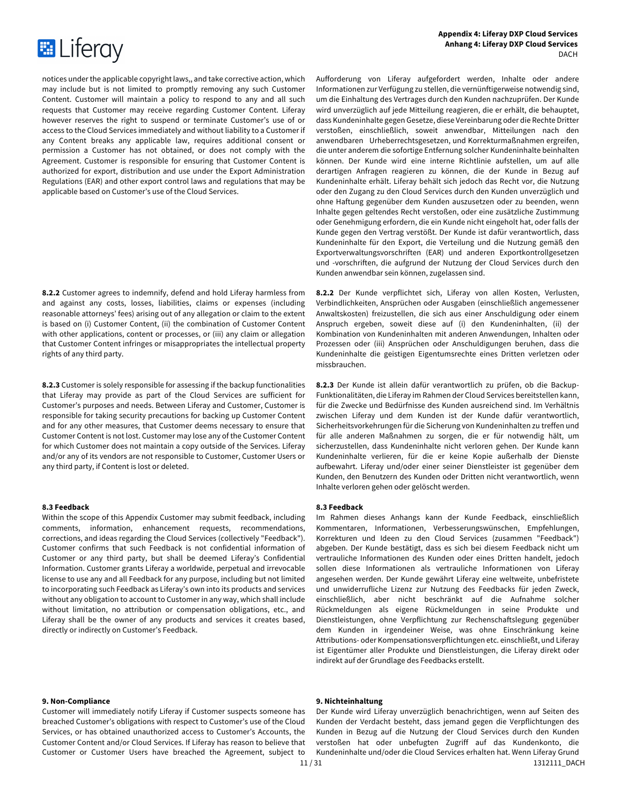

notices under the applicable copyright laws,, and take corrective action, which may include but is not limited to promptly removing any such Customer Content. Customer will maintain a policy to respond to any and all such requests that Customer may receive regarding Customer Content. Liferay however reserves the right to suspend or terminate Customer's use of or access to the Cloud Services immediately and without liability to a Customer if any Content breaks any applicable law, requires additional consent or permission a Customer has not obtained, or does not comply with the Agreement. Customer is responsible for ensuring that Customer Content is authorized for export, distribution and use under the Export Administration Regulations (EAR) and other export control laws and regulations that may be applicable based on Customer's use of the Cloud Services.

**8.2.2** Customer agrees to indemnify, defend and hold Liferay harmless from and against any costs, losses, liabilities, claims or expenses (including reasonable attorneys' fees) arising out of any allegation or claim to the extent is based on (i) Customer Content, (ii) the combination of Customer Content with other applications, content or processes, or (iii) any claim or allegation that Customer Content infringes or misappropriates the intellectual property rights of any third party.

**8.2.3** Customer is solely responsible for assessing if the backup functionalities that Liferay may provide as part of the Cloud Services are sufficient for Customer's purposes and needs. Between Liferay and Customer, Customer is responsible for taking security precautions for backing up Customer Content and for any other measures, that Customer deems necessary to ensure that Customer Content is not lost. Customer may lose any of the Customer Content for which Customer does not maintain a copy outside of the Services. Liferay and/or any of its vendors are not responsible to Customer, Customer Users or any third party, if Content is lost or deleted.

### **8.3 Feedback 8.3 Feedback**

Within the scope of this Appendix Customer may submit feedback, including comments, information, enhancement requests, recommendations, corrections, and ideas regarding the Cloud Services (collectively "Feedback"). Customer confirms that such Feedback is not confidential information of Customer or any third party, but shall be deemed Liferay's Confidential Information. Customer grants Liferay a worldwide, perpetual and irrevocable license to use any and all Feedback for any purpose, including but not limited to incorporating such Feedback as Liferay's own into its products and services without any obligation to account to Customer in any way, which shall include without limitation, no attribution or compensation obligations, etc., and Liferay shall be the owner of any products and services it creates based, directly or indirectly on Customer's Feedback.

# **9. Non-Compliance 9. Nichteinhaltung**

Customer will immediately notify Liferay if Customer suspects someone has breached Customer's obligations with respect to Customer's use of the Cloud Services, or has obtained unauthorized access to Customer's Accounts, the Customer Content and/or Cloud Services. If Liferay has reason to believe that Customer or Customer Users have breached the Agreement, subject to Aufforderung von Liferay aufgefordert werden, Inhalte oder andere Informationen zur Verfügung zu stellen, die vernünftigerweise notwendig sind, um die Einhaltung des Vertrages durch den Kunden nachzuprüfen. Der Kunde wird unverzüglich auf jede Mitteilung reagieren, die er erhält, die behauptet, dass Kundeninhalte gegen Gesetze, diese Vereinbarung oder die Rechte Dritter verstoßen, einschließlich, soweit anwendbar, Mitteilungen nach den anwendbaren Urheberrechtsgesetzen, und Korrekturmaßnahmen ergreifen, die unter anderem die sofortige Entfernung solcher Kundeninhalte beinhalten können. Der Kunde wird eine interne Richtlinie aufstellen, um auf alle derartigen Anfragen reagieren zu können, die der Kunde in Bezug auf Kundeninhalte erhält. Liferay behält sich jedoch das Recht vor, die Nutzung oder den Zugang zu den Cloud Services durch den Kunden unverzüglich und ohne Haftung gegenüber dem Kunden auszusetzen oder zu beenden, wenn Inhalte gegen geltendes Recht verstoßen, oder eine zusätzliche Zustimmung oder Genehmigung erfordern, die ein Kunde nicht eingeholt hat, oder falls der Kunde gegen den Vertrag verstößt. Der Kunde ist dafür verantwortlich, dass Kundeninhalte für den Export, die Verteilung und die Nutzung gemäß den Exportverwaltungsvorschriften (EAR) und anderen Exportkontrollgesetzen und -vorschriften, die aufgrund der Nutzung der Cloud Services durch den Kunden anwendbar sein können, zugelassen sind.

**8.2.2** Der Kunde verpflichtet sich, Liferay von allen Kosten, Verlusten, Verbindlichkeiten, Ansprüchen oder Ausgaben (einschließlich angemessener Anwaltskosten) freizustellen, die sich aus einer Anschuldigung oder einem Anspruch ergeben, soweit diese auf (i) den Kundeninhalten, (ii) der Kombination von Kundeninhalten mit anderen Anwendungen, Inhalten oder Prozessen oder (iii) Ansprüchen oder Anschuldigungen beruhen, dass die Kundeninhalte die geistigen Eigentumsrechte eines Dritten verletzen oder missbrauchen.

**8.2.3** Der Kunde ist allein dafür verantwortlich zu prüfen, ob die Backup-Funktionalitäten, die Liferay im Rahmen der Cloud Services bereitstellen kann, für die Zwecke und Bedürfnisse des Kunden ausreichend sind. Im Verhältnis zwischen Liferay und dem Kunden ist der Kunde dafür verantwortlich, Sicherheitsvorkehrungen für die Sicherung von Kundeninhalten zu treffen und für alle anderen Maßnahmen zu sorgen, die er für notwendig hält, um sicherzustellen, dass Kundeninhalte nicht verloren gehen. Der Kunde kann Kundeninhalte verlieren, für die er keine Kopie außerhalb der Dienste aufbewahrt. Liferay und/oder einer seiner Dienstleister ist gegenüber dem Kunden, den Benutzern des Kunden oder Dritten nicht verantwortlich, wenn Inhalte verloren gehen oder gelöscht werden.

Im Rahmen dieses Anhangs kann der Kunde Feedback, einschließlich Kommentaren, Informationen, Verbesserungswünschen, Empfehlungen, Korrekturen und Ideen zu den Cloud Services (zusammen "Feedback") abgeben. Der Kunde bestätigt, dass es sich bei diesem Feedback nicht um vertrauliche Informationen des Kunden oder eines Dritten handelt, jedoch sollen diese Informationen als vertrauliche Informationen von Liferay angesehen werden. Der Kunde gewährt Liferay eine weltweite, unbefristete und unwiderrufliche Lizenz zur Nutzung des Feedbacks für jeden Zweck, einschließlich, aber nicht beschränkt auf die Aufnahme solcher Rückmeldungen als eigene Rückmeldungen in seine Produkte und Dienstleistungen, ohne Verpflichtung zur Rechenschaftslegung gegenüber dem Kunden in irgendeiner Weise, was ohne Einschränkung keine Attributions- oder Kompensationsverpflichtungen etc. einschließt, und Liferay ist Eigentümer aller Produkte und Dienstleistungen, die Liferay direkt oder indirekt auf der Grundlage des Feedbacks erstellt.

11/31 12111 DACH Der Kunde wird Liferay unverzüglich benachrichtigen, wenn auf Seiten des Kunden der Verdacht besteht, dass jemand gegen die Verpflichtungen des Kunden in Bezug auf die Nutzung der Cloud Services durch den Kunden verstoßen hat oder unbefugten Zugriff auf das Kundenkonto, die Kundeninhalte und/oder die Cloud Services erhalten hat. Wenn Liferay Grund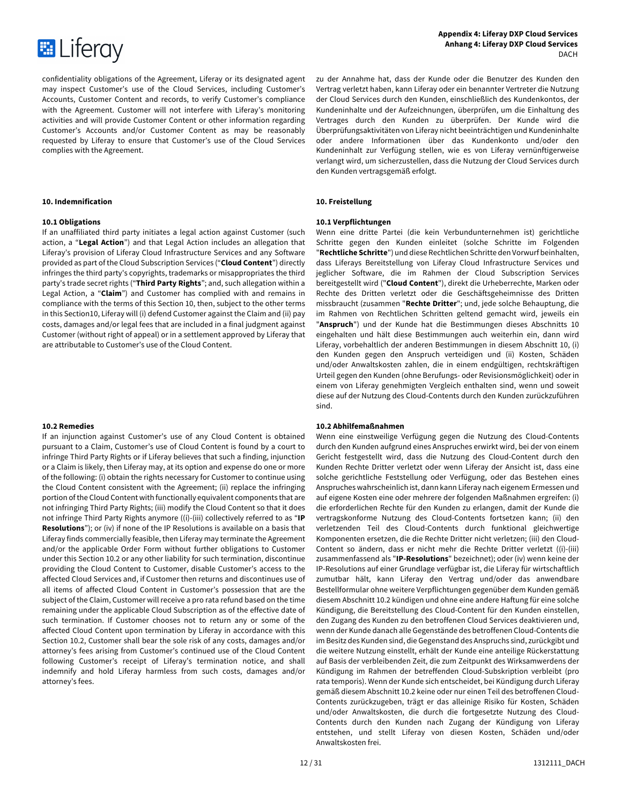

confidentiality obligations of the Agreement, Liferay or its designated agent may inspect Customer's use of the Cloud Services, including Customer's Accounts, Customer Content and records, to verify Customer's compliance with the Agreement. Customer will not interfere with Liferay's monitoring activities and will provide Customer Content or other information regarding Customer's Accounts and/or Customer Content as may be reasonably requested by Liferay to ensure that Customer's use of the Cloud Services complies with the Agreement.

# **10. Indemnification 10. Freistellung**

If an unaffiliated third party initiates a legal action against Customer (such action, a "**Legal Action**") and that Legal Action includes an allegation that Liferay's provision of Liferay Cloud Infrastructure Services and any Software provided as part of the Cloud Subscription Services ("**Cloud Content**") directly infringes the third party's copyrights, trademarks or misappropriates the third party's trade secret rights ("**Third Party Rights**"; and, such allegation within a Legal Action, a "**Claim**") and Customer has complied with and remains in compliance with the terms of this Section 10, then, subject to the other terms in this Section10, Liferay will (i) defend Customer against the Claim and (ii) pay costs, damages and/or legal fees that are included in a final judgment against Customer (without right of appeal) or in a settlement approved by Liferay that are attributable to Customer's use of the Cloud Content.

If an injunction against Customer's use of any Cloud Content is obtained pursuant to a Claim, Customer's use of Cloud Content is found by a court to infringe Third Party Rights or if Liferay believes that such a finding, injunction or a Claim is likely, then Liferay may, at its option and expense do one or more of the following: (i) obtain the rights necessary for Customer to continue using the Cloud Content consistent with the Agreement; (ii) replace the infringing portion of the Cloud Content with functionally equivalent components that are not infringing Third Party Rights; (iii) modify the Cloud Content so that it does not infringe Third Party Rights anymore ((i)-(iii) collectively referred to as "**IP Resolutions**"); or (iv) if none of the IP Resolutions is available on a basis that Liferay finds commercially feasible, then Liferay may terminate the Agreement and/or the applicable Order Form without further obligations to Customer under this Section 10.2 or any other liability for such termination, discontinue providing the Cloud Content to Customer, disable Customer's access to the affected Cloud Services and, if Customer then returns and discontinues use of all items of affected Cloud Content in Customer's possession that are the subject of the Claim, Customer will receive a pro rata refund based on the time remaining under the applicable Cloud Subscription as of the effective date of such termination. If Customer chooses not to return any or some of the affected Cloud Content upon termination by Liferay in accordance with this Section 10.2, Customer shall bear the sole risk of any costs, damages and/or attorney's fees arising from Customer's continued use of the Cloud Content following Customer's receipt of Liferay's termination notice, and shall indemnify and hold Liferay harmless from such costs, damages and/or attorney's fees.

zu der Annahme hat, dass der Kunde oder die Benutzer des Kunden den Vertrag verletzt haben, kann Liferay oder ein benannter Vertreter die Nutzung der Cloud Services durch den Kunden, einschließlich des Kundenkontos, der Kundeninhalte und der Aufzeichnungen, überprüfen, um die Einhaltung des Vertrages durch den Kunden zu überprüfen. Der Kunde wird die Überprüfungsaktivitäten von Liferay nicht beeinträchtigen und Kundeninhalte oder andere Informationen über das Kundenkonto und/oder den Kundeninhalt zur Verfügung stellen, wie es von Liferay vernünftigerweise verlangt wird, um sicherzustellen, dass die Nutzung der Cloud Services durch den Kunden vertragsgemäß erfolgt.

# **10.1 Obligations 10.1 Verpflichtungen**

Wenn eine dritte Partei (die kein Verbundunternehmen ist) gerichtliche Schritte gegen den Kunden einleitet (solche Schritte im Folgenden "**Rechtliche Schritte**") und diese Rechtlichen Schritte den Vorwurf beinhalten, dass Liferays Bereitstellung von Liferay Cloud Infrastructure Services und jeglicher Software, die im Rahmen der Cloud Subscription Services bereitgestellt wird ("**Cloud Content**"), direkt die Urheberrechte, Marken oder Rechte des Dritten verletzt oder die Geschäftsgeheimnisse des Dritten missbraucht (zusammen "**Rechte Dritter**"; und, jede solche Behauptung, die im Rahmen von Rechtlichen Schritten geltend gemacht wird, jeweils ein "**Anspruch**") und der Kunde hat die Bestimmungen dieses Abschnitts 10 eingehalten und hält diese Bestimmungen auch weiterhin ein, dann wird Liferay, vorbehaltlich der anderen Bestimmungen in diesem Abschnitt 10, (i) den Kunden gegen den Anspruch verteidigen und (ii) Kosten, Schäden und/oder Anwaltskosten zahlen, die in einem endgültigen, rechtskräftigen Urteil gegen den Kunden (ohne Berufungs- oder Revisionsmöglichkeit) oder in einem von Liferay genehmigten Vergleich enthalten sind, wenn und soweit diese auf der Nutzung des Cloud-Contents durch den Kunden zurückzuführen sind.

### **10.2 Remedies 10.2 Abhilfemaßnahmen**

Wenn eine einstweilige Verfügung gegen die Nutzung des Cloud-Contents durch den Kunden aufgrund eines Anspruches erwirkt wird, bei der von einem Gericht festgestellt wird, dass die Nutzung des Cloud-Content durch den Kunden Rechte Dritter verletzt oder wenn Liferay der Ansicht ist, dass eine solche gerichtliche Feststellung oder Verfügung, oder das Bestehen eines Anspruches wahrscheinlich ist, dann kann Liferay nach eigenem Ermessen und auf eigene Kosten eine oder mehrere der folgenden Maßnahmen ergreifen: (i) die erforderlichen Rechte für den Kunden zu erlangen, damit der Kunde die vertragskonforme Nutzung des Cloud-Contents fortsetzen kann; (ii) den verletzenden Teil des Cloud-Contents durch funktional gleichwertige Komponenten ersetzen, die die Rechte Dritter nicht verletzen; (iii) den Cloud-Content so ändern, dass er nicht mehr die Rechte Dritter verletzt ((i)-(iii) zusammenfassend als "**IP-Resolutions**" bezeichnet); oder (iv) wenn keine der IP-Resolutions auf einer Grundlage verfügbar ist, die Liferay für wirtschaftlich zumutbar hält, kann Liferay den Vertrag und/oder das anwendbare Bestellformular ohne weitere Verpflichtungen gegenüber dem Kunden gemäß diesem Abschnitt 10.2 kündigen und ohne eine andere Haftung für eine solche Kündigung, die Bereitstellung des Cloud-Content für den Kunden einstellen, den Zugang des Kunden zu den betroffenen Cloud Services deaktivieren und, wenn der Kunde danach alle Gegenstände des betroffenen Cloud-Contents die im Besitz des Kunden sind, die Gegenstand des Anspruchs sind, zurückgibt und die weitere Nutzung einstellt, erhält der Kunde eine anteilige Rückerstattung auf Basis der verbleibenden Zeit, die zum Zeitpunkt des Wirksamwerdens der Kündigung im Rahmen der betreffenden Cloud-Subskription verbleibt (pro rata temporis). Wenn der Kunde sich entscheidet, bei Kündigung durch Liferay gemäß diesem Abschnitt 10.2 keine oder nur einen Teil des betroffenen Cloud-Contents zurückzugeben, trägt er das alleinige Risiko für Kosten, Schäden und/oder Anwaltskosten, die durch die fortgesetzte Nutzung des Cloud-Contents durch den Kunden nach Zugang der Kündigung von Liferay entstehen, und stellt Liferay von diesen Kosten, Schäden und/oder Anwaltskosten frei.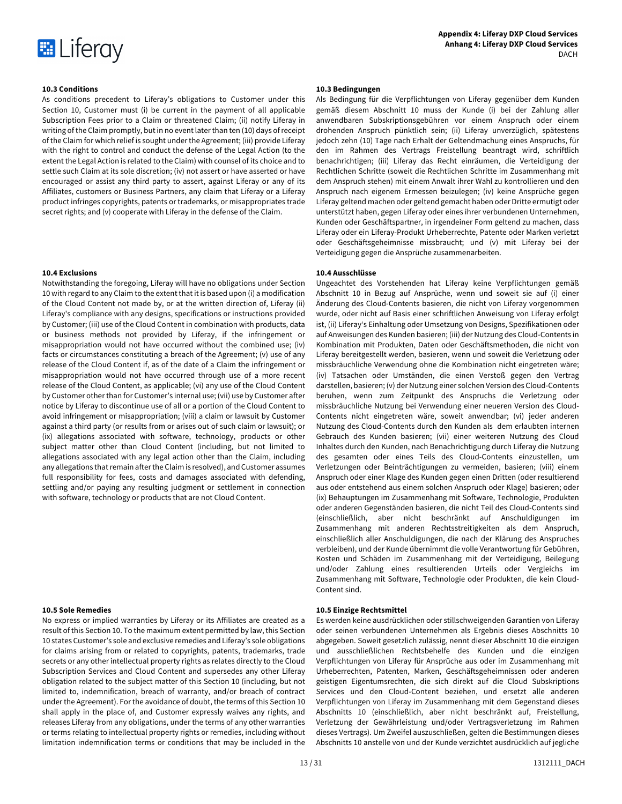

As conditions precedent to Liferay's obligations to Customer under this Section 10, Customer must (i) be current in the payment of all applicable Subscription Fees prior to a Claim or threatened Claim; (ii) notify Liferay in writing of the Claim promptly, but in no event later than ten (10) days of receipt of the Claim for which relief is sought under the Agreement; (iii) provide Liferay with the right to control and conduct the defense of the Legal Action (to the extent the Legal Action is related to the Claim) with counsel of its choice and to settle such Claim at its sole discretion; (iv) not assert or have asserted or have encouraged or assist any third party to assert, against Liferay or any of its Affiliates, customers or Business Partners, any claim that Liferay or a Liferay product infringes copyrights, patents or trademarks, or misappropriates trade secret rights; and (v) cooperate with Liferay in the defense of the Claim.

Notwithstanding the foregoing, Liferay will have no obligations under Section 10 with regard to any Claim to the extent that it is based upon (i) a modification of the Cloud Content not made by, or at the written direction of, Liferay (ii) Liferay's compliance with any designs, specifications or instructions provided by Customer; (iii) use of the Cloud Content in combination with products, data or business methods not provided by Liferay, if the infringement or misappropriation would not have occurred without the combined use; (iv) facts or circumstances constituting a breach of the Agreement; (v) use of any release of the Cloud Content if, as of the date of a Claim the infringement or misappropriation would not have occurred through use of a more recent release of the Cloud Content, as applicable; (vi) any use of the Cloud Content by Customer other than for Customer's internal use; (vii) use by Customer after notice by Liferay to discontinue use of all or a portion of the Cloud Content to avoid infringement or misappropriation; (viii) a claim or lawsuit by Customer against a third party (or results from or arises out of such claim or lawsuit); or (ix) allegations associated with software, technology, products or other subject matter other than Cloud Content (including, but not limited to allegations associated with any legal action other than the Claim, including any allegations that remain after the Claim is resolved), and Customer assumes full responsibility for fees, costs and damages associated with defending, settling and/or paying any resulting judgment or settlement in connection with software, technology or products that are not Cloud Content.

No express or implied warranties by Liferay or its Affiliates are created as a result of this Section 10. To the maximum extent permitted by law, this Section 10 states Customer's sole and exclusive remedies and Liferay's sole obligations for claims arising from or related to copyrights, patents, trademarks, trade secrets or any other intellectual property rights as relates directly to the Cloud Subscription Services and Cloud Content and supersedes any other Liferay obligation related to the subject matter of this Section 10 (including, but not limited to, indemnification, breach of warranty, and/or breach of contract under the Agreement). For the avoidance of doubt, the terms of this Section 10 shall apply in the place of, and Customer expressly waives any rights, and releases Liferay from any obligations, under the terms of any other warranties or terms relating to intellectual property rights or remedies, including without limitation indemnification terms or conditions that may be included in the

# **10.3 Conditions 10.3 Bedingungen**

Als Bedingung für die Verpflichtungen von Liferay gegenüber dem Kunden gemäß diesem Abschnitt 10 muss der Kunde (i) bei der Zahlung aller anwendbaren Subskriptionsgebühren vor einem Anspruch oder einem drohenden Anspruch pünktlich sein; (ii) Liferay unverzüglich, spätestens jedoch zehn (10) Tage nach Erhalt der Geltendmachung eines Anspruchs, für den im Rahmen des Vertrags Freistellung beantragt wird, schriftlich benachrichtigen; (iii) Liferay das Recht einräumen, die Verteidigung der Rechtlichen Schritte (soweit die Rechtlichen Schritte im Zusammenhang mit dem Anspruch stehen) mit einem Anwalt ihrer Wahl zu kontrollieren und den Anspruch nach eigenem Ermessen beizulegen; (iv) keine Ansprüche gegen Liferay geltend machen oder geltend gemacht haben oder Dritte ermutigt oder unterstützt haben, gegen Liferay oder eines ihrer verbundenen Unternehmen, Kunden oder Geschäftspartner, in irgendeiner Form geltend zu machen, dass Liferay oder ein Liferay-Produkt Urheberrechte, Patente oder Marken verletzt oder Geschäftsgeheimnisse missbraucht; und (v) mit Liferay bei der Verteidigung gegen die Ansprüche zusammenarbeiten.

# **10.4 Exclusions 10.4 Ausschlüsse**

Ungeachtet des Vorstehenden hat Liferay keine Verpflichtungen gemäß Abschnitt 10 in Bezug auf Ansprüche, wenn und soweit sie auf (i) einer Änderung des Cloud-Contents basieren, die nicht von Liferay vorgenommen wurde, oder nicht auf Basis einer schriftlichen Anweisung von Liferay erfolgt ist, (ii) Liferay's Einhaltung oder Umsetzung von Designs, Spezifikationen oder auf Anweisungen des Kunden basieren; (iii) der Nutzung des Cloud-Contents in Kombination mit Produkten, Daten oder Geschäftsmethoden, die nicht von Liferay bereitgestellt werden, basieren, wenn und soweit die Verletzung oder missbräuchliche Verwendung ohne die Kombination nicht eingetreten wäre; (iv) Tatsachen oder Umständen, die einen Verstoß gegen den Vertrag darstellen, basieren; (v) der Nutzung einer solchen Version des Cloud-Contents beruhen, wenn zum Zeitpunkt des Anspruchs die Verletzung oder missbräuchliche Nutzung bei Verwendung einer neueren Version des Cloud-Contents nicht eingetreten wäre, soweit anwendbar; (vi) jeder anderen Nutzung des Cloud-Contents durch den Kunden als dem erlaubten internen Gebrauch des Kunden basieren; (vii) einer weiteren Nutzung des Cloud Inhaltes durch den Kunden, nach Benachrichtigung durch Liferay die Nutzung des gesamten oder eines Teils des Cloud-Contents einzustellen, um Verletzungen oder Beinträchtigungen zu vermeiden, basieren; (viii) einem Anspruch oder einer Klage des Kunden gegen einen Dritten (oder resultierend aus oder entstehend aus einem solchen Anspruch oder Klage) basieren; oder (ix) Behauptungen im Zusammenhang mit Software, Technologie, Produkten oder anderen Gegenständen basieren, die nicht Teil des Cloud-Contents sind (einschließlich, aber nicht beschränkt auf Anschuldigungen im Zusammenhang mit anderen Rechtsstreitigkeiten als dem Anspruch, einschließlich aller Anschuldigungen, die nach der Klärung des Anspruches verbleiben), und der Kunde übernimmt die volle Verantwortung für Gebühren, Kosten und Schäden im Zusammenhang mit der Verteidigung, Beilegung und/oder Zahlung eines resultierenden Urteils oder Vergleichs im Zusammenhang mit Software, Technologie oder Produkten, die kein Cloud-Content sind.

# **10.5 Sole Remedies 10.5 Einzige Rechtsmittel**

Es werden keine ausdrücklichen oder stillschweigenden Garantien von Liferay oder seinen verbundenen Unternehmen als Ergebnis dieses Abschnitts 10 abgegeben. Soweit gesetzlich zulässig, nennt dieser Abschnitt 10 die einzigen und ausschließlichen Rechtsbehelfe des Kunden und die einzigen Verpflichtungen von Liferay für Ansprüche aus oder im Zusammenhang mit Urheberrechten, Patenten, Marken, Geschäftsgeheimnissen oder anderen geistigen Eigentumsrechten, die sich direkt auf die Cloud Subskriptions Services und den Cloud-Content beziehen, und ersetzt alle anderen Verpflichtungen von Liferay im Zusammenhang mit dem Gegenstand dieses Abschnitts 10 (einschließlich, aber nicht beschränkt auf, Freistellung, Verletzung der Gewährleistung und/oder Vertragsverletzung im Rahmen dieses Vertrags). Um Zweifel auszuschließen, gelten die Bestimmungen dieses Abschnitts 10 anstelle von und der Kunde verzichtet ausdrücklich auf jegliche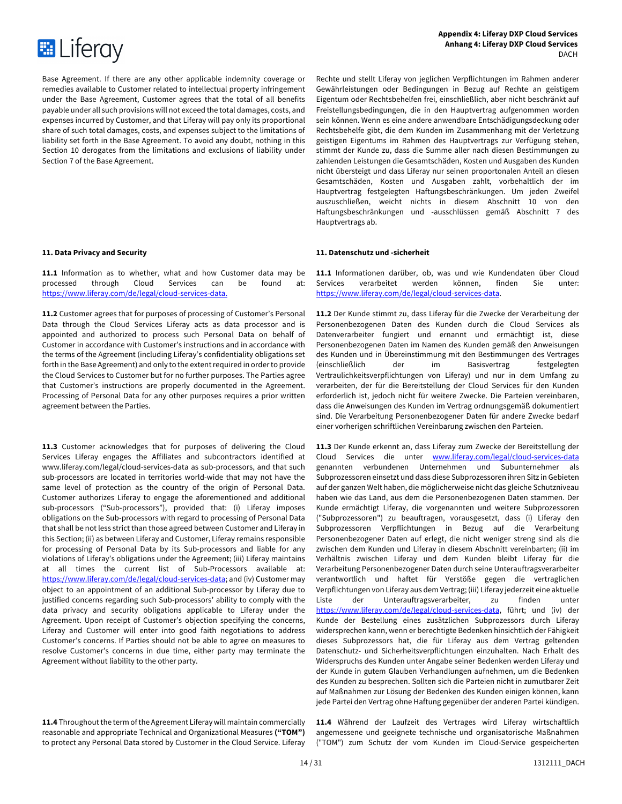

**Appendix 4: Liferay DXP Cloud Services Anhang 4: Liferay DXP Cloud Services DACH** 

Base Agreement. If there are any other applicable indemnity coverage or remedies available to Customer related to intellectual property infringement under the Base Agreement, Customer agrees that the total of all benefits payable under all such provisions will not exceed the total damages, costs, and expenses incurred by Customer, and that Liferay will pay only its proportional share of such total damages, costs, and expenses subject to the limitations of liability set forth in the Base Agreement. To avoid any doubt, nothing in this Section 10 derogates from the limitations and exclusions of liability under Section 7 of the Base Agreement.

**11.1** Information as to whether, what and how Customer data may be processed through Cloud Services can be found at: https://www.liferay.com/de/legal/cloud-services-data.

**11.2** Customer agrees that for purposes of processing of Customer's Personal Data through the Cloud Services Liferay acts as data processor and is appointed and authorized to process such Personal Data on behalf of Customer in accordance with Customer's instructions and in accordance with the terms of the Agreement (including Liferay's confidentiality obligations set forth in the Base Agreement) and only to the extent required in order to provide the Cloud Services to Customer but for no further purposes. The Parties agree that Customer's instructions are properly documented in the Agreement. Processing of Personal Data for any other purposes requires a prior written agreement between the Parties.

11.3 Customer acknowledges that for purposes of delivering the Cloud Services Liferay engages the Affiliates and subcontractors identified at www.liferay.com/legal/cloud-services-data as sub-processors, and that such sub-processors are located in territories world-wide that may not have the same level of protection as the country of the origin of Personal Data. Customer authorizes Liferay to engage the aforementioned and additional sub-processors ("Sub-processors"), provided that: (i) Liferay imposes obligations on the Sub-processors with regard to processing of Personal Data that shall be not less strict than those agreed between Customer and Liferay in this Section; (ii) as between Liferay and Customer, Liferay remains responsible for processing of Personal Data by its Sub-processors and liable for any violations of Liferay's obligations under the Agreement; (iii) Liferay maintains at all times the current list of Sub-Processors available at: https://www.liferay.com/de/legal/cloud-services-data; and (iv) Customer may object to an appointment of an additional Sub-processor by Liferay due to justified concerns regarding such Sub-processors' ability to comply with the data privacy and security obligations applicable to Liferay under the Agreement. Upon receipt of Customer's objection specifying the concerns, Liferay and Customer will enter into good faith negotiations to address Customer's concerns. If Parties should not be able to agree on measures to resolve Customer's concerns in due time, either party may terminate the Agreement without liability to the other party.

**11.4** Throughout the term of the Agreement Liferay will maintain commercially reasonable and appropriate Technical and Organizational Measures **("TOM")**  to protect any Personal Data stored by Customer in the Cloud Service. Liferay

Rechte und stellt Liferay von jeglichen Verpflichtungen im Rahmen anderer Gewährleistungen oder Bedingungen in Bezug auf Rechte an geistigem Eigentum oder Rechtsbehelfen frei, einschließlich, aber nicht beschränkt auf Freistellungsbedingungen, die in den Hauptvertrag aufgenommen worden sein können. Wenn es eine andere anwendbare Entschädigungsdeckung oder Rechtsbehelfe gibt, die dem Kunden im Zusammenhang mit der Verletzung geistigen Eigentums im Rahmen des Hauptvertrags zur Verfügung stehen, stimmt der Kunde zu, dass die Summe aller nach diesen Bestimmungen zu zahlenden Leistungen die Gesamtschäden, Kosten und Ausgaben des Kunden nicht übersteigt und dass Liferay nur seinen proportonalen Anteil an diesen Gesamtschäden, Kosten und Ausgaben zahlt, vorbehaltlich der im Hauptvertrag festgelegten Haftungsbeschränkungen. Um jeden Zweifel auszuschließen, weicht nichts in diesem Abschnitt 10 von den Haftungsbeschränkungen und -ausschlüssen gemäß Abschnitt 7 des Hauptvertrags ab.

# **11. Data Privacy and Security 11. Datenschutz und -sicherheit**

**11.1** Informationen darüber, ob, was und wie Kundendaten über Cloud Services verarbeitet werden können, finden Sie unter: https://www.liferay.com/de/legal/cloud-services-data.

**11.2** Der Kunde stimmt zu, dass Liferay für die Zwecke der Verarbeitung der Personenbezogenen Daten des Kunden durch die Cloud Services als Datenverarbeiter fungiert und ernannt und ermächtigt ist, diese Personenbezogenen Daten im Namen des Kunden gemäß den Anweisungen des Kunden und in Übereinstimmung mit den Bestimmungen des Vertrages (einschließlich der im Basisvertrag festgelegten Vertraulichkeitsverpflichtungen von Liferay) und nur in dem Umfang zu verarbeiten, der für die Bereitstellung der Cloud Services für den Kunden erforderlich ist, jedoch nicht für weitere Zwecke. Die Parteien vereinbaren, dass die Anweisungen des Kunden im Vertrag ordnungsgemäß dokumentiert sind. Die Verarbeitung Personenbezogener Daten für andere Zwecke bedarf einer vorherigen schriftlichen Vereinbarung zwischen den Parteien.

**11.3** Der Kunde erkennt an, dass Liferay zum Zwecke der Bereitstellung der Cloud Services die unter www.liferay.com/legal/cloud-services-data genannten verbundenen Unternehmen und Subunternehmer als Subprozessoren einsetzt und dass diese Subprozessoren ihren Sitz in Gebieten auf der ganzen Welt haben, die möglicherweise nicht das gleiche Schutzniveau haben wie das Land, aus dem die Personenbezogenen Daten stammen. Der Kunde ermächtigt Liferay, die vorgenannten und weitere Subprozessoren ("Subprozessoren") zu beauftragen, vorausgesetzt, dass (i) Liferay den Subprozessoren Verpflichtungen in Bezug auf die Verarbeitung Personenbezogener Daten auf erlegt, die nicht weniger streng sind als die zwischen dem Kunden und Liferay in diesem Abschnitt vereinbarten; (ii) im Verhältnis zwischen Liferay und dem Kunden bleibt Liferay für die Verarbeitung Personenbezogener Daten durch seine Unterauftragsverarbeiter verantwortlich und haftet für Verstöße gegen die vertraglichen Verpflichtungen von Liferay aus dem Vertrag; (iii) Liferay jederzeit eine aktuelle Liste der Unterauftragsverarbeiter, zu finden unter https://www.liferay.com/de/legal/cloud-services-data, führt; und (iv) der Kunde der Bestellung eines zusätzlichen Subprozessors durch Liferay widersprechen kann, wenn er berechtigte Bedenken hinsichtlich der Fähigkeit dieses Subprozessors hat, die für Liferay aus dem Vertrag geltenden Datenschutz- und Sicherheitsverpflichtungen einzuhalten. Nach Erhalt des Widerspruchs des Kunden unter Angabe seiner Bedenken werden Liferay und der Kunde in gutem Glauben Verhandlungen aufnehmen, um die Bedenken des Kunden zu besprechen. Sollten sich die Parteien nicht in zumutbarer Zeit auf Maßnahmen zur Lösung der Bedenken des Kunden einigen können, kann jede Partei den Vertrag ohne Haftung gegenüber der anderen Partei kündigen.

**11.4** Während der Laufzeit des Vertrages wird Liferay wirtschaftlich angemessene und geeignete technische und organisatorische Maßnahmen ("TOM") zum Schutz der vom Kunden im Cloud-Service gespeicherten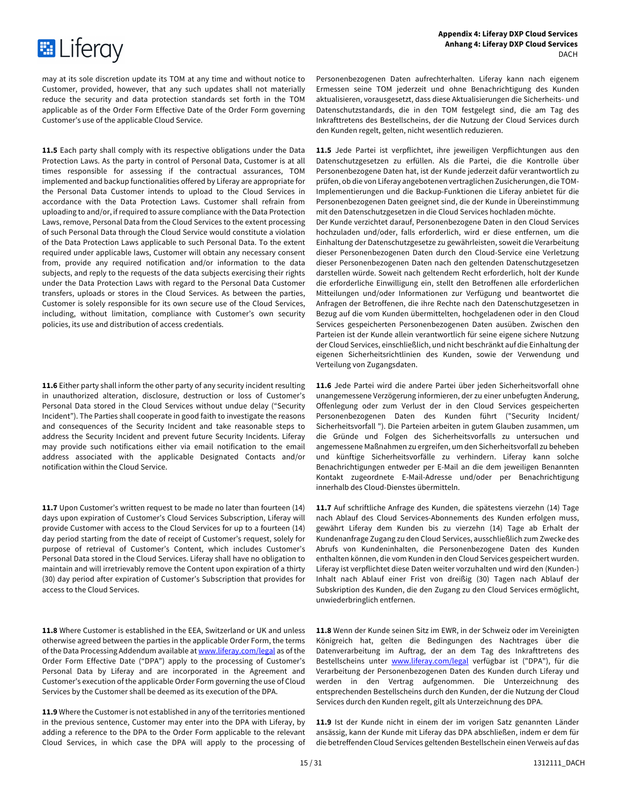

may at its sole discretion update its TOM at any time and without notice to Customer, provided, however, that any such updates shall not materially reduce the security and data protection standards set forth in the TOM applicable as of the Order Form Effective Date of the Order Form governing Customer's use of the applicable Cloud Service.

**11.5** Each party shall comply with its respective obligations under the Data Protection Laws. As the party in control of Personal Data, Customer is at all times responsible for assessing if the contractual assurances, TOM implemented and backup functionalities offered by Liferay are appropriate for the Personal Data Customer intends to upload to the Cloud Services in accordance with the Data Protection Laws. Customer shall refrain from uploading to and/or, if required to assure compliance with the Data Protection Laws, remove, Personal Data from the Cloud Services to the extent processing of such Personal Data through the Cloud Service would constitute a violation of the Data Protection Laws applicable to such Personal Data. To the extent required under applicable laws, Customer will obtain any necessary consent from, provide any required notification and/or information to the data subjects, and reply to the requests of the data subjects exercising their rights under the Data Protection Laws with regard to the Personal Data Customer transfers, uploads or stores in the Cloud Services. As between the parties, Customer is solely responsible for its own secure use of the Cloud Services, including, without limitation, compliance with Customer's own security policies, its use and distribution of access credentials.

**11.6** Either party shall inform the other party of any security incident resulting in unauthorized alteration, disclosure, destruction or loss of Customer's Personal Data stored in the Cloud Services without undue delay ("Security Incident"). The Parties shall cooperate in good faith to investigate the reasons and consequences of the Security Incident and take reasonable steps to address the Security Incident and prevent future Security Incidents. Liferay may provide such notifications either via email notification to the email address associated with the applicable Designated Contacts and/or notification within the Cloud Service.

**11.7** Upon Customer's written request to be made no later than fourteen (14) days upon expiration of Customer's Cloud Services Subscription, Liferay will provide Customer with access to the Cloud Services for up to a fourteen (14) day period starting from the date of receipt of Customer's request, solely for purpose of retrieval of Customer's Content, which includes Customer's Personal Data stored in the Cloud Services. Liferay shall have no obligation to maintain and will irretrievably remove the Content upon expiration of a thirty (30) day period after expiration of Customer's Subscription that provides for access to the Cloud Services.

**11.8** Where Customer is established in the EEA, Switzerland or UK and unless otherwise agreed between the parties in the applicable Order Form, the terms of the Data Processing Addendum available at www.liferay.com/legal as of the Order Form Effective Date ("DPA") apply to the processing of Customer's Personal Data by Liferay and are incorporated in the Agreement and Customer's execution of the applicable Order Form governing the use of Cloud Services by the Customer shall be deemed as its execution of the DPA.

**11.9** Where the Customer is not established in any of the territories mentioned in the previous sentence, Customer may enter into the DPA with Liferay, by adding a reference to the DPA to the Order Form applicable to the relevant Cloud Services, in which case the DPA will apply to the processing of Personenbezogenen Daten aufrechterhalten. Liferay kann nach eigenem Ermessen seine TOM jederzeit und ohne Benachrichtigung des Kunden aktualisieren, vorausgesetzt, dass diese Aktualisierungen die Sicherheits- und Datenschutzstandards, die in den TOM festgelegt sind, die am Tag des Inkrafttretens des Bestellscheins, der die Nutzung der Cloud Services durch den Kunden regelt, gelten, nicht wesentlich reduzieren.

**11.5** Jede Partei ist verpflichtet, ihre jeweiligen Verpflichtungen aus den Datenschutzgesetzen zu erfüllen. Als die Partei, die die Kontrolle über Personenbezogene Daten hat, ist der Kunde jederzeit dafür verantwortlich zu prüfen, ob die von Liferay angebotenen vertraglichen Zusicherungen, die TOM-Implementierungen und die Backup-Funktionen die Liferay anbietet für die Personenbezogenen Daten geeignet sind, die der Kunde in Übereinstimmung mit den Datenschutzgesetzen in die Cloud Services hochladen möchte.

Der Kunde verzichtet darauf, Personenbezogene Daten in den Cloud Services hochzuladen und/oder, falls erforderlich, wird er diese entfernen, um die Einhaltung der Datenschutzgesetze zu gewährleisten, soweit die Verarbeitung dieser Personenbezogenen Daten durch den Cloud-Service eine Verletzung dieser Personenbezogenen Daten nach den geltenden Datenschutzgesetzen darstellen würde. Soweit nach geltendem Recht erforderlich, holt der Kunde die erforderliche Einwilligung ein, stellt den Betroffenen alle erforderlichen Mitteilungen und/oder Informationen zur Verfügung und beantwortet die Anfragen der Betroffenen, die ihre Rechte nach den Datenschutzgesetzen in Bezug auf die vom Kunden übermittelten, hochgeladenen oder in den Cloud Services gespeicherten Personenbezogenen Daten ausüben. Zwischen den Parteien ist der Kunde allein verantwortlich für seine eigene sichere Nutzung der Cloud Services, einschließlich, und nicht beschränkt auf die Einhaltung der eigenen Sicherheitsrichtlinien des Kunden, sowie der Verwendung und Verteilung von Zugangsdaten.

**11.6** Jede Partei wird die andere Partei über jeden Sicherheitsvorfall ohne unangemessene Verzögerung informieren, der zu einer unbefugten Änderung, Offenlegung oder zum Verlust der in den Cloud Services gespeicherten Personenbezogenen Daten des Kunden führt ("Security Incident/ Sicherheitsvorfall "). Die Parteien arbeiten in gutem Glauben zusammen, um die Gründe und Folgen des Sicherheitsvorfalls zu untersuchen und angemessene Maßnahmen zu ergreifen, um den Sicherheitsvorfall zu beheben und künftige Sicherheitsvorfälle zu verhindern. Liferay kann solche Benachrichtigungen entweder per E-Mail an die dem jeweiligen Benannten Kontakt zugeordnete E-Mail-Adresse und/oder per Benachrichtigung innerhalb des Cloud-Dienstes übermitteln.

**11.7** Auf schriftliche Anfrage des Kunden, die spätestens vierzehn (14) Tage nach Ablauf des Cloud Services-Abonnements des Kunden erfolgen muss, gewährt Liferay dem Kunden bis zu vierzehn (14) Tage ab Erhalt der Kundenanfrage Zugang zu den Cloud Services, ausschließlich zum Zwecke des Abrufs von Kundeninhalten, die Personenbezogene Daten des Kunden enthalten können, die vom Kunden in den Cloud Services gespeichert wurden. Liferay ist verpflichtet diese Daten weiter vorzuhalten und wird den (Kunden-) Inhalt nach Ablauf einer Frist von dreißig (30) Tagen nach Ablauf der Subskription des Kunden, die den Zugang zu den Cloud Services ermöglicht, unwiederbringlich entfernen.

**11.8** Wenn der Kunde seinen Sitz im EWR, in der Schweiz oder im Vereinigten Königreich hat, gelten die Bedingungen des Nachtrages über die Datenverarbeitung im Auftrag, der an dem Tag des Inkrafttretens des Bestellscheins unter www.liferay.com/legal verfügbar ist ("DPA"), für die Verarbeitung der Personenbezogenen Daten des Kunden durch Liferay und werden in den Vertrag aufgenommen. Die Unterzeichnung des entsprechenden Bestellscheins durch den Kunden, der die Nutzung der Cloud Services durch den Kunden regelt, gilt als Unterzeichnung des DPA.

**11.9** Ist der Kunde nicht in einem der im vorigen Satz genannten Länder ansässig, kann der Kunde mit Liferay das DPA abschließen, indem er dem für die betreffenden Cloud Services geltenden Bestellschein einen Verweis auf das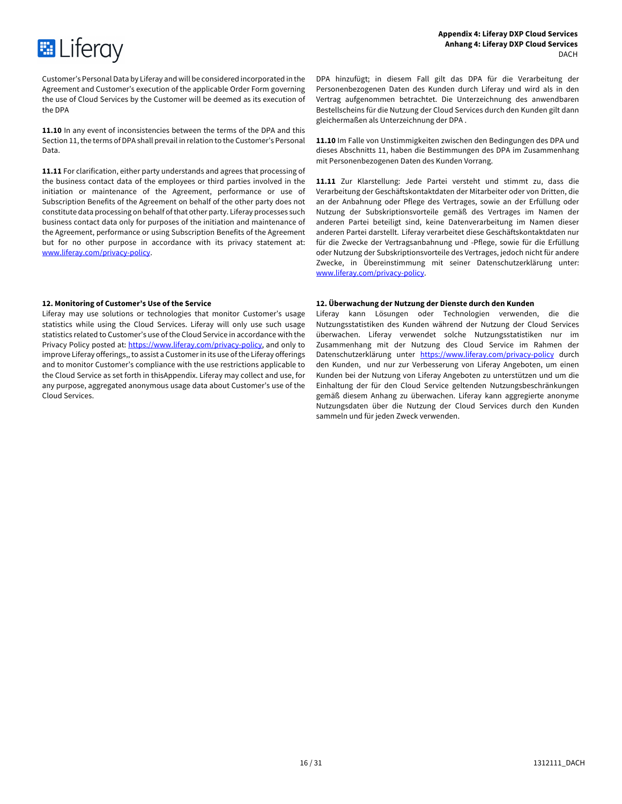

Customer's Personal Data by Liferay and will be considered incorporated in the Agreement and Customer's execution of the applicable Order Form governing the use of Cloud Services by the Customer will be deemed as its execution of the DPA

**11.10** In any event of inconsistencies between the terms of the DPA and this Section 11, the terms of DPA shall prevail in relation to the Customer's Personal Data.

**11.11** For clarification, either party understands and agrees that processing of the business contact data of the employees or third parties involved in the initiation or maintenance of the Agreement, performance or use of Subscription Benefits of the Agreement on behalf of the other party does not constitute data processing on behalf of that other party. Liferay processes such business contact data only for purposes of the initiation and maintenance of the Agreement, performance or using Subscription Benefits of the Agreement but for no other purpose in accordance with its privacy statement at: www.liferay.com/privacy-policy.

Liferay may use solutions or technologies that monitor Customer's usage statistics while using the Cloud Services. Liferay will only use such usage statistics related to Customer's use of the Cloud Service in accordance with the Privacy Policy posted at: https://www.liferay.com/privacy-policy, and only to improve Liferay offerings,, to assist a Customer in its use of the Liferay offerings and to monitor Customer's compliance with the use restrictions applicable to the Cloud Service as set forth in thisAppendix. Liferay may collect and use, for any purpose, aggregated anonymous usage data about Customer's use of the Cloud Services.

DPA hinzufügt; in diesem Fall gilt das DPA für die Verarbeitung der Personenbezogenen Daten des Kunden durch Liferay und wird als in den Vertrag aufgenommen betrachtet. Die Unterzeichnung des anwendbaren Bestellscheins für die Nutzung der Cloud Services durch den Kunden gilt dann gleichermaßen als Unterzeichnung der DPA .

**11.10** Im Falle von Unstimmigkeiten zwischen den Bedingungen des DPA und dieses Abschnitts 11, haben die Bestimmungen des DPA im Zusammenhang mit Personenbezogenen Daten des Kunden Vorrang.

**11.11** Zur Klarstellung: Jede Partei versteht und stimmt zu, dass die Verarbeitung der Geschäftskontaktdaten der Mitarbeiter oder von Dritten, die an der Anbahnung oder Pflege des Vertrages, sowie an der Erfüllung oder Nutzung der Subskriptionsvorteile gemäß des Vertrages im Namen der anderen Partei beteiligt sind, keine Datenverarbeitung im Namen dieser anderen Partei darstellt. Liferay verarbeitet diese Geschäftskontaktdaten nur für die Zwecke der Vertragsanbahnung und -Pflege, sowie für die Erfüllung oder Nutzung der Subskriptionsvorteile des Vertrages, jedoch nicht für andere Zwecke, in Übereinstimmung mit seiner Datenschutzerklärung unter: www.liferay.com/privacy-policy.

# **12. Monitoring of Customer's Use of the Service 12. Überwachung der Nutzung der Dienste durch den Kunden**

Liferay kann Lösungen oder Technologien verwenden, die die Nutzungsstatistiken des Kunden während der Nutzung der Cloud Services überwachen. Liferay verwendet solche Nutzungsstatistiken nur im Zusammenhang mit der Nutzung des Cloud Service im Rahmen der Datenschutzerklärung unter https://www.liferay.com/privacy-policy durch den Kunden, und nur zur Verbesserung von Liferay Angeboten, um einen Kunden bei der Nutzung von Liferay Angeboten zu unterstützen und um die Einhaltung der für den Cloud Service geltenden Nutzungsbeschränkungen gemäß diesem Anhang zu überwachen. Liferay kann aggregierte anonyme Nutzungsdaten über die Nutzung der Cloud Services durch den Kunden sammeln und für jeden Zweck verwenden.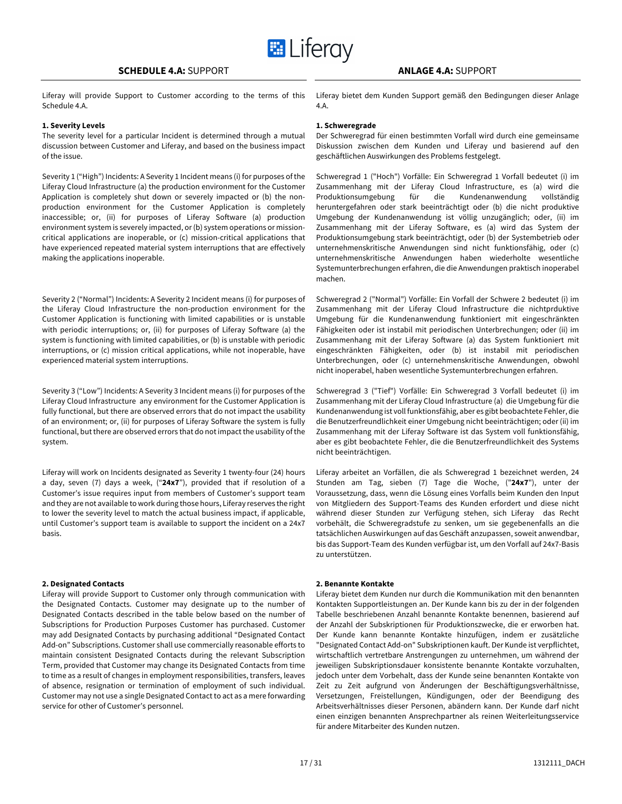Liferay will provide Support to Customer according to the terms of this Schedule 4.A.

# **1. Severity Levels 1. Schweregrade**

The severity level for a particular Incident is determined through a mutual discussion between Customer and Liferay, and based on the business impact of the issue.

Severity 1 ("High") Incidents: A Severity 1 Incident means (i) for purposes of the Liferay Cloud Infrastructure (a) the production environment for the Customer Application is completely shut down or severely impacted or (b) the nonproduction environment for the Customer Application is completely inaccessible; or, (ii) for purposes of Liferay Software (a) production environment system is severely impacted, or (b) system operations or missioncritical applications are inoperable, or (c) mission-critical applications that have experienced repeated material system interruptions that are effectively making the applications inoperable.

Severity 2 ("Normal") Incidents: A Severity 2 Incident means (i) for purposes of the Liferay Cloud Infrastructure the non-production environment for the Customer Application is functioning with limited capabilities or is unstable with periodic interruptions; or, (ii) for purposes of Liferay Software (a) the system is functioning with limited capabilities, or (b) is unstable with periodic interruptions, or (c) mission critical applications, while not inoperable, have experienced material system interruptions.

Severity 3 ("Low") Incidents: A Severity 3 Incident means (i) for purposes of the Liferay Cloud Infrastructure any environment for the Customer Application is fully functional, but there are observed errors that do not impact the usability of an environment; or, (ii) for purposes of Liferay Software the system is fully functional, but there are observed errors that do not impact the usability of the system.

Liferay will work on Incidents designated as Severity 1 twenty-four (24) hours a day, seven (7) days a week, ("**24x7**"), provided that if resolution of a Customer's issue requires input from members of Customer's support team and they are not available to work during those hours, Liferay reserves the right to lower the severity level to match the actual business impact, if applicable, until Customer's support team is available to support the incident on a 24x7 basis.

# **2. Designated Contacts 2. Benannte Kontakte**

Liferay will provide Support to Customer only through communication with the Designated Contacts. Customer may designate up to the number of Designated Contacts described in the table below based on the number of Subscriptions for Production Purposes Customer has purchased. Customer may add Designated Contacts by purchasing additional "Designated Contact Add-on" Subscriptions. Customer shall use commercially reasonable efforts to maintain consistent Designated Contacts during the relevant Subscription Term, provided that Customer may change its Designated Contacts from time to time as a result of changes in employment responsibilities, transfers, leaves of absence, resignation or termination of employment of such individual. Customer may not use a single Designated Contact to act as a mere forwarding service for other of Customer's personnel.

Liferay bietet dem Kunden Support gemäß den Bedingungen dieser Anlage 4.A.

Der Schweregrad für einen bestimmten Vorfall wird durch eine gemeinsame Diskussion zwischen dem Kunden und Liferay und basierend auf den geschäftlichen Auswirkungen des Problems festgelegt.

Schweregrad 1 ("Hoch") Vorfälle: Ein Schweregrad 1 Vorfall bedeutet (i) im Zusammenhang mit der Liferay Cloud Infrastructure, es (a) wird die Produktionsumgebung für die Kundenanwendung vollständig heruntergefahren oder stark beeinträchtigt oder (b) die nicht produktive Umgebung der Kundenanwendung ist völlig unzugänglich; oder, (ii) im Zusammenhang mit der Liferay Software, es (a) wird das System der Produktionsumgebung stark beeinträchtigt, oder (b) der Systembetrieb oder unternehmenskritische Anwendungen sind nicht funktionsfähig, oder (c) unternehmenskritische Anwendungen haben wiederholte wesentliche Systemunterbrechungen erfahren, die die Anwendungen praktisch inoperabel machen.

Schweregrad 2 ("Normal") Vorfälle: Ein Vorfall der Schwere 2 bedeutet (i) im Zusammenhang mit der Liferay Cloud Infrastructure die nichtprduktive Umgebung für die Kundenanwendung funktioniert mit eingeschränkten Fähigkeiten oder ist instabil mit periodischen Unterbrechungen; oder (ii) im Zusammenhang mit der Liferay Software (a) das System funktioniert mit eingeschränkten Fähigkeiten, oder (b) ist instabil mit periodischen Unterbrechungen, oder (c) unternehmenskritische Anwendungen, obwohl nicht inoperabel, haben wesentliche Systemunterbrechungen erfahren.

Schweregrad 3 ("Tief") Vorfälle: Ein Schweregrad 3 Vorfall bedeutet (i) im Zusammenhang mit der Liferay Cloud Infrastructure (a) die Umgebung für die Kundenanwendung ist voll funktionsfähig, aber es gibt beobachtete Fehler, die die Benutzerfreundlichkeit einer Umgebung nicht beeinträchtigen; oder (ii) im Zusammenhang mit der Liferay Software ist das System voll funktionsfähig, aber es gibt beobachtete Fehler, die die Benutzerfreundlichkeit des Systems nicht beeinträchtigen.

Liferay arbeitet an Vorfällen, die als Schweregrad 1 bezeichnet werden, 24 Stunden am Tag, sieben (7) Tage die Woche, ("**24x7**"), unter der Voraussetzung, dass, wenn die Lösung eines Vorfalls beim Kunden den Input von Mitgliedern des Support-Teams des Kunden erfordert und diese nicht während dieser Stunden zur Verfügung stehen, sich Liferay das Recht vorbehält, die Schweregradstufe zu senken, um sie gegebenenfalls an die tatsächlichen Auswirkungen auf das Geschäft anzupassen, soweit anwendbar, bis das Support-Team des Kunden verfügbar ist, um den Vorfall auf 24x7-Basis zu unterstützen.

Liferay bietet dem Kunden nur durch die Kommunikation mit den benannten Kontakten Supportleistungen an. Der Kunde kann bis zu der in der folgenden Tabelle beschriebenen Anzahl benannte Kontakte benennen, basierend auf der Anzahl der Subskriptionen für Produktionszwecke, die er erworben hat. Der Kunde kann benannte Kontakte hinzufügen, indem er zusätzliche "Designated Contact Add-on" Subskriptionen kauft. Der Kunde ist verpflichtet, wirtschaftlich vertretbare Anstrengungen zu unternehmen, um während der jeweiligen Subskriptionsdauer konsistente benannte Kontakte vorzuhalten, jedoch unter dem Vorbehalt, dass der Kunde seine benannten Kontakte von Zeit zu Zeit aufgrund von Änderungen der Beschäftigungsverhältnisse, Versetzungen, Freistellungen, Kündigungen, oder der Beendigung des Arbeitsverhältnisses dieser Personen, abändern kann. Der Kunde darf nicht einen einzigen benannten Ansprechpartner als reinen Weiterleitungsservice für andere Mitarbeiter des Kunden nutzen.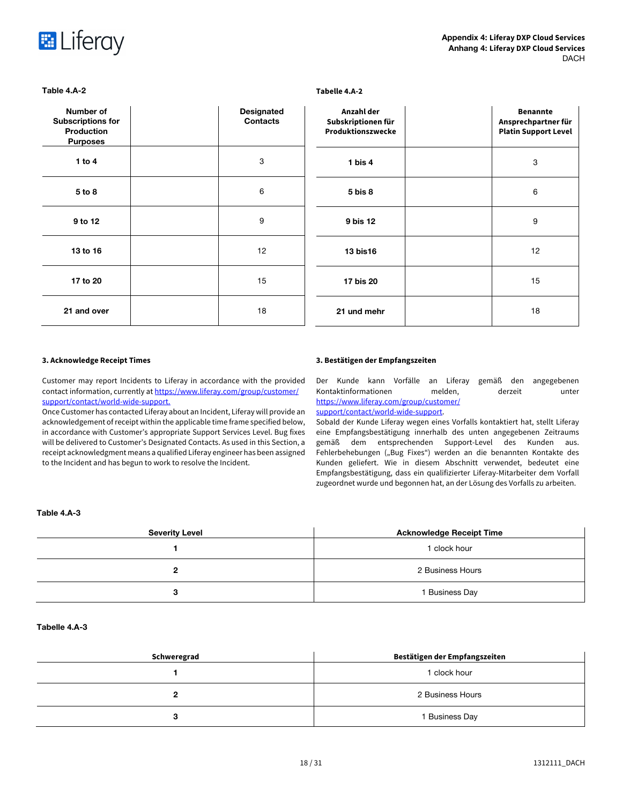

| Number of<br><b>Subscriptions for</b><br><b>Production</b><br><b>Purposes</b> | <b>Designated</b><br><b>Contacts</b> | Anzahl der<br>Subskriptionen für<br>Produktionszwecke | <b>Benannte</b><br>Ansprechpartner für<br><b>Platin Support Level</b> |
|-------------------------------------------------------------------------------|--------------------------------------|-------------------------------------------------------|-----------------------------------------------------------------------|
| 1 to $4$                                                                      | 3                                    | 1 bis $4$                                             | 3                                                                     |
| 5 to 8                                                                        | 6                                    | $5 \text{ bis } 8$                                    | 6                                                                     |
| 9 to 12                                                                       | 9                                    | 9 bis 12                                              | 9                                                                     |
| 13 to 16                                                                      | 12                                   | 13 bis16                                              | 12                                                                    |
| 17 to 20                                                                      | 15                                   | 17 bis 20                                             | 15                                                                    |
| 21 and over                                                                   | 18                                   | 21 und mehr                                           | 18                                                                    |

# **Table 4.A-2 Tabelle 4.A-2**

Customer may report Incidents to Liferay in accordance with the provided contact information, currently at https://www.liferay.com/group/customer/ support/contact/world-wide-support.

Once Customer has contacted Liferay about an Incident, Liferay will provide an acknowledgement of receipt within the applicable time frame specified below, in accordance with Customer's appropriate Support Services Level. Bug fixes will be delivered to Customer's Designated Contacts. As used in this Section, a receipt acknowledgment means a qualified Liferay engineer has been assigned to the Incident and has begun to work to resolve the Incident.

# **3. Acknowledge Receipt Times 3. Bestätigen der Empfangszeiten**

Der Kunde kann Vorfälle an Liferay gemäß den angegebenen Kontaktinformationen melden, derzeit unter https://www.liferay.com/group/customer/ support/contact/world-wide-support.

Sobald der Kunde Liferay wegen eines Vorfalls kontaktiert hat, stellt Liferay eine Empfangsbestätigung innerhalb des unten angegebenen Zeitraums gemäß dem entsprechenden Support-Level des Kunden aus. Fehlerbehebungen ("Bug Fixes") werden an die benannten Kontakte des Kunden geliefert. Wie in diesem Abschnitt verwendet, bedeutet eine Empfangsbestätigung, dass ein qualifizierter Liferay-Mitarbeiter dem Vorfall zugeordnet wurde und begonnen hat, an der Lösung des Vorfalls zu arbeiten.

# **Table 4.A-3**

| <b>Severity Level</b> | <b>Acknowledge Receipt Time</b> |
|-----------------------|---------------------------------|
|                       | 1 clock hour                    |
| ≏                     | 2 Business Hours                |
| з                     | 1 Business Day                  |

# **Tabelle 4.A-3**

| Schweregrad | Bestätigen der Empfangszeiten |  |
|-------------|-------------------------------|--|
|             | 1 clock hour                  |  |
|             | 2 Business Hours              |  |
| ◠           | 1 Business Day                |  |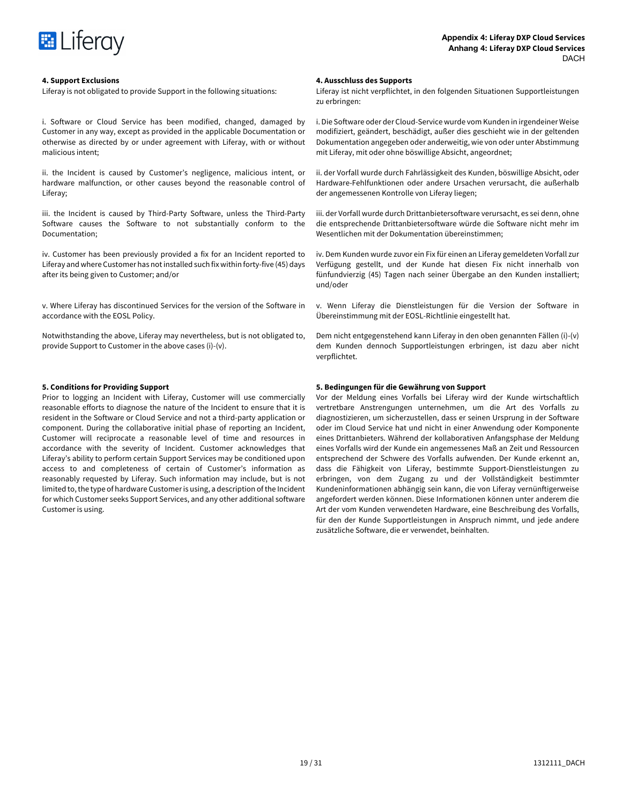

Liferay is not obligated to provide Support in the following situations:

i. Software or Cloud Service has been modified, changed, damaged by Customer in any way, except as provided in the applicable Documentation or otherwise as directed by or under agreement with Liferay, with or without malicious intent;

ii. the Incident is caused by Customer's negligence, malicious intent, or hardware malfunction, or other causes beyond the reasonable control of Liferay;

iii. the Incident is caused by Third-Party Software, unless the Third-Party Software causes the Software to not substantially conform to the Documentation;

iv. Customer has been previously provided a fix for an Incident reported to Liferay and where Customer has not installed such fix within forty-five (45) days after its being given to Customer; and/or

v. Where Liferay has discontinued Services for the version of the Software in accordance with the EOSL Policy.

Notwithstanding the above, Liferay may nevertheless, but is not obligated to, provide Support to Customer in the above cases (i)-(v).

Prior to logging an Incident with Liferay, Customer will use commercially reasonable efforts to diagnose the nature of the Incident to ensure that it is resident in the Software or Cloud Service and not a third-party application or component. During the collaborative initial phase of reporting an Incident, Customer will reciprocate a reasonable level of time and resources in accordance with the severity of Incident. Customer acknowledges that Liferay's ability to perform certain Support Services may be conditioned upon access to and completeness of certain of Customer's information as reasonably requested by Liferay. Such information may include, but is not limited to, the type of hardware Customer is using, a description of the Incident for which Customer seeks Support Services, and any other additional software Customer is using.

# **4. Support Exclusions 4. Ausschluss des Supports**

Liferay ist nicht verpflichtet, in den folgenden Situationen Supportleistungen zu erbringen:

i. Die Software oder der Cloud-Service wurde vom Kunden in irgendeiner Weise modifiziert, geändert, beschädigt, außer dies geschieht wie in der geltenden Dokumentation angegeben oder anderweitig, wie von oder unter Abstimmung mit Liferay, mit oder ohne böswillige Absicht, angeordnet;

ii. der Vorfall wurde durch Fahrlässigkeit des Kunden, böswillige Absicht, oder Hardware-Fehlfunktionen oder andere Ursachen verursacht, die außerhalb der angemessenen Kontrolle von Liferay liegen;

iii. der Vorfall wurde durch Drittanbietersoftware verursacht, es sei denn, ohne die entsprechende Drittanbietersoftware würde die Software nicht mehr im Wesentlichen mit der Dokumentation übereinstimmen;

iv. Dem Kunden wurde zuvor ein Fix für einen an Liferay gemeldeten Vorfall zur Verfügung gestellt, und der Kunde hat diesen Fix nicht innerhalb von fünfundvierzig (45) Tagen nach seiner Übergabe an den Kunden installiert; und/oder

v. Wenn Liferay die Dienstleistungen für die Version der Software in Übereinstimmung mit der EOSL-Richtlinie eingestellt hat.

Dem nicht entgegenstehend kann Liferay in den oben genannten Fällen (i)-(v) dem Kunden dennoch Supportleistungen erbringen, ist dazu aber nicht verpflichtet.

# **5. Conditions for Providing Support 5. Bedingungen für die Gewährung von Support**

Vor der Meldung eines Vorfalls bei Liferay wird der Kunde wirtschaftlich vertretbare Anstrengungen unternehmen, um die Art des Vorfalls zu diagnostizieren, um sicherzustellen, dass er seinen Ursprung in der Software oder im Cloud Service hat und nicht in einer Anwendung oder Komponente eines Drittanbieters. Während der kollaborativen Anfangsphase der Meldung eines Vorfalls wird der Kunde ein angemessenes Maß an Zeit und Ressourcen entsprechend der Schwere des Vorfalls aufwenden. Der Kunde erkennt an, dass die Fähigkeit von Liferay, bestimmte Support-Dienstleistungen zu erbringen, von dem Zugang zu und der Vollständigkeit bestimmter Kundeninformationen abhängig sein kann, die von Liferay vernünftigerweise angefordert werden können. Diese Informationen können unter anderem die Art der vom Kunden verwendeten Hardware, eine Beschreibung des Vorfalls, für den der Kunde Supportleistungen in Anspruch nimmt, und jede andere zusätzliche Software, die er verwendet, beinhalten.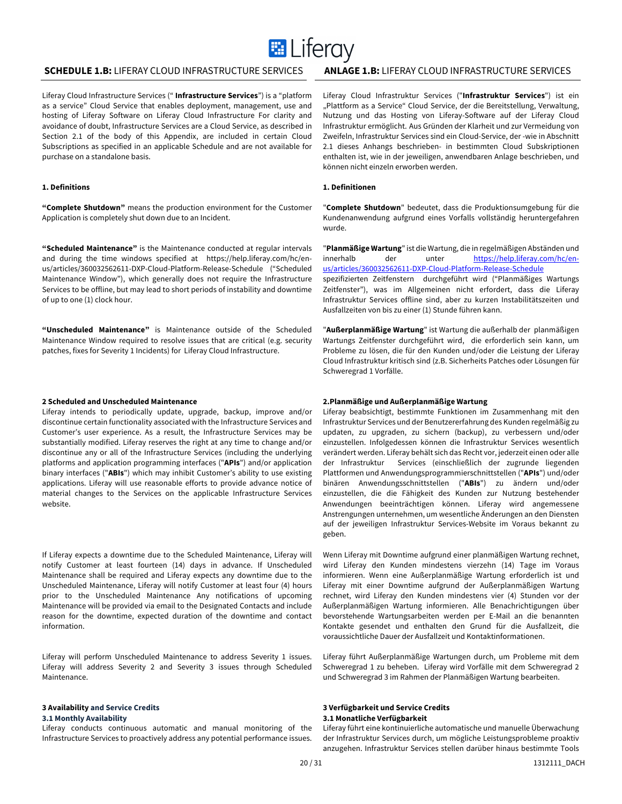

# **SCHEDULE 1.B:** LIFERAY CLOUD INFRASTRUCTURE SERVICES **ANLAGE 1.B:** LIFERAY CLOUD INFRASTRUCTURE SERVICES

Liferay Cloud Infrastructure Services (" **Infrastructure Services**") is a "platform as a service" Cloud Service that enables deployment, management, use and hosting of Liferay Software on Liferay Cloud Infrastructure For clarity and avoidance of doubt, Infrastructure Services are a Cloud Service, as described in Section 2.1 of the body of this Appendix, are included in certain Cloud Subscriptions as specified in an applicable Schedule and are not available for purchase on a standalone basis.

# **1. Definitions**

**"Complete Shutdown"** means the production environment for the Customer Application is completely shut down due to an Incident.

**"Scheduled Maintenance"** is the Maintenance conducted at regular intervals and during the time windows specified at https://help.liferay.com/hc/enus/articles/360032562611-DXP-Cloud-Platform-Release-Schedule ("Scheduled Maintenance Window"), which generally does not require the Infrastructure Services to be offline, but may lead to short periods of instability and downtime of up to one (1) clock hour.

**"Unscheduled Maintenance"** is Maintenance outside of the Scheduled Maintenance Window required to resolve issues that are critical (e.g. security patches, fixes for Severity 1 Incidents) for Liferay Cloud Infrastructure.

Liferay intends to periodically update, upgrade, backup, improve and/or discontinue certain functionality associated with the Infrastructure Services and Customer's user experience. As a result, the Infrastructure Services may be substantially modified. Liferay reserves the right at any time to change and/or discontinue any or all of the Infrastructure Services (including the underlying platforms and application programming interfaces ("**APIs**") and/or application binary interfaces ("**ABIs**") which may inhibit Customer's ability to use existing applications. Liferay will use reasonable efforts to provide advance notice of material changes to the Services on the applicable Infrastructure Services website.

If Liferay expects a downtime due to the Scheduled Maintenance, Liferay will notify Customer at least fourteen (14) days in advance. If Unscheduled Maintenance shall be required and Liferay expects any downtime due to the Unscheduled Maintenance, Liferay will notify Customer at least four (4) hours prior to the Unscheduled Maintenance Any notifications of upcoming Maintenance will be provided via email to the Designated Contacts and include reason for the downtime, expected duration of the downtime and contact information.

Liferay will perform Unscheduled Maintenance to address Severity 1 issues. Liferay will address Severity 2 and Severity 3 issues through Scheduled Maintenance.

### **3 Availability and Service Credits**

### **3.1 Monthly Availability**

Liferay conducts continuous automatic and manual monitoring of the Infrastructure Services to proactively address any potential performance issues. Liferay Cloud Infrastruktur Services ("**Infrastruktur Services**") ist ein "Plattform as a Service" Cloud Service, der die Bereitstellung, Verwaltung, Nutzung und das Hosting von Liferay-Software auf der Liferay Cloud Infrastruktur ermöglicht. Aus Gründen der Klarheit und zur Vermeidung von Zweifeln, Infrastruktur Services sind ein Cloud-Service, der -wie in Abschnitt 2.1 dieses Anhangs beschrieben- in bestimmten Cloud Subskriptionen enthalten ist, wie in der jeweiligen, anwendbaren Anlage beschrieben, und können nicht einzeln erworben werden.

# **1. Definitionen**

"**Complete Shutdown**" bedeutet, dass die Produktionsumgebung für die Kundenanwendung aufgrund eines Vorfalls vollständig heruntergefahren wurde.

"**Planmäßige Wartung**" ist die Wartung, die in regelmäßigen Abständen und innerhalb der unter https://help.liferay.com/hc/enus/articles/360032562611-DXP-Cloud-Platform-Release-Schedule

spezifizierten Zeitfenstern durchgeführt wird ("Planmäßiges Wartungs Zeitfenster"), was im Allgemeinen nicht erfordert, dass die Liferay Infrastruktur Services offline sind, aber zu kurzen Instabilitätszeiten und Ausfallzeiten von bis zu einer (1) Stunde führen kann.

"**Außerplanmäßige Wartung**" ist Wartung die außerhalb der planmäßigen Wartungs Zeitfenster durchgeführt wird, die erforderlich sein kann, um Probleme zu lösen, die für den Kunden und/oder die Leistung der Liferay Cloud Infrastruktur kritisch sind (z.B. Sicherheits Patches oder Lösungen für Schweregrad 1 Vorfälle.

# **2 Scheduled and Unscheduled Maintenance 2.Planmäßige und Außerplanmäßige Wartung**

Liferay beabsichtigt, bestimmte Funktionen im Zusammenhang mit den Infrastruktur Services und der Benutzererfahrung des Kunden regelmäßig zu updaten, zu upgraden, zu sichern (backup), zu verbessern und/oder einzustellen. Infolgedessen können die Infrastruktur Services wesentlich verändert werden. Liferay behält sich das Recht vor, jederzeit einen oder alle der Infrastruktur Services (einschließlich der zugrunde liegenden Plattformen und Anwendungsprogrammierschnittstellen ("**APIs**") und/oder binären Anwendungsschnittstellen ("**ABIs**") zu ändern und/oder einzustellen, die die Fähigkeit des Kunden zur Nutzung bestehender Anwendungen beeinträchtigen können. Liferay wird angemessene Anstrengungen unternehmen, um wesentliche Änderungen an den Diensten auf der jeweiligen Infrastruktur Services-Website im Voraus bekannt zu geben.

Wenn Liferay mit Downtime aufgrund einer planmäßigen Wartung rechnet, wird Liferay den Kunden mindestens vierzehn (14) Tage im Voraus informieren. Wenn eine Außerplanmäßige Wartung erforderlich ist und Liferay mit einer Downtime aufgrund der Außerplanmäßigen Wartung rechnet, wird Liferay den Kunden mindestens vier (4) Stunden vor der Außerplanmäßigen Wartung informieren. Alle Benachrichtigungen über bevorstehende Wartungsarbeiten werden per E-Mail an die benannten Kontakte gesendet und enthalten den Grund für die Ausfallzeit, die voraussichtliche Dauer der Ausfallzeit und Kontaktinformationen.

Liferay führt Außerplanmäßige Wartungen durch, um Probleme mit dem Schweregrad 1 zu beheben. Liferay wird Vorfälle mit dem Schweregrad 2 und Schweregrad 3 im Rahmen der Planmäßigen Wartung bearbeiten.

# **3 Verfügbarkeit und Service Credits 3.1 Monatliche Verfügbarkeit**

Liferay führt eine kontinuierliche automatische und manuelle Überwachung der Infrastruktur Services durch, um mögliche Leistungsprobleme proaktiv anzugehen. Infrastruktur Services stellen darüber hinaus bestimmte Tools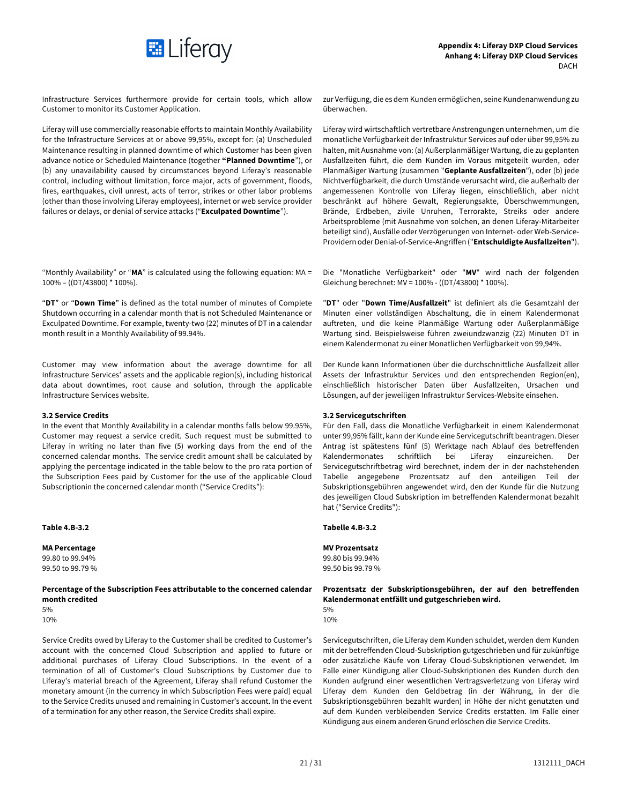

Infrastructure Services furthermore provide for certain tools, which allow Customer to monitor its Customer Application.

Liferay will use commercially reasonable efforts to maintain Monthly Availability for the Infrastructure Services at or above 99,95%, except for: (a) Unscheduled Maintenance resulting in planned downtime of which Customer has been given advance notice or Scheduled Maintenance (together **"Planned Downtime**"), or (b) any unavailability caused by circumstances beyond Liferay's reasonable control, including without limitation, force major, acts of government, floods, fires, earthquakes, civil unrest, acts of terror, strikes or other labor problems (other than those involving Liferay employees), internet or web service provider failures or delays, or denial of service attacks ("**Exculpated Downtime**").

"Monthly Availability" or "**MA**" is calculated using the following equation: MA = 100% – ((DT/43800) \* 100%).

"**DT**" or "**Down Time**" is defined as the total number of minutes of Complete Shutdown occurring in a calendar month that is not Scheduled Maintenance or Exculpated Downtime. For example, twenty-two (22) minutes of DT in a calendar month result in a Monthly Availability of 99.94%.

Customer may view information about the average downtime for all Infrastructure Services' assets and the applicable region(s), including historical data about downtimes, root cause and solution, through the applicable Infrastructure Services website.

In the event that Monthly Availability in a calendar months falls below 99.95%, Customer may request a service credit. Such request must be submitted to Liferay in writing no later than five (5) working days from the end of the concerned calendar months. The service credit amount shall be calculated by applying the percentage indicated in the table below to the pro rata portion of the Subscription Fees paid by Customer for the use of the applicable Cloud Subscriptionin the concerned calendar month ("Service Credits"):

99.80 to 99.94% 99.80 bis 99.94%

**Percentage of the Subscription Fees attributable to the concerned calendar month credited**  $5\%$  $10\%$  10% is a set of the set of the set of the set of the set of the set of the set of the set of the set of the set of the set of the set of the set of the set of the set of the set of the set of the set of the set of

Service Credits owed by Liferay to the Customer shall be credited to Customer's account with the concerned Cloud Subscription and applied to future or additional purchases of Liferay Cloud Subscriptions. In the event of a termination of all of Customer's Cloud Subscriptions by Customer due to Liferay's material breach of the Agreement, Liferay shall refund Customer the monetary amount (in the currency in which Subscription Fees were paid) equal to the Service Credits unused and remaining in Customer's account. In the event of a termination for any other reason, the Service Credits shall expire.

zur Verfügung, die es dem Kunden ermöglichen, seine Kundenanwendung zu überwachen.

Liferay wird wirtschaftlich vertretbare Anstrengungen unternehmen, um die monatliche Verfügbarkeit der Infrastruktur Services auf oder über 99,95% zu halten, mit Ausnahme von: (a) Außerplanmäßiger Wartung, die zu geplanten Ausfallzeiten führt, die dem Kunden im Voraus mitgeteilt wurden, oder Planmäßiger Wartung (zusammen "**Geplante Ausfallzeiten**"), oder (b) jede Nichtverfügbarkeit, die durch Umstände verursacht wird, die außerhalb der angemessenen Kontrolle von Liferay liegen, einschließlich, aber nicht beschränkt auf höhere Gewalt, Regierungsakte, Überschwemmungen, Brände, Erdbeben, zivile Unruhen, Terrorakte, Streiks oder andere Arbeitsprobleme (mit Ausnahme von solchen, an denen Liferay-Mitarbeiter beteiligt sind), Ausfälle oder Verzögerungen von Internet- oder Web-Service-Providern oder Denial-of-Service-Angriffen ("**Entschuldigte Ausfallzeiten**").

Die "Monatliche Verfügbarkeit" oder "**MV**" wird nach der folgenden Gleichung berechnet: MV = 100% - ((DT/43800) \* 100%).

"**DT**" oder "**Down Time/Ausfallzeit**" ist definiert als die Gesamtzahl der Minuten einer vollständigen Abschaltung, die in einem Kalendermonat auftreten, und die keine Planmäßige Wartung oder Außerplanmäßige Wartung sind. Beispielsweise führen zweiundzwanzig (22) Minuten DT in einem Kalendermonat zu einer Monatlichen Verfügbarkeit von 99,94%.

Der Kunde kann Informationen über die durchschnittliche Ausfallzeit aller Assets der Infrastruktur Services und den entsprechenden Region(en), einschließlich historischer Daten über Ausfallzeiten, Ursachen und Lösungen, auf der jeweiligen Infrastruktur Services-Website einsehen.

# **3.2 Service Credits 3.2 Servicegutschriften**

Für den Fall, dass die Monatliche Verfügbarkeit in einem Kalendermonat unter 99,95% fällt, kann der Kunde eine Servicegutschrift beantragen. Dieser Antrag ist spätestens fünf (5) Werktage nach Ablauf des betreffenden Kalendermonates schriftlich bei Liferay einzureichen. Der Servicegutschriftbetrag wird berechnet, indem der in der nachstehenden Tabelle angegebene Prozentsatz auf den anteiligen Teil der Subskriptionsgebühren angewendet wird, den der Kunde für die Nutzung des jeweiligen Cloud Subskription im betreffenden Kalendermonat bezahlt hat ("Service Credits"):

# **Table 4.B-3.2 Tabelle 4.B-3.2**

### **MA Percentage MV Prozentsatz**

99.50 to 99.79 % 99.50 bis 99.79 %

# **Prozentsatz der Subskriptionsgebühren, der auf den betreffenden Kalendermonat entfällt und gutgeschrieben wird.**



Servicegutschriften, die Liferay dem Kunden schuldet, werden dem Kunden mit der betreffenden Cloud-Subskription gutgeschrieben und für zukünftige oder zusätzliche Käufe von Liferay Cloud-Subskriptionen verwendet. Im Falle einer Kündigung aller Cloud-Subskriptionen des Kunden durch den Kunden aufgrund einer wesentlichen Vertragsverletzung von Liferay wird Liferay dem Kunden den Geldbetrag (in der Währung, in der die Subskriptionsgebühren bezahlt wurden) in Höhe der nicht genutzten und auf dem Kunden verbleibenden Service Credits erstatten. Im Falle einer Kündigung aus einem anderen Grund erlöschen die Service Credits.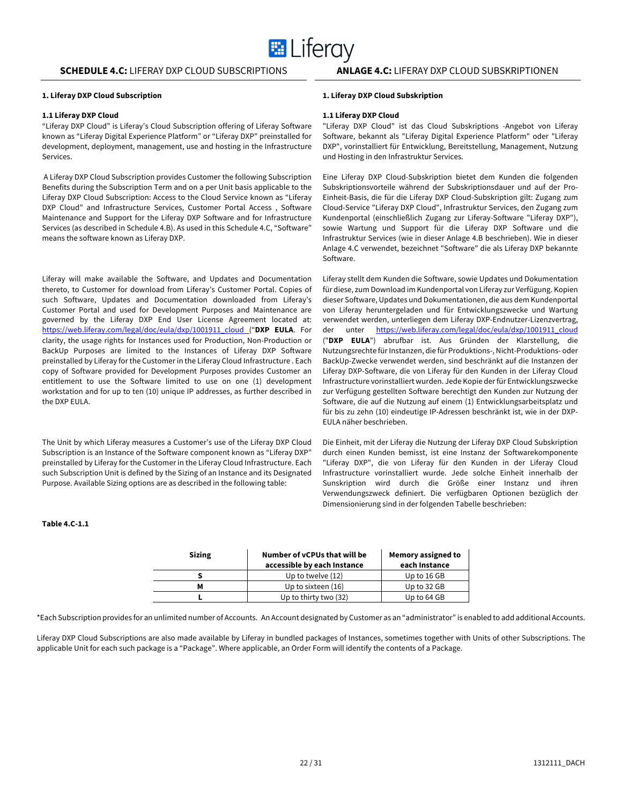# **1. Liferay DXP Cloud Subscription 1. Liferay DXP Cloud Subskription**

# **1.1 Liferay DXP Cloud 1.1 Liferay DXP Cloud**

"Liferay DXP Cloud" is Liferay's Cloud Subscription offering of Liferay Software known as "Liferay Digital Experience Platform" or "Liferay DXP" preinstalled for development, deployment, management, use and hosting in the Infrastructure Services.

A Liferay DXP Cloud Subscription provides Customer the following Subscription Benefits during the Subscription Term and on a per Unit basis applicable to the Liferay DXP Cloud Subscription: Access to the Cloud Service known as "Liferay DXP Cloud" and Infrastructure Services, Customer Portal Access , Software Maintenance and Support for the Liferay DXP Software and for Infrastructure Services (as described in Schedule 4.B). As used in this Schedule 4.C, "Software" means the software known as Liferay DXP.

Liferay will make available the Software, and Updates and Documentation thereto, to Customer for download from Liferay's Customer Portal. Copies of such Software, Updates and Documentation downloaded from Liferay's Customer Portal and used for Development Purposes and Maintenance are governed by the Liferay DXP End User License Agreement located at: https://web.liferay.com/legal/doc/eula/dxp/1001911\_cloud ("**DXP EULA**. For clarity, the usage rights for Instances used for Production, Non-Production or BackUp Purposes are limited to the Instances of Liferay DXP Software preinstalled by Liferay for the Customer in the Liferay Cloud Infrastructure . Each copy of Software provided for Development Purposes provides Customer an entitlement to use the Software limited to use on one (1) development workstation and for up to ten (10) unique IP addresses, as further described in the DXP EULA.

The Unit by which Liferay measures a Customer's use of the Liferay DXP Cloud Subscription is an Instance of the Software component known as "Liferay DXP" preinstalled by Liferay for the Customer in the Liferay Cloud Infrastructure. Each such Subscription Unit is defined by the Sizing of an Instance and its Designated Purpose. Available Sizing options are as described in the following table:

# **Table 4.C-1.1**

### **Sizing Number of vCPUs that will be accessible by each Instance Memory assigned to each Instance S** Up to twelve (12) Up to 16 GB **M** Up to sixteen (16) Up to 32 GB **L** Up to thirty two (32) Up to 64 GB

\*Each Subscription provides for an unlimited number of Accounts. An Account designated by Customer as an "administrator" is enabled to add additional Accounts.

Liferay DXP Cloud Subscriptions are also made available by Liferay in bundled packages of Instances, sometimes together with Units of other Subscriptions. The applicable Unit for each such package is a "Package". Where applicable, an Order Form will identify the contents of a Package.

"Liferay DXP Cloud" ist das Cloud Subskriptions -Angebot von Liferay Software, bekannt als "Liferay Digital Experience Platform" oder "Liferay DXP", vorinstalliert für Entwicklung, Bereitstellung, Management, Nutzung und Hosting in den Infrastruktur Services.

Eine Liferay DXP Cloud-Subskription bietet dem Kunden die folgenden Subskriptionsvorteile während der Subskriptionsdauer und auf der Pro-Einheit-Basis, die für die Liferay DXP Cloud-Subskription gilt: Zugang zum Cloud-Service "Liferay DXP Cloud", Infrastruktur Services, den Zugang zum Kundenportal (einschließlich Zugang zur Liferay-Software "Liferay DXP"), sowie Wartung und Support für die Liferay DXP Software und die Infrastruktur Services (wie in dieser Anlage 4.B beschrieben). Wie in dieser Anlage 4.C verwendet, bezeichnet "Software" die als Liferay DXP bekannte Software.

Liferay stellt dem Kunden die Software, sowie Updates und Dokumentation für diese, zum Download im Kundenportal von Liferay zur Verfügung. Kopien dieser Software, Updates und Dokumentationen, die aus dem Kundenportal von Liferay heruntergeladen und für Entwicklungszwecke und Wartung verwendet werden, unterliegen dem Liferay DXP-Endnutzer-Lizenzvertrag, der unter https://web.liferay.com/legal/doc/eula/dxp/1001911\_cloud ("**DXP EULA**") abrufbar ist. Aus Gründen der Klarstellung, die Nutzungsrechte für Instanzen, die für Produktions-, Nicht-Produktions- oder BackUp-Zwecke verwendet werden, sind beschränkt auf die Instanzen der Liferay DXP-Software, die von Liferay für den Kunden in der Liferay Cloud Infrastructure vorinstalliert wurden. Jede Kopie der für Entwicklungszwecke zur Verfügung gestellten Software berechtigt den Kunden zur Nutzung der Software, die auf die Nutzung auf einem (1) Entwicklungsarbeitsplatz und für bis zu zehn (10) eindeutige IP-Adressen beschränkt ist, wie in der DXP-EULA näher beschrieben.

Die Einheit, mit der Liferay die Nutzung der Liferay DXP Cloud Subskription durch einen Kunden bemisst, ist eine Instanz der Softwarekomponente "Liferay DXP", die von Liferay für den Kunden in der Liferay Cloud Infrastructure vorinstalliert wurde. Jede solche Einheit innerhalb der Sunskription wird durch die Größe einer Instanz und ihren Verwendungszweck definiert. Die verfügbaren Optionen bezüglich der Dimensionierung sind in der folgenden Tabelle beschrieben: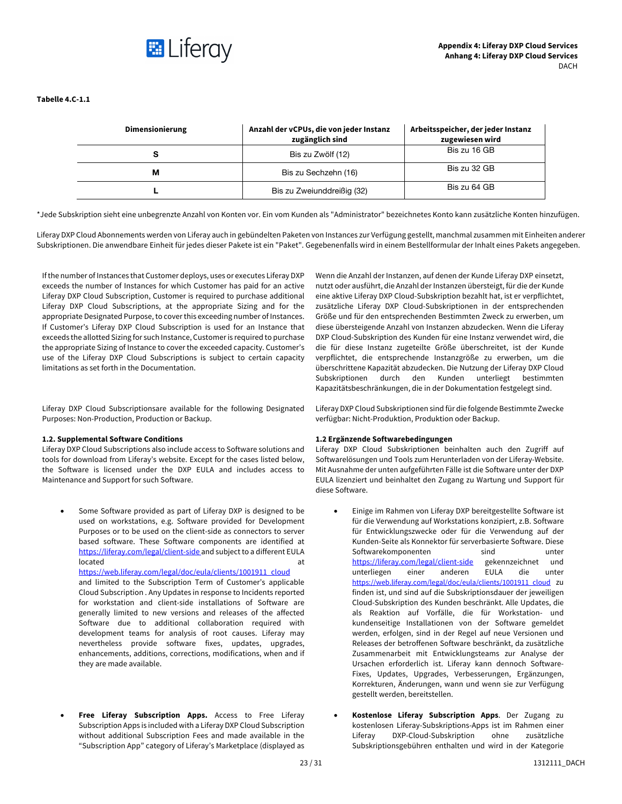

# **Tabelle 4.C-1.1**

| <b>Dimensionierung</b> | Anzahl der vCPUs, die von jeder Instanz<br>zugänglich sind | Arbeitsspeicher, der jeder Instanz<br>zugewiesen wird |
|------------------------|------------------------------------------------------------|-------------------------------------------------------|
|                        | Bis zu Zwölf (12)                                          | Bis zu 16 GB                                          |
| м                      | Bis zu Sechzehn (16)                                       | Bis zu 32 GB                                          |
|                        | Bis zu Zweiunddreißig (32)                                 | Bis zu 64 GB                                          |

\*Jede Subskription sieht eine unbegrenzte Anzahl von Konten vor. Ein vom Kunden als "Administrator" bezeichnetes Konto kann zusätzliche Konten hinzufügen.

Liferay DXP Cloud Abonnements werden von Liferay auch in gebündelten Paketen von Instances zur Verfügung gestellt, manchmal zusammen mit Einheiten anderer Subskriptionen. Die anwendbare Einheit für jedes dieser Pakete ist ein "Paket". Gegebenenfalls wird in einem Bestellformular der Inhalt eines Pakets angegeben.

If the number of Instances that Customer deploys, uses or executes Liferay DXP exceeds the number of Instances for which Customer has paid for an active Liferay DXP Cloud Subscription, Customer is required to purchase additional Liferay DXP Cloud Subscriptions, at the appropriate Sizing and for the appropriate Designated Purpose, to cover this exceeding number of Instances. If Customer's Liferay DXP Cloud Subscription is used for an Instance that exceeds the allotted Sizing for such Instance, Customer is required to purchase the appropriate Sizing of Instance to cover the exceeded capacity. Customer's use of the Liferay DXP Cloud Subscriptions is subject to certain capacity limitations as set forth in the Documentation.

Liferay DXP Cloud Subscriptionsare available for the following Designated Purposes: Non-Production, Production or Backup.

# **1.2. Supplemental Software Conditions 1.2 Ergänzende Softwarebedingungen**

Liferay DXP Cloud Subscriptions also include access to Software solutions and tools for download from Liferay's website. Except for the cases listed below, the Software is licensed under the DXP EULA and includes access to Maintenance and Support for such Software.

- Some Software provided as part of Liferay DXP is designed to be used on workstations, e.g. Software provided for Development Purposes or to be used on the client-side as connectors to server based software. These Software components are identified at https://liferay.com/legal/client-side and subject to a different EULA located at a state of the state of the state of the state of the state of the state of the state of the state o https://web.liferay.com/legal/doc/eula/clients/1001911\_cloud and limited to the Subscription Term of Customer's applicable Cloud Subscription . Any Updates in response to Incidents reported for workstation and client-side installations of Software are generally limited to new versions and releases of the affected Software due to additional collaboration required with development teams for analysis of root causes. Liferay may nevertheless provide software fixes, updates, upgrades, enhancements, additions, corrections, modifications, when and if they are made available.
- **Free Liferay Subscription Apps.** Access to Free Liferay Subscription Apps is included with a Liferay DXP Cloud Subscription without additional Subscription Fees and made available in the "Subscription App" category of Liferay's Marketplace (displayed as

Wenn die Anzahl der Instanzen, auf denen der Kunde Liferay DXP einsetzt, nutzt oder ausführt, die Anzahl der Instanzen übersteigt, für die der Kunde eine aktive Liferay DXP Cloud-Subskription bezahlt hat, ist er verpflichtet, zusätzliche Liferay DXP Cloud-Subskriptionen in der entsprechenden Größe und für den entsprechenden Bestimmten Zweck zu erwerben, um diese übersteigende Anzahl von Instanzen abzudecken. Wenn die Liferay DXP Cloud-Subskription des Kunden für eine Instanz verwendet wird, die die für diese Instanz zugeteilte Größe überschreitet, ist der Kunde verpflichtet, die entsprechende Instanzgröße zu erwerben, um die überschrittene Kapazität abzudecken. Die Nutzung der Liferay DXP Cloud Subskriptionen durch den Kunden unterliegt bestimmten Kapazitätsbeschränkungen, die in der Dokumentation festgelegt sind.

Liferay DXP Cloud Subskriptionen sind für die folgende Bestimmte Zwecke verfügbar: Nicht-Produktion, Produktion oder Backup.

Liferay DXP Cloud Subskriptionen beinhalten auch den Zugriff auf Softwarelösungen und Tools zum Herunterladen von der Liferay-Website. Mit Ausnahme der unten aufgeführten Fälle ist die Software unter der DXP EULA lizenziert und beinhaltet den Zugang zu Wartung und Support für diese Software.

- Einige im Rahmen von Liferay DXP bereitgestellte Software ist für die Verwendung auf Workstations konzipiert, z.B. Software für Entwicklungszwecke oder für die Verwendung auf der Kunden-Seite als Konnektor für serverbasierte Software. Diese Softwarekomponenten sind unter https://liferay.com/legal/client-side gekennzeichnet und unterliegen einer anderen EULA die unter https://web.liferay.com/legal/doc/eula/clients/1001911\_cloud zu finden ist, und sind auf die Subskriptionsdauer der jeweiligen Cloud-Subskription des Kunden beschränkt. Alle Updates, die als Reaktion auf Vorfälle, die für Workstation- und kundenseitige Installationen von der Software gemeldet werden, erfolgen, sind in der Regel auf neue Versionen und Releases der betroffenen Software beschränkt, da zusätzliche Zusammenarbeit mit Entwicklungsteams zur Analyse der Ursachen erforderlich ist. Liferay kann dennoch Software-Fixes, Updates, Upgrades, Verbesserungen, Ergänzungen, Korrekturen, Änderungen, wann und wenn sie zur Verfügung gestellt werden, bereitstellen.
- **Kostenlose Liferay Subscription Apps**. Der Zugang zu kostenlosen Liferay-Subskriptions-Apps ist im Rahmen einer Liferay DXP-Cloud-Subskription ohne zusätzliche Subskriptionsgebühren enthalten und wird in der Kategorie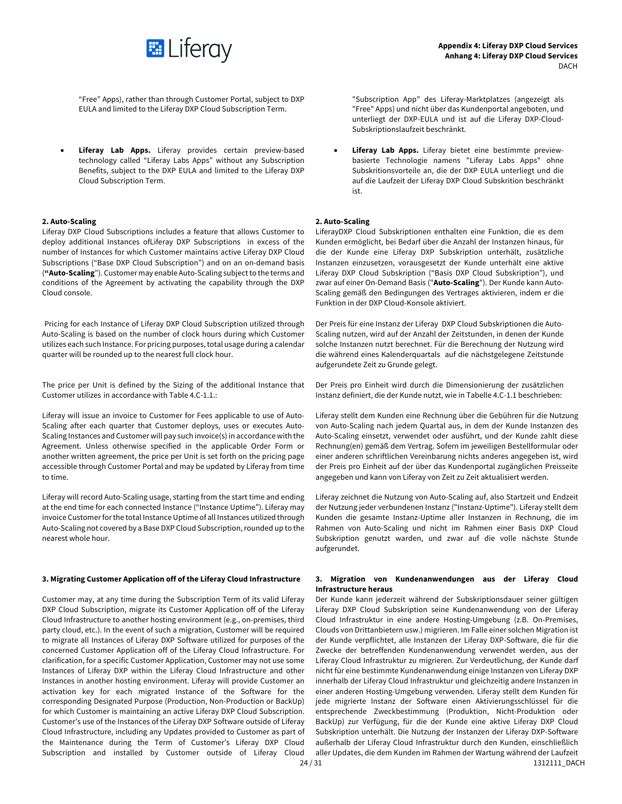

"Free" Apps), rather than through Customer Portal, subject to DXP EULA and limited to the Liferay DXP Cloud Subscription Term.

Liferay Lab Apps. Liferay provides certain preview-based technology called "Liferay Labs Apps" without any Subscription Benefits, subject to the DXP EULA and limited to the Liferay DXP Cloud Subscription Term.

# **2. Auto-Scaling**

Liferay DXP Cloud Subscriptions includes a feature that allows Customer to deploy additional Instances ofLiferay DXP Subscriptions in excess of the number of Instances for which Customer maintains active Liferay DXP Cloud Subscriptions ("Base DXP Cloud Subscription") and on an on-demand basis (**"Auto-Scaling**"). Customer may enable Auto-Scaling subject to the terms and conditions of the Agreement by activating the capability through the DXP Cloud console.

Pricing for each Instance of Liferay DXP Cloud Subscription utilized through Auto-Scaling is based on the number of clock hours during which Customer utilizes each such Instance. For pricing purposes, total usage during a calendar quarter will be rounded up to the nearest full clock hour.

The price per Unit is defined by the Sizing of the additional Instance that Customer utilizes in accordance with Table 4.C-1.1.:

Liferay will issue an invoice to Customer for Fees applicable to use of Auto-Scaling after each quarter that Customer deploys, uses or executes Auto-Scaling Instances and Customer will pay such invoice(s) in accordance with the Agreement. Unless otherwise specified in the applicable Order Form or another written agreement, the price per Unit is set forth on the pricing page accessible through Customer Portal and may be updated by Liferay from time to time.

Liferay will record Auto-Scaling usage, starting from the start time and ending at the end time for each connected Instance ("Instance Uptime"). Liferay may invoice Customer for the total Instance Uptime of all Instances utilized through Auto-Scaling not covered by a Base DXP Cloud Subscription,rounded up to the nearest whole hour.

# **3. Migrating Customer Application off of the Liferay Cloud Infrastructure 3. Migration von Kundenanwendungen aus der Liferay Cloud**

Customer may, at any time during the Subscription Term of its valid Liferay DXP Cloud Subscription, migrate its Customer Application off of the Liferay Cloud Infrastructure to another hosting environment (e.g., on-premises, third party cloud, etc.). In the event of such a migration, Customer will be required to migrate all Instances of Liferay DXP Software utilized for purposes of the concerned Customer Application off of the Liferay Cloud Infrastructure. For clarification, for a specific Customer Application, Customer may not use some Instances of Liferay DXP within the Liferay Cloud Infrastructure and other Instances in another hosting environment. Liferay will provide Customer an activation key for each migrated Instance of the Software for the corresponding Designated Purpose (Production, Non-Production or BackUp) for which Customer is maintaining an active Liferay DXP Cloud Subscription. Customer's use of the Instances of the Liferay DXP Software outside of Liferay Cloud Infrastructure, including any Updates provided to Customer as part of the Maintenance during the Term of Customer's Liferay DXP Cloud Subscription and installed by Customer outside of Liferay Cloud

"Subscription App" des Liferay-Marktplatzes (angezeigt als "Free" Apps) und nicht über das Kundenportal angeboten, und unterliegt der DXP-EULA und ist auf die Liferay DXP-Cloud-Subskriptionslaufzeit beschränkt.

• **Liferay Lab Apps.** Liferay bietet eine bestimmte previewbasierte Technologie namens "Liferay Labs Apps" ohne Subskritionsvorteile an, die der DXP EULA unterliegt und die auf die Laufzeit der Liferay DXP Cloud Subskrition beschränkt ist.

# **2. Auto-Scaling**

LiferayDXP Cloud Subskriptionen enthalten eine Funktion, die es dem Kunden ermöglicht, bei Bedarf über die Anzahl der Instanzen hinaus, für die der Kunde eine Liferay DXP Subskription unterhält, zusätzliche Instanzen einzusetzen, vorausgesetzt der Kunde unterhält eine aktive Liferay DXP Cloud Subskription ("Basis DXP Cloud Subskription"), und zwar auf einer On-Demand Basis ("**Auto-Scaling**"). Der Kunde kann Auto-Scaling gemäß den Bedingungen des Vertrages aktivieren, indem er die Funktion in der DXP Cloud-Konsole aktiviert.

Der Preis für eine Instanz der Liferay DXP Cloud Subskriptionen die Auto-Scaling nutzen, wird auf der Anzahl der Zeitstunden, in denen der Kunde solche Instanzen nutzt berechnet. Für die Berechnung der Nutzung wird die während eines Kalenderquartals auf die nächstgelegene Zeitstunde aufgerundete Zeit zu Grunde gelegt.

Der Preis pro Einheit wird durch die Dimensionierung der zusätzlichen Instanz definiert, die der Kunde nutzt, wie in Tabelle 4.C-1.1 beschrieben:

Liferay stellt dem Kunden eine Rechnung über die Gebühren für die Nutzung von Auto-Scaling nach jedem Quartal aus, in dem der Kunde Instanzen des Auto-Scaling einsetzt, verwendet oder ausführt, und der Kunde zahlt diese Rechnung(en) gemäß dem Vertrag. Sofern im jeweiligen Bestellformular oder einer anderen schriftlichen Vereinbarung nichts anderes angegeben ist, wird der Preis pro Einheit auf der über das Kundenportal zugänglichen Preisseite angegeben und kann von Liferay von Zeit zu Zeit aktualisiert werden.

Liferay zeichnet die Nutzung von Auto-Scaling auf, also Startzeit und Endzeit der Nutzung jeder verbundenen Instanz ("Instanz-Uptime"). Liferay stellt dem Kunden die gesamte Instanz-Uptime aller Instanzen in Rechnung, die im Rahmen von Auto-Scaling und nicht im Rahmen einer Basis DXP Cloud Subskription genutzt warden, und zwar auf die volle nächste Stunde aufgerundet.

# **Infrastructure heraus**

Der Kunde kann jederzeit während der Subskriptionsdauer seiner gültigen Liferay DXP Cloud Subskription seine Kundenanwendung von der Liferay Cloud Infrastruktur in eine andere Hosting-Umgebung (z.B. On-Premises, Clouds von Drittanbietern usw.) migrieren. Im Falle einer solchen Migration ist der Kunde verpflichtet, alle Instanzen der Liferay DXP-Software, die für die Zwecke der betreffenden Kundenanwendung verwendet werden, aus der Liferay Cloud Infrastruktur zu migrieren. Zur Verdeutlichung, der Kunde darf nicht für eine bestimmte Kundenanwendung einige Instanzen von Liferay DXP innerhalb der Liferay Cloud Infrastruktur und gleichzeitig andere Instanzen in einer anderen Hosting-Umgebung verwenden. Liferay stellt dem Kunden für jede migrierte Instanz der Software einen Aktivierungsschlüssel für die entsprechende Zweckbestimmung (Produktion, Nicht-Produktion oder BackUp) zur Verfügung, für die der Kunde eine aktive Liferay DXP Cloud Subskription unterhält. Die Nutzung der Instanzen der Liferay DXP-Software außerhalb der Liferay Cloud Infrastruktur durch den Kunden, einschließlich aller Updates, die dem Kunden im Rahmen der Wartung während der Laufzeit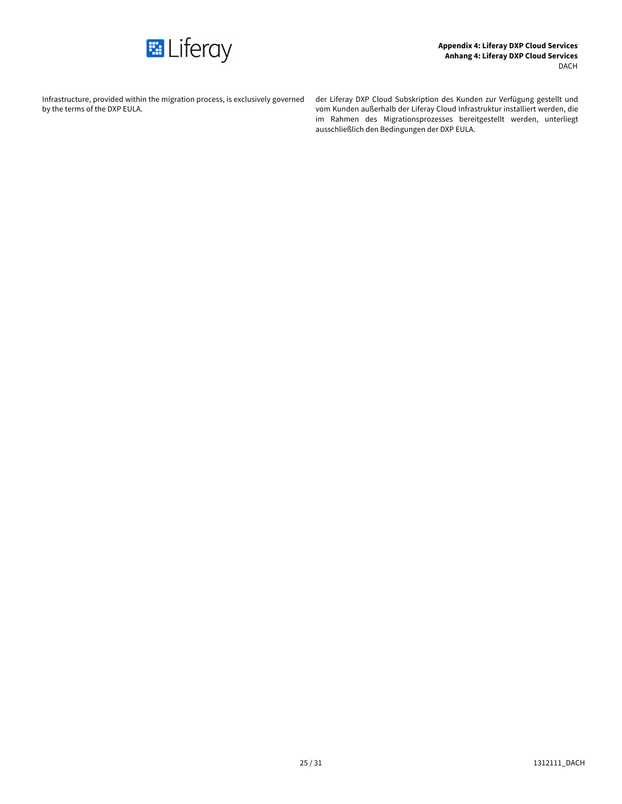

Infrastructure, provided within the migration process, is exclusively governed by the terms of the DXP EULA.

der Liferay DXP Cloud Subskription des Kunden zur Verfügung gestellt und vom Kunden außerhalb der Liferay Cloud Infrastruktur installiert werden, die im Rahmen des Migrationsprozesses bereitgestellt werden, unterliegt ausschließlich den Bedingungen der DXP EULA.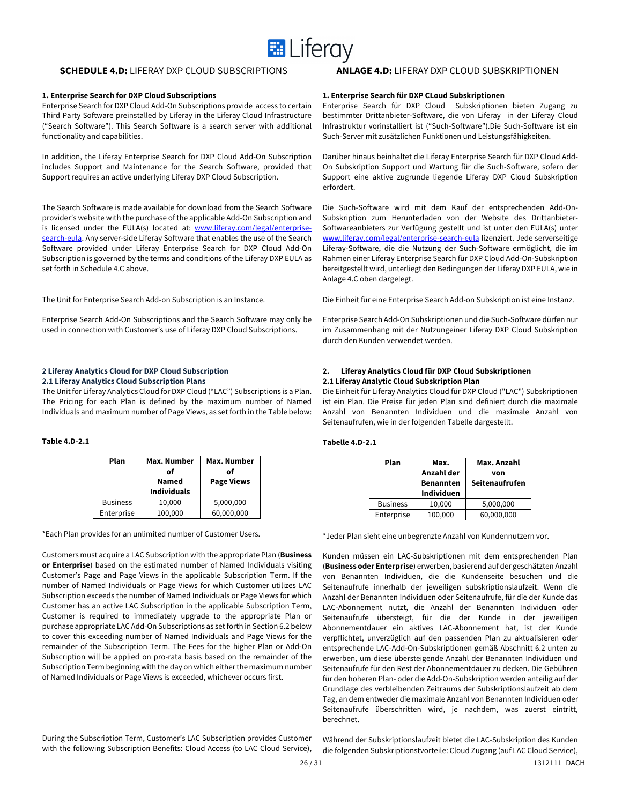# **E** Liferay

# **SCHEDULE 4.D:** LIFERAY DXP CLOUD SUBSCRIPTIONS **ANLAGE 4.D:** LIFERAY DXP CLOUD SUBSKRIPTIONEN

# **1. Enterprise Search for DXP Cloud Subscriptions**

Enterprise Search for DXP Cloud Add-On Subscriptions provide access to certain Third Party Software preinstalled by Liferay in the Liferay Cloud Infrastructure ("Search Software"). This Search Software is a search server with additional functionality and capabilities.

In addition, the Liferay Enterprise Search for DXP Cloud Add-On Subscription includes Support and Maintenance for the Search Software, provided that Support requires an active underlying Liferay DXP Cloud Subscription.

The Search Software is made available for download from the Search Software provider's website with the purchase of the applicable Add-On Subscription and is licensed under the EULA(s) located at: www.liferay.com/legal/enterprisesearch-eula. Any server-side Liferay Software that enables the use of the Search Software provided under Liferay Enterprise Search for DXP Cloud Add-On Subscription is governed by the terms and conditions of the Liferay DXP EULA as set forth in Schedule 4.C above.

The Unit for Enterprise Search Add-on Subscription is an Instance.

Enterprise Search Add-On Subscriptions and the Search Software may only be used in connection with Customer's use of Liferay DXP Cloud Subscriptions.

# **2 Liferay Analytics Cloud for DXP Cloud Subscription 2.1 Liferay Analytics Cloud Subscription Plans**

The Unit for Liferay Analytics Cloud for DXP Cloud ("LAC") Subscriptions is a Plan. The Pricing for each Plan is defined by the maximum number of Named Individuals and maximum number of Page Views, as set forth in the Table below:

# **Table 4.D-2.1**

| Plan            | Max. Number<br>of<br>Named<br><b>Individuals</b> | Max. Number<br>of<br><b>Page Views</b> |
|-----------------|--------------------------------------------------|----------------------------------------|
| <b>Business</b> | 10,000                                           | 5,000,000                              |
| Enterprise      | 100,000                                          | 60,000,000                             |

\*Each Plan provides for an unlimited number of Customer Users.

Customers must acquire a LAC Subscription with the appropriate Plan (**Business or Enterprise**) based on the estimated number of Named Individuals visiting Customer's Page and Page Views in the applicable Subscription Term. If the number of Named Individuals or Page Views for which Customer utilizes LAC Subscription exceeds the number of Named Individuals or Page Views for which Customer has an active LAC Subscription in the applicable Subscription Term, Customer is required to immediately upgrade to the appropriate Plan or purchase appropriate LAC Add-On Subscriptions as set forth in Section 6.2 below to cover this exceeding number of Named Individuals and Page Views for the remainder of the Subscription Term. The Fees for the higher Plan or Add-On Subscription will be applied on pro-rata basis based on the remainder of the Subscription Term beginning with the day on which either the maximum number of Named Individuals or Page Views is exceeded, whichever occurs first.

During the Subscription Term, Customer's LAC Subscription provides Customer with the following Subscription Benefits: Cloud Access (to LAC Cloud Service),

### **1. Enterprise Search für DXP CLoud Subskriptionen**

Enterprise Search für DXP Cloud Subskriptionen bieten Zugang zu bestimmter Drittanbieter-Software, die von Liferay in der Liferay Cloud Infrastruktur vorinstalliert ist ("Such-Software").Die Such-Software ist ein Such-Server mit zusätzlichen Funktionen und Leistungsfähigkeiten.

Darüber hinaus beinhaltet die Liferay Enterprise Search für DXP Cloud Add-On Subskription Support und Wartung für die Such-Software, sofern der Support eine aktive zugrunde liegende Liferay DXP Cloud Subskription erfordert.

Die Such-Software wird mit dem Kauf der entsprechenden Add-On-Subskription zum Herunterladen von der Website des Drittanbieter-Softwareanbieters zur Verfügung gestellt und ist unter den EULA(s) unter www.liferay.com/legal/enterprise-search-eula lizenziert. Jede serverseitige Liferay-Software, die die Nutzung der Such-Software ermöglicht, die im Rahmen einer Liferay Enterprise Search für DXP Cloud Add-On-Subskription bereitgestellt wird, unterliegt den Bedingungen der Liferay DXP EULA, wie in Anlage 4.C oben dargelegt.

Die Einheit für eine Enterprise Search Add-on Subskription ist eine Instanz.

Enterprise Search Add-On Subskriptionen und die Such-Software dürfen nur im Zusammenhang mit der Nutzungeiner Liferay DXP Cloud Subskription durch den Kunden verwendet werden.

# **2. Liferay Analytics Cloud für DXP Cloud Subskriptionen 2.1 Liferay Analytic Cloud Subskription Plan**

Die Einheit für Liferay Analytics Cloud für DXP Cloud ("LAC") Subskriptionen ist ein Plan. Die Preise für jeden Plan sind definiert durch die maximale Anzahl von Benannten Individuen und die maximale Anzahl von Seitenaufrufen, wie in der folgenden Tabelle dargestellt.

# **Tabelle 4.D-2.1**

| Plan            | Max.<br>Anzahl der<br><b>Benannten</b><br><b>Individuen</b> | Max. Anzahl<br>von<br>Seitenaufrufen |
|-----------------|-------------------------------------------------------------|--------------------------------------|
| <b>Business</b> | 10,000                                                      | 5,000,000                            |
| Enterprise      | 100,000                                                     | 60,000,000                           |

\*Jeder Plan sieht eine unbegrenzte Anzahl von Kundennutzern vor.

Kunden müssen ein LAC-Subskriptionen mit dem entsprechenden Plan (**Business oder Enterprise**) erwerben, basierend auf der geschätzten Anzahl von Benannten Individuen, die die Kundenseite besuchen und die Seitenaufrufe innerhalb der jeweiligen subskriptionslaufzeit. Wenn die Anzahl der Benannten Individuen oder Seitenaufrufe, für die der Kunde das LAC-Abonnement nutzt, die Anzahl der Benannten Individuen oder Seitenaufrufe übersteigt, für die der Kunde in der jeweiligen Abonnementdauer ein aktives LAC-Abonnement hat, ist der Kunde verpflichtet, unverzüglich auf den passenden Plan zu aktualisieren oder entsprechende LAC-Add-On-Subskriptionen gemäß Abschnitt 6.2 unten zu erwerben, um diese übersteigende Anzahl der Benannten Individuen und Seitenaufrufe für den Rest der Abonnementdauer zu decken. Die Gebühren für den höheren Plan- oder die Add-On-Subskription werden anteilig auf der Grundlage des verbleibenden Zeitraums der Subskriptionslaufzeit ab dem Tag, an dem entweder die maximale Anzahl von Benannten Individuen oder Seitenaufrufe überschritten wird, je nachdem, was zuerst eintritt, berechnet.

Während der Subskriptionslaufzeit bietet die LAC-Subskription des Kunden die folgenden Subskriptionstvorteile: Cloud Zugang (auf LAC Cloud Service),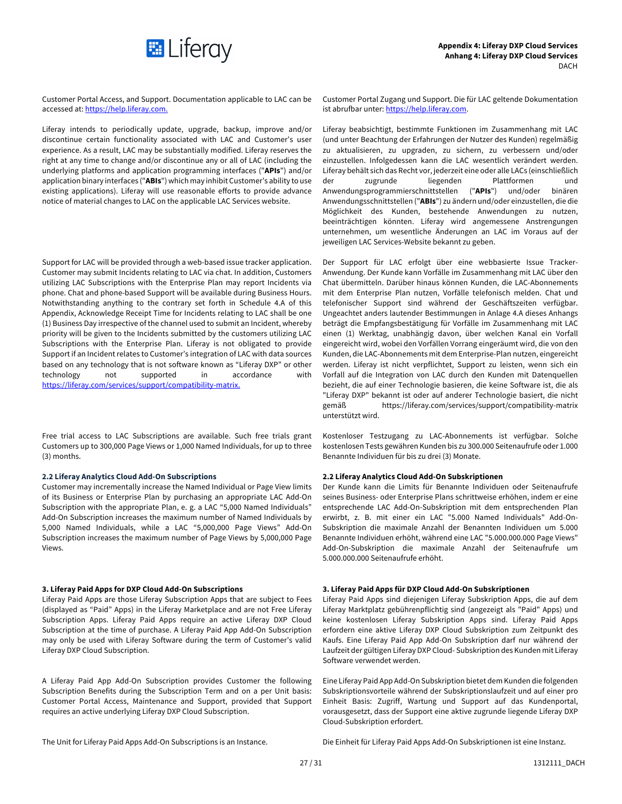

Customer Portal Access, and Support. Documentation applicable to LAC can be accessed at: https://help.liferay.com.

Liferay intends to periodically update, upgrade, backup, improve and/or discontinue certain functionality associated with LAC and Customer's user experience. As a result, LAC may be substantially modified. Liferay reserves the right at any time to change and/or discontinue any or all of LAC (including the underlying platforms and application programming interfaces ("**APIs**") and/or application binary interfaces ("**ABIs**") which may inhibit Customer's ability to use existing applications). Liferay will use reasonable efforts to provide advance notice of material changes to LAC on the applicable LAC Services website.

Support for LAC will be provided through a web-based issue tracker application. Customer may submit Incidents relating to LAC via chat. In addition, Customers utilizing LAC Subscriptions with the Enterprise Plan may report Incidents via phone. Chat and phone-based Support will be available during Business Hours. Notwithstanding anything to the contrary set forth in Schedule 4.A of this Appendix, Acknowledge Receipt Time for Incidents relating to LAC shall be one (1) Business Day irrespective of the channel used to submit an Incident, whereby priority will be given to the Incidents submitted by the customers utilizing LAC Subscriptions with the Enterprise Plan. Liferay is not obligated to provide Support if an Incident relates to Customer's integration of LAC with data sources based on any technology that is not software known as "Liferay DXP" or other technology not supported in accordance with https://liferay.com/services/support/compatibility-matrix.

Free trial access to LAC Subscriptions are available. Such free trials grant Customers up to 300,000 Page Views or 1,000 Named Individuals, for up to three (3) months.

# **2.2 Liferay Analytics Cloud Add-On Subscriptions**

Customer may incrementally increase the Named Individual or Page View limits of its Business or Enterprise Plan by purchasing an appropriate LAC Add-On Subscription with the appropriate Plan, e. g. a LAC "5,000 Named Individuals" Add-On Subscription increases the maximum number of Named Individuals by 5,000 Named Individuals, while a LAC "5,000,000 Page Views" Add-On Subscription increases the maximum number of Page Views by 5,000,000 Page Views.

Liferay Paid Apps are those Liferay Subscription Apps that are subject to Fees (displayed as "Paid" Apps) in the Liferay Marketplace and are not Free Liferay Subscription Apps. Liferay Paid Apps require an active Liferay DXP Cloud Subscription at the time of purchase. A Liferay Paid App Add-On Subscription may only be used with Liferay Software during the term of Customer's valid Liferay DXP Cloud Subscription.

A Liferay Paid App Add-On Subscription provides Customer the following Subscription Benefits during the Subscription Term and on a per Unit basis: Customer Portal Access, Maintenance and Support, provided that Support requires an active underlying Liferay DXP Cloud Subscription.

Customer Portal Zugang und Support. Die für LAC geltende Dokumentation ist abrufbar unter: https://help.liferay.com.

Liferay beabsichtigt, bestimmte Funktionen im Zusammenhang mit LAC (und unter Beachtung der Erfahrungen der Nutzer des Kunden) regelmäßig zu aktualisieren, zu upgraden, zu sichern, zu verbessern und/oder einzustellen. Infolgedessen kann die LAC wesentlich verändert werden. Liferay behält sich das Recht vor, jederzeit eine oder alle LACs (einschließlich der zugrunde liegenden Plattformen und Anwendungsprogrammierschnittstellen ("**APIs**") und/oder binären Anwendungsschnittstellen ("**ABIs**") zu ändern und/oder einzustellen, die die Möglichkeit des Kunden, bestehende Anwendungen zu nutzen, beeinträchtigen könnten. Liferay wird angemessene Anstrengungen unternehmen, um wesentliche Änderungen an LAC im Voraus auf der jeweiligen LAC Services-Website bekannt zu geben.

Der Support für LAC erfolgt über eine webbasierte Issue Tracker-Anwendung. Der Kunde kann Vorfälle im Zusammenhang mit LAC über den Chat übermitteln. Darüber hinaus können Kunden, die LAC-Abonnements mit dem Enterprise Plan nutzen, Vorfälle telefonisch melden. Chat und telefonischer Support sind während der Geschäftszeiten verfügbar. Ungeachtet anders lautender Bestimmungen in Anlage 4.A dieses Anhangs beträgt die Empfangsbestätigung für Vorfälle im Zusammenhang mit LAC einen (1) Werktag, unabhängig davon, über welchen Kanal ein Vorfall eingereicht wird, wobei den Vorfällen Vorrang eingeräumt wird, die von den Kunden, die LAC-Abonnements mit dem Enterprise-Plan nutzen, eingereicht werden. Liferay ist nicht verpflichtet, Support zu leisten, wenn sich ein Vorfall auf die Integration von LAC durch den Kunden mit Datenquellen bezieht, die auf einer Technologie basieren, die keine Software ist, die als "Liferay DXP" bekannt ist oder auf anderer Technologie basiert, die nicht gemäß https://liferay.com/services/support/compatibility-matrix unterstützt wird.

Kostenloser Testzugang zu LAC-Abonnements ist verfügbar. Solche kostenlosen Tests gewähren Kunden bis zu 300.000 Seitenaufrufe oder 1.000 Benannte Individuen für bis zu drei (3) Monate.

# **2.2 Liferay Analytics Cloud Add-On Subskriptionen**

Der Kunde kann die Limits für Benannte Individuen oder Seitenaufrufe seines Business- oder Enterprise Plans schrittweise erhöhen, indem er eine entsprechende LAC Add-On-Subskription mit dem entsprechenden Plan erwirbt, z. B. mit einer ein LAC "5.000 Named Individuals" Add-On-Subskription die maximale Anzahl der Benannten Individuen um 5.000 Benannte Individuen erhöht, während eine LAC "5.000.000.000 Page Views" Add-On-Subskription die maximale Anzahl der Seitenaufrufe um 5.000.000.000 Seitenaufrufe erhöht.

# **3. Liferay Paid Apps for DXP Cloud Add-On Subscriptions 3. Liferay Paid Apps für DXP Cloud Add-On Subskriptionen**

Liferay Paid Apps sind diejenigen Liferay Subskription Apps, die auf dem Liferay Marktplatz gebührenpflichtig sind (angezeigt als "Paid" Apps) und keine kostenlosen Liferay Subskription Apps sind. Liferay Paid Apps erfordern eine aktive Liferay DXP Cloud Subskription zum Zeitpunkt des Kaufs. Eine Liferay Paid App Add-On Subskription darf nur während der Laufzeit der gültigen Liferay DXP Cloud- Subskription des Kunden mit Liferay Software verwendet werden.

Eine Liferay Paid App Add-On Subskription bietet dem Kunden die folgenden Subskriptionsvorteile während der Subskriptionslaufzeit und auf einer pro Einheit Basis: Zugriff, Wartung und Support auf das Kundenportal, vorausgesetzt, dass der Support eine aktive zugrunde liegende Liferay DXP Cloud-Subskription erfordert.

The Unit for Liferay Paid Apps Add-On Subscriptions is an Instance.

Die Einheit für Liferay Paid Apps Add-On Subskriptionen ist eine Instanz.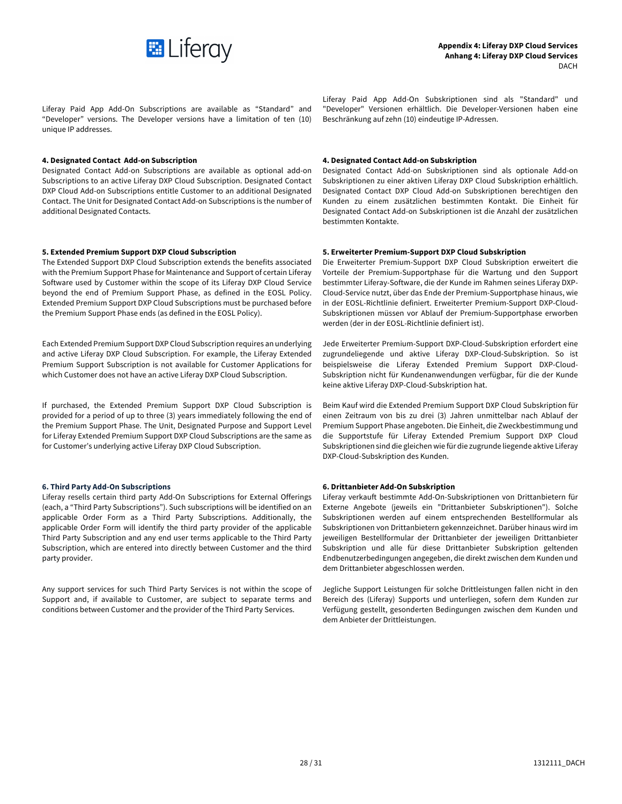

Liferay Paid App Add-On Subscriptions are available as "Standard" and "Developer" versions. The Developer versions have a limitation of ten (10) unique IP addresses.

# **4. Designated Contact Add-on Subscription 4. Designated Contact Add-on Subskription**

Designated Contact Add-on Subscriptions are available as optional add-on Subscriptions to an active Liferay DXP Cloud Subscription. Designated Contact DXP Cloud Add-on Subscriptions entitle Customer to an additional Designated Contact. The Unit for Designated Contact Add-on Subscriptions is the number of additional Designated Contacts.

The Extended Support DXP Cloud Subscription extends the benefits associated with the Premium Support Phase for Maintenance and Support of certain Liferay Software used by Customer within the scope of its Liferay DXP Cloud Service beyond the end of Premium Support Phase, as defined in the EOSL Policy. Extended Premium Support DXP Cloud Subscriptions must be purchased before the Premium Support Phase ends (as defined in the EOSL Policy).

Each Extended Premium Support DXP Cloud Subscription requires an underlying and active Liferay DXP Cloud Subscription. For example, the Liferay Extended Premium Support Subscription is not available for Customer Applications for which Customer does not have an active Liferay DXP Cloud Subscription.

If purchased, the Extended Premium Support DXP Cloud Subscription is provided for a period of up to three (3) years immediately following the end of the Premium Support Phase. The Unit, Designated Purpose and Support Level for Liferay Extended Premium Support DXP Cloud Subscriptions are the same as for Customer's underlying active Liferay DXP Cloud Subscription.

# **6. Third Party Add-On Subscriptions**

Liferay resells certain third party Add-On Subscriptions for External Offerings (each, a "Third Party Subscriptions"). Such subscriptions will be identified on an applicable Order Form as a Third Party Subscriptions. Additionally, the applicable Order Form will identify the third party provider of the applicable Third Party Subscription and any end user terms applicable to the Third Party Subscription, which are entered into directly between Customer and the third party provider.

Any support services for such Third Party Services is not within the scope of Support and, if available to Customer, are subject to separate terms and conditions between Customer and the provider of the Third Party Services.

Liferay Paid App Add-On Subskriptionen sind als "Standard" und "Developer" Versionen erhältlich. Die Developer-Versionen haben eine Beschränkung auf zehn (10) eindeutige IP-Adressen.

Designated Contact Add-on Subskriptionen sind als optionale Add-on Subskriptionen zu einer aktiven Liferay DXP Cloud Subskription erhältlich. Designated Contact DXP Cloud Add-on Subskriptionen berechtigen den Kunden zu einem zusätzlichen bestimmten Kontakt. Die Einheit für Designated Contact Add-on Subskriptionen ist die Anzahl der zusätzlichen bestimmten Kontakte.

# **5. Extended Premium Support DXP Cloud Subscription 5. Erweiterter Premium-Support DXP Cloud Subskription**

Die Erweiterter Premium-Support DXP Cloud Subskription erweitert die Vorteile der Premium-Supportphase für die Wartung und den Support bestimmter Liferay-Software, die der Kunde im Rahmen seines Liferay DXP-Cloud-Service nutzt, über das Ende der Premium-Supportphase hinaus, wie in der EOSL-Richtlinie definiert. Erweiterter Premium-Support DXP-Cloud-Subskriptionen müssen vor Ablauf der Premium-Supportphase erworben werden (der in der EOSL-Richtlinie definiert ist).

Jede Erweiterter Premium-Support DXP-Cloud-Subskription erfordert eine zugrundeliegende und aktive Liferay DXP-Cloud-Subskription. So ist beispielsweise die Liferay Extended Premium Support DXP-Cloud-Subskription nicht für Kundenanwendungen verfügbar, für die der Kunde keine aktive Liferay DXP-Cloud-Subskription hat.

Beim Kauf wird die Extended Premium Support DXP Cloud Subskription für einen Zeitraum von bis zu drei (3) Jahren unmittelbar nach Ablauf der Premium Support Phase angeboten. Die Einheit, die Zweckbestimmung und die Supportstufe für Liferay Extended Premium Support DXP Cloud Subskriptionen sind die gleichen wie für die zugrunde liegende aktive Liferay DXP-Cloud-Subskription des Kunden.

# **6. Drittanbieter Add-On Subskription**

Liferay verkauft bestimmte Add-On-Subskriptionen von Drittanbietern für Externe Angebote (jeweils ein "Drittanbieter Subskriptionen"). Solche Subskriptionen werden auf einem entsprechenden Bestellformular als Subskriptionen von Drittanbietern gekennzeichnet. Darüber hinaus wird im jeweiligen Bestellformular der Drittanbieter der jeweiligen Drittanbieter Subskription und alle für diese Drittanbieter Subskription geltenden Endbenutzerbedingungen angegeben, die direkt zwischen dem Kunden und dem Drittanbieter abgeschlossen werden.

Jegliche Support Leistungen für solche Drittleistungen fallen nicht in den Bereich des (Liferay) Supports und unterliegen, sofern dem Kunden zur Verfügung gestellt, gesonderten Bedingungen zwischen dem Kunden und dem Anbieter der Drittleistungen.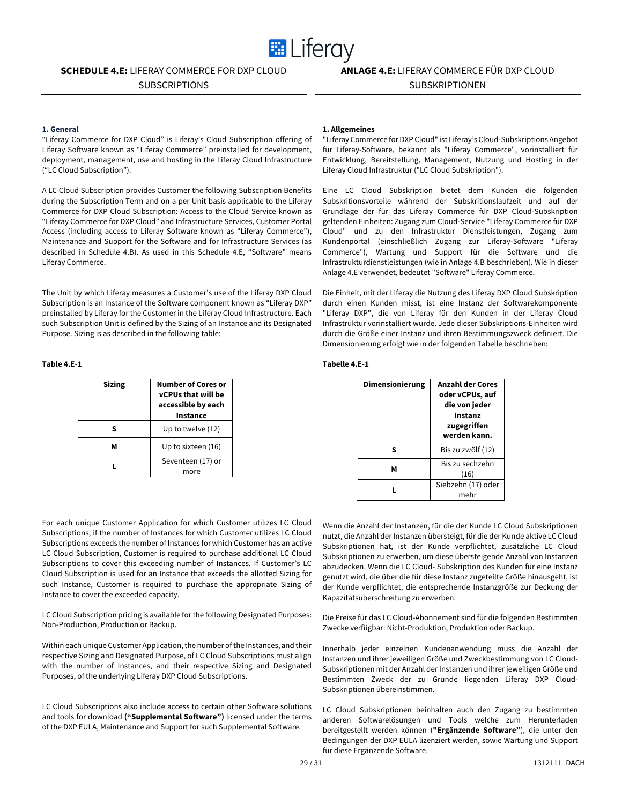

# **SCHEDULE 4.E:** LIFERAY COMMERCE FOR DXP CLOUD

SUBSCRIPTIONS

# **ANLAGE 4.E:** LIFERAY COMMERCE FÜR DXP CLOUD SUBSKRIPTIONEN

# **1. General**

"Liferay Commerce for DXP Cloud" is Liferay's Cloud Subscription offering of Liferay Software known as "Liferay Commerce" preinstalled for development, deployment, management, use and hosting in the Liferay Cloud Infrastructure ("LC Cloud Subscription").

A LC Cloud Subscription provides Customer the following Subscription Benefits during the Subscription Term and on a per Unit basis applicable to the Liferay Commerce for DXP Cloud Subscription: Access to the Cloud Service known as "Liferay Commerce for DXP Cloud" and Infrastructure Services, Customer Portal Access (including access to Liferay Software known as "Liferay Commerce"), Maintenance and Support for the Software and for Infrastructure Services (as described in Schedule 4.B). As used in this Schedule 4.E, "Software" means Liferay Commerce.

The Unit by which Liferay measures a Customer's use of the Liferay DXP Cloud Subscription is an Instance of the Software component known as "Liferay DXP" preinstalled by Liferay for the Customer in the Liferay Cloud Infrastructure. Each such Subscription Unit is defined by the Sizing of an Instance and its Designated Purpose. Sizing is as described in the following table:

# **Table 4.E-1**

| <b>Sizing</b> | <b>Number of Cores or</b><br><b>vCPUs that will be</b><br>accessible by each<br>Instance |
|---------------|------------------------------------------------------------------------------------------|
| ς             | Up to twelve (12)                                                                        |
| м             | Up to sixteen (16)                                                                       |
|               | Seventeen (17) or<br>more                                                                |

# **1. Allgemeines**

"Liferay Commerce for DXP Cloud" ist Liferay's Cloud-Subskriptions Angebot für Liferay-Software, bekannt als "Liferay Commerce", vorinstalliert für Entwicklung, Bereitstellung, Management, Nutzung und Hosting in der Liferay Cloud Infrastruktur ("LC Cloud Subskription").

Eine LC Cloud Subskription bietet dem Kunden die folgenden Subskritionsvorteile während der Subskritionslaufzeit und auf der Grundlage der für das Liferay Commerce für DXP Cloud-Subskription geltenden Einheiten: Zugang zum Cloud-Service "Liferay Commerce für DXP Cloud" und zu den Infrastruktur Dienstleistungen, Zugang zum Kundenportal (einschließlich Zugang zur Liferay-Software "Liferay Commerce"), Wartung und Support für die Software und die Infrastrukturdienstleistungen (wie in Anlage 4.B beschrieben). Wie in dieser Anlage 4.E verwendet, bedeutet "Software" Liferay Commerce.

Die Einheit, mit der Liferay die Nutzung des Liferay DXP Cloud Subskription durch einen Kunden misst, ist eine Instanz der Softwarekomponente "Liferay DXP", die von Liferay für den Kunden in der Liferay Cloud Infrastruktur vorinstalliert wurde. Jede dieser Subskriptions-Einheiten wird durch die Größe einer Instanz und ihren Bestimmungszweck definiert. Die Dimensionierung erfolgt wie in der folgenden Tabelle beschrieben:

# **Tabelle 4.E-1**

| <b>Dimensionierung</b> | <b>Anzahl der Cores</b><br>oder vCPUs, auf<br>die von jeder<br>Instanz<br>zugegriffen<br>werden kann. |
|------------------------|-------------------------------------------------------------------------------------------------------|
| ς                      | Bis zu zwölf (12)                                                                                     |
| м                      | Bis zu sechzehn<br>(16)                                                                               |
|                        | Siebzehn (17) oder<br>mehr                                                                            |

For each unique Customer Application for which Customer utilizes LC Cloud Subscriptions, if the number of Instances for which Customer utilizes LC Cloud Subscriptions exceeds the number of Instances for which Customer has an active LC Cloud Subscription, Customer is required to purchase additional LC Cloud Subscriptions to cover this exceeding number of Instances. If Customer's LC Cloud Subscription is used for an Instance that exceeds the allotted Sizing for such Instance, Customer is required to purchase the appropriate Sizing of Instance to cover the exceeded capacity.

LC Cloud Subscription pricing is available for the following Designated Purposes: Non-Production, Production or Backup.

Within each unique Customer Application, the number of the Instances, and their respective Sizing and Designated Purpose, of LC Cloud Subscriptions must align with the number of Instances, and their respective Sizing and Designated Purposes, of the underlying Liferay DXP Cloud Subscriptions.

LC Cloud Subscriptions also include access to certain other Software solutions and tools for download **("Supplemental Software")** licensed under the terms of the DXP EULA, Maintenance and Support for such Supplemental Software.

Wenn die Anzahl der Instanzen, für die der Kunde LC Cloud Subskriptionen nutzt, die Anzahl der Instanzen übersteigt, für die der Kunde aktive LC Cloud Subskriptionen hat, ist der Kunde verpflichtet, zusätzliche LC Cloud Subskriptionen zu erwerben, um diese übersteigende Anzahl von Instanzen abzudecken. Wenn die LC Cloud- Subskription des Kunden für eine Instanz genutzt wird, die über die für diese Instanz zugeteilte Größe hinausgeht, ist der Kunde verpflichtet, die entsprechende Instanzgröße zur Deckung der Kapazitätsüberschreitung zu erwerben.

Die Preise für das LC Cloud-Abonnement sind für die folgenden Bestimmten Zwecke verfügbar: Nicht-Produktion, Produktion oder Backup.

Innerhalb jeder einzelnen Kundenanwendung muss die Anzahl der Instanzen und ihrer jeweiligen Größe und Zweckbestimmung von LC Cloud-Subskriptionen mit der Anzahl der Instanzen und ihrer jeweiligen Größe und Bestimmten Zweck der zu Grunde liegenden Liferay DXP Cloud-Subskriptionen übereinstimmen.

LC Cloud Subskriptionen beinhalten auch den Zugang zu bestimmten anderen Softwarelösungen und Tools welche zum Herunterladen bereitgestellt werden können (**"Ergänzende Software"**), die unter den Bedingungen der DXP EULA lizenziert werden, sowie Wartung und Support für diese Ergänzende Software.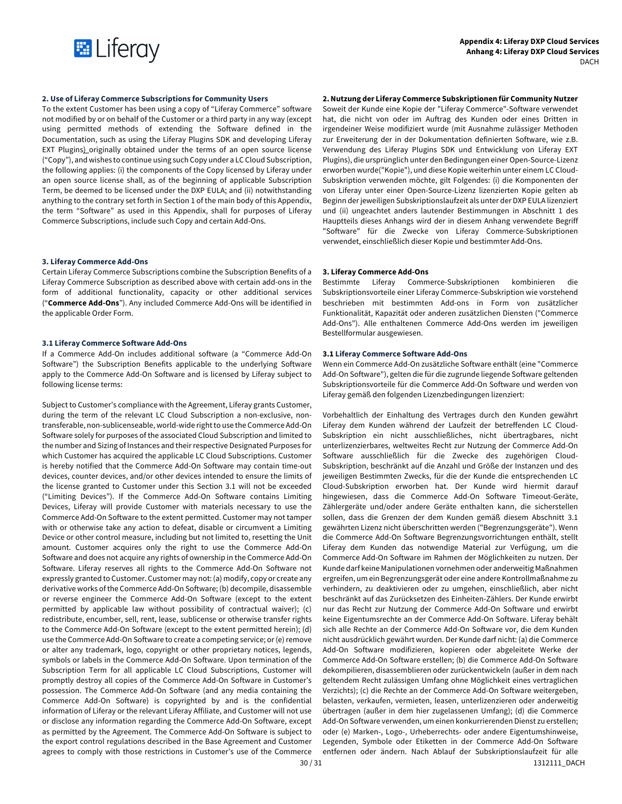

# **2. Use of Liferay Commerce Subscriptions for Community Users**

To the extent Customer has been using a copy of "Liferay Commerce" software not modified by or on behalf of the Customer or a third party in any way (except using permitted methods of extending the Software defined in the Documentation, such as using the Liferay Plugins SDK and developing Liferay EXT Plugins) originally obtained under the terms of an open source license ("Copy"), and wishes to continue using such Copy under a LC Cloud Subscription, the following applies: (i) the components of the Copy licensed by Liferay under an open source license shall, as of the beginning of applicable Subscription Term, be deemed to be licensed under the DXP EULA; and (ii) notwithstanding anything to the contrary set forth in Section 1 of the main body of this Appendix, the term "Software" as used in this Appendix, shall for purposes of Liferay Commerce Subscriptions, include such Copy and certain Add-Ons.

# **3. Liferay Commerce Add-Ons**

Certain Liferay Commerce Subscriptions combine the Subscription Benefits of a Liferay Commerce Subscription as described above with certain add-ons in the form of additional functionality, capacity or other additional services ("**Commerce Add-Ons**"). Any included Commerce Add-Ons will be identified in the applicable Order Form.

# **3.1 Liferay Commerce Software Add-Ons**

If a Commerce Add-On includes additional software (a "Commerce Add-On Software") the Subscription Benefits applicable to the underlying Software apply to the Commerce Add-On Software and is licensed by Liferay subject to following license terms:

Subject to Customer's compliance with the Agreement, Liferay grants Customer, during the term of the relevant LC Cloud Subscription a non-exclusive, nontransferable, non-sublicenseable, world-wide right to use the Commerce Add-On Software solely for purposes of the associated Cloud Subscription and limited to the number and Sizing of Instances and their respective Designated Purposes for which Customer has acquired the applicable LC Cloud Subscriptions. Customer is hereby notified that the Commerce Add-On Software may contain time-out devices, counter devices, and/or other devices intended to ensure the limits of the license granted to Customer under this Section 3.1 will not be exceeded ("Limiting Devices"). If the Commerce Add-On Software contains Limiting Devices, Liferay will provide Customer with materials necessary to use the Commerce Add-On Software to the extent permitted. Customer may not tamper with or otherwise take any action to defeat, disable or circumvent a Limiting Device or other control measure, including but not limited to, resetting the Unit amount. Customer acquires only the right to use the Commerce Add-On Software and does not acquire any rights of ownership in the Commerce Add-On Software. Liferay reserves all rights to the Commerce Add-On Software not expressly granted to Customer. Customer may not: (a) modify, copy or create any derivative works of the Commerce Add-On Software; (b) decompile, disassemble or reverse engineer the Commerce Add-On Software (except to the extent permitted by applicable law without possibility of contractual waiver); (c) redistribute, encumber, sell, rent, lease, sublicense or otherwise transfer rights to the Commerce Add-On Software (except to the extent permitted herein); (d) use the Commerce Add-On Software to create a competing service; or (e) remove or alter any trademark, logo, copyright or other proprietary notices, legends, symbols or labels in the Commerce Add-On Software. Upon termination of the Subscription Term for all applicable LC Cloud Subscriptions, Customer will promptly destroy all copies of the Commerce Add-On Software in Customer's possession. The Commerce Add-On Software (and any media containing the Commerce Add-On Software) is copyrighted by and is the confidential information of Liferay or the relevant Liferay Affiliate, and Customer will not use or disclose any information regarding the Commerce Add-On Software, except as permitted by the Agreement. The Commerce Add-On Software is subject to the export control regulations described in the Base Agreement and Customer agrees to comply with those restrictions in Customer's use of the Commerce

# **2. Nutzung der Liferay Commerce Subskriptionen für Community Nutzer**

Soweit der Kunde eine Kopie der "Liferay Commerce"-Software verwendet hat, die nicht von oder im Auftrag des Kunden oder eines Dritten in irgendeiner Weise modifiziert wurde (mit Ausnahme zulässiger Methoden zur Erweiterung der in der Dokumentation definierten Software, wie z.B. Verwendung des Liferay Plugins SDK und Entwicklung von Liferay EXT Plugins), die ursprünglich unter den Bedingungen einer Open-Source-Lizenz erworben wurde("Kopie"), und diese Kopie weiterhin unter einem LC Cloud-Subskription verwenden möchte, gilt Folgendes: (i) die Komponenten der von Liferay unter einer Open-Source-Lizenz lizenzierten Kopie gelten ab Beginn der jeweiligen Subskriptionslaufzeit als unter der DXP EULA lizenziert und (ii) ungeachtet anders lautender Bestimmungen in Abschnitt 1 des Hauptteils dieses Anhangs wird der in diesem Anhang verwendete Begriff "Software" für die Zwecke von Liferay Commerce-Subskriptionen verwendet, einschließlich dieser Kopie und bestimmter Add-Ons.

# **3. Liferay Commerce Add-Ons**

Bestimmte Liferay Commerce-Subskriptionen kombinieren die Subskriptionsvorteile einer Liferay Commerce-Subskription wie vorstehend beschrieben mit bestimmten Add-ons in Form von zusätzlicher Funktionalität, Kapazität oder anderen zusätzlichen Diensten ("Commerce Add-Ons"). Alle enthaltenen Commerce Add-Ons werden im jeweiligen Bestellformular ausgewiesen.

### **3.1 Liferay Commerce Software Add-Ons**

Wenn ein Commerce Add-On zusätzliche Software enthält (eine "Commerce Add-On Software"), gelten die für die zugrunde liegende Software geltenden Subskriptionsvorteile für die Commerce Add-On Software und werden von Liferay gemäß den folgenden Lizenzbedingungen lizenziert:

30 / 31 1312111 DACH Vorbehaltlich der Einhaltung des Vertrages durch den Kunden gewährt Liferay dem Kunden während der Laufzeit der betreffenden LC Cloud-Subskription ein nicht ausschließliches, nicht übertragbares, nicht unterlizenzierbares, weltweites Recht zur Nutzung der Commerce Add-On Software ausschließlich für die Zwecke des zugehörigen Cloud-Subskription, beschränkt auf die Anzahl und Größe der Instanzen und des jeweiligen Bestimmten Zwecks, für die der Kunde die entsprechenden LC Cloud-Subskription erworben hat. Der Kunde wird hiermit darauf hingewiesen, dass die Commerce Add-On Software Timeout-Geräte, Zählergeräte und/oder andere Geräte enthalten kann, die sicherstellen sollen, dass die Grenzen der dem Kunden gemäß diesem Abschnitt 3.1 gewährten Lizenz nicht überschritten werden ("Begrenzungsgeräte"). Wenn die Commerce Add-On Software Begrenzungsvorrichtungen enthält, stellt Liferay dem Kunden das notwendige Material zur Verfügung, um die Commerce Add-On Software im Rahmen der Möglichkeiten zu nutzen. Der Kunde darf keine Manipulationen vornehmen oder anderweitig Maßnahmen ergreifen, um ein Begrenzungsgerät oder eine andere Kontrollmaßnahme zu verhindern, zu deaktivieren oder zu umgehen, einschließlich, aber nicht beschränkt auf das Zurücksetzen des Einheiten-Zählers. Der Kunde erwirbt nur das Recht zur Nutzung der Commerce Add-On Software und erwirbt keine Eigentumsrechte an der Commerce Add-On Software. Liferay behält sich alle Rechte an der Commerce Add-On Software vor, die dem Kunden nicht ausdrücklich gewährt wurden. Der Kunde darf nicht: (a) die Commerce Add-On Software modifizieren, kopieren oder abgeleitete Werke der Commerce Add-On Software erstellen; (b) die Commerce Add-On Software dekompilieren, disassemblieren oder zurückentwickeln (außer in dem nach geltendem Recht zulässigen Umfang ohne Möglichkeit eines vertraglichen Verzichts); (c) die Rechte an der Commerce Add-On Software weitergeben, belasten, verkaufen, vermieten, leasen, unterlizenzieren oder anderweitig übertragen (außer in dem hier zugelassenen Umfang); (d) die Commerce Add-On Software verwenden, um einen konkurrierenden Dienst zu erstellen; oder (e) Marken-, Logo-, Urheberrechts- oder andere Eigentumshinweise, Legenden, Symbole oder Etiketten in der Commerce Add-On Software entfernen oder ändern. Nach Ablauf der Subskriptionslaufzeit für alle